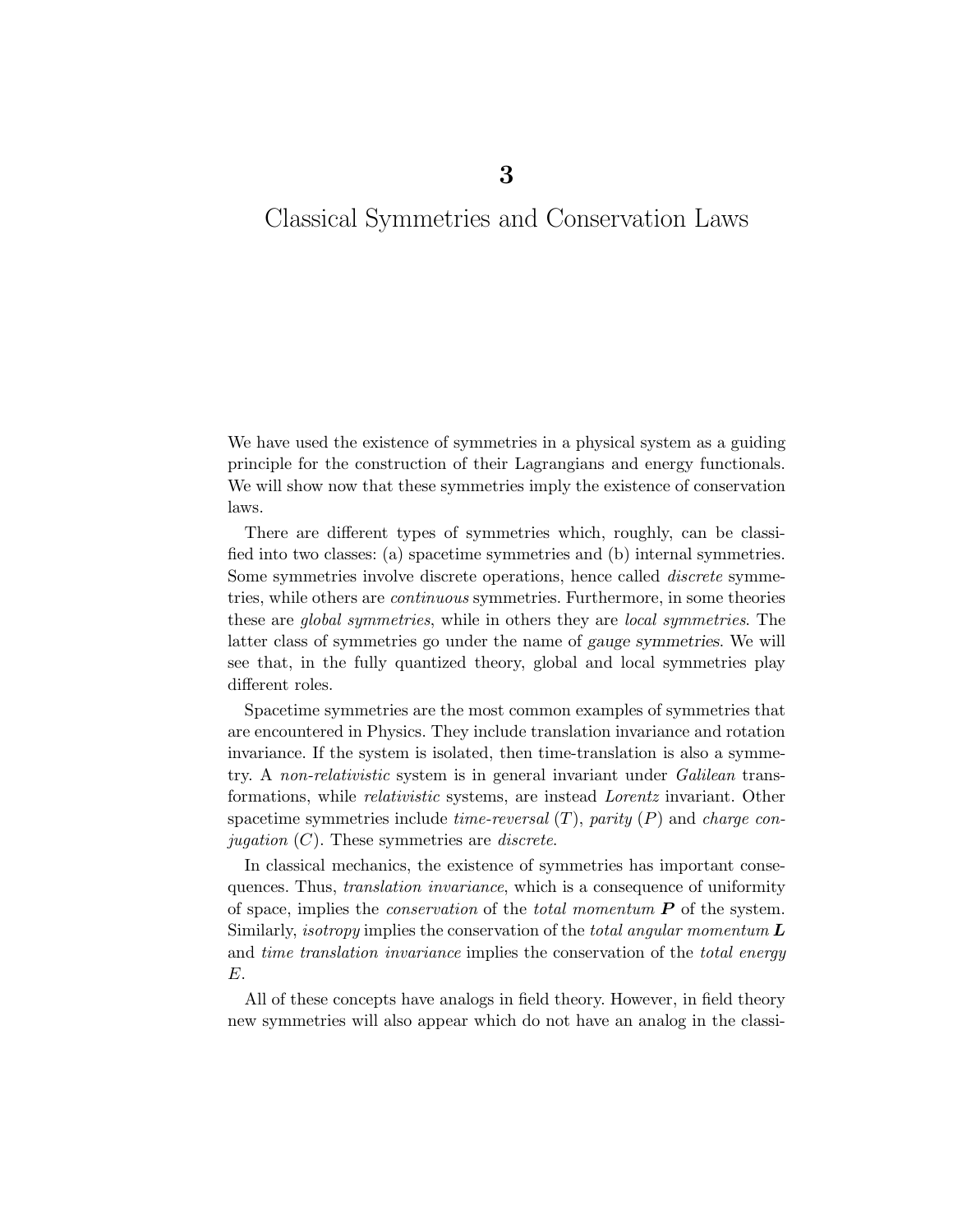# Classical Symmetries and Conservation Laws

We have used the existence of symmetries in a physical system as a guiding principle for the construction of their Lagrangians and energy functionals. We will show now that these symmetries imply the existence of conservation laws.

There are different types of symmetries which, roughly, can be classified into two classes: (a) spacetime symmetries and (b) internal symmetries. Some symmetries involve discrete operations, hence called discrete symmetries, while others are continuous symmetries. Furthermore, in some theories these are global symmetries, while in others they are local symmetries. The latter class of symmetries go under the name of gauge symmetries. We will see that, in the fully quantized theory, global and local symmetries play different roles.

Spacetime symmetries are the most common examples of symmetries that are encountered in Physics. They include translation invariance and rotation invariance. If the system is isolated, then time-translation is also a symmetry. A non-relativistic system is in general invariant under Galilean transformations, while relativistic systems, are instead Lorentz invariant. Other spacetime symmetries include *time-reversal*  $(T)$ , parity  $(P)$  and *charge conjugation*  $(C)$ . These symmetries are *discrete*.

In classical mechanics, the existence of symmetries has important consequences. Thus, translation invariance, which is a consequence of uniformity of space, implies the *conservation* of the *total momentum*  $\boldsymbol{P}$  of the system. Similarly, *isotropy* implies the conservation of the *total angular momentum*  $\boldsymbol{L}$ and *time translation invariance* implies the conservation of the *total energy* E.

All of these concepts have analogs in field theory. However, in field theory new symmetries will also appear which do not have an analog in the classi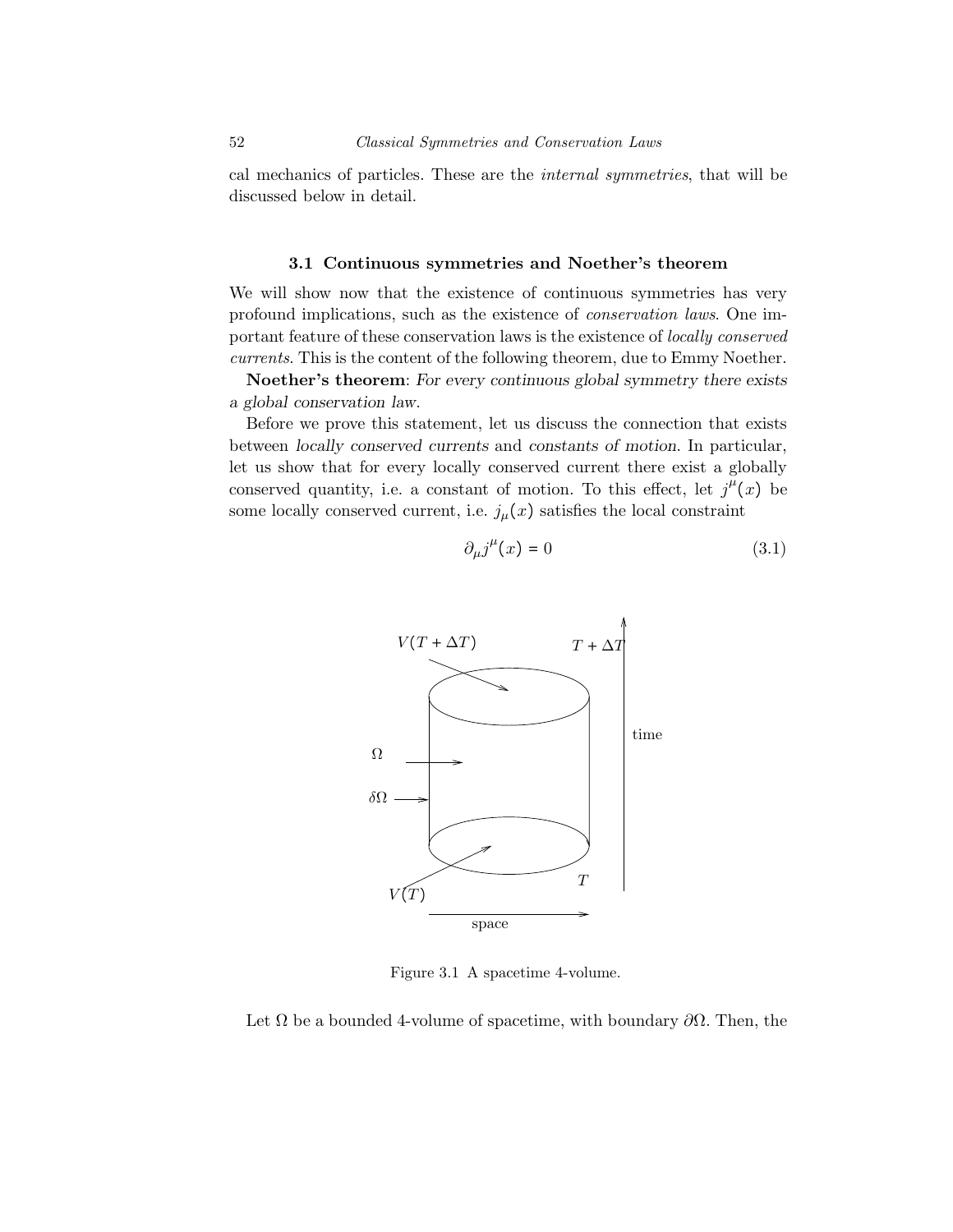cal mechanics of particles. These are the internal symmetries, that will be discussed below in detail.

#### 3.1 Continuous symmetries and Noether's theorem

We will show now that the existence of continuous symmetries has very profound implications, such as the existence of conservation laws. One important feature of these conservation laws is the existence of locally conserved currents. This is the content of the following theorem, due to Emmy Noether.

Noether's theorem: For every continuous global symmetry there exists a global conservation law.

Before we prove this statement, let us discuss the connection that exists between locally conserved currents and constants of motion. In particular, let us show that for every locally conserved current there exist a globally conserved quantity, i.e. a constant of motion. To this effect, let  $j^{\mu}(x)$  be some locally conserved current, i.e.  $j_{\mu}(x)$  satisfies the local constraint

$$
\partial_{\mu}j^{\mu}(x) = 0 \tag{3.1}
$$



Figure 3.1 A spacetime 4-volume.

Let  $\Omega$  be a bounded 4-volume of spacetime, with boundary  $\partial\Omega$ . Then, the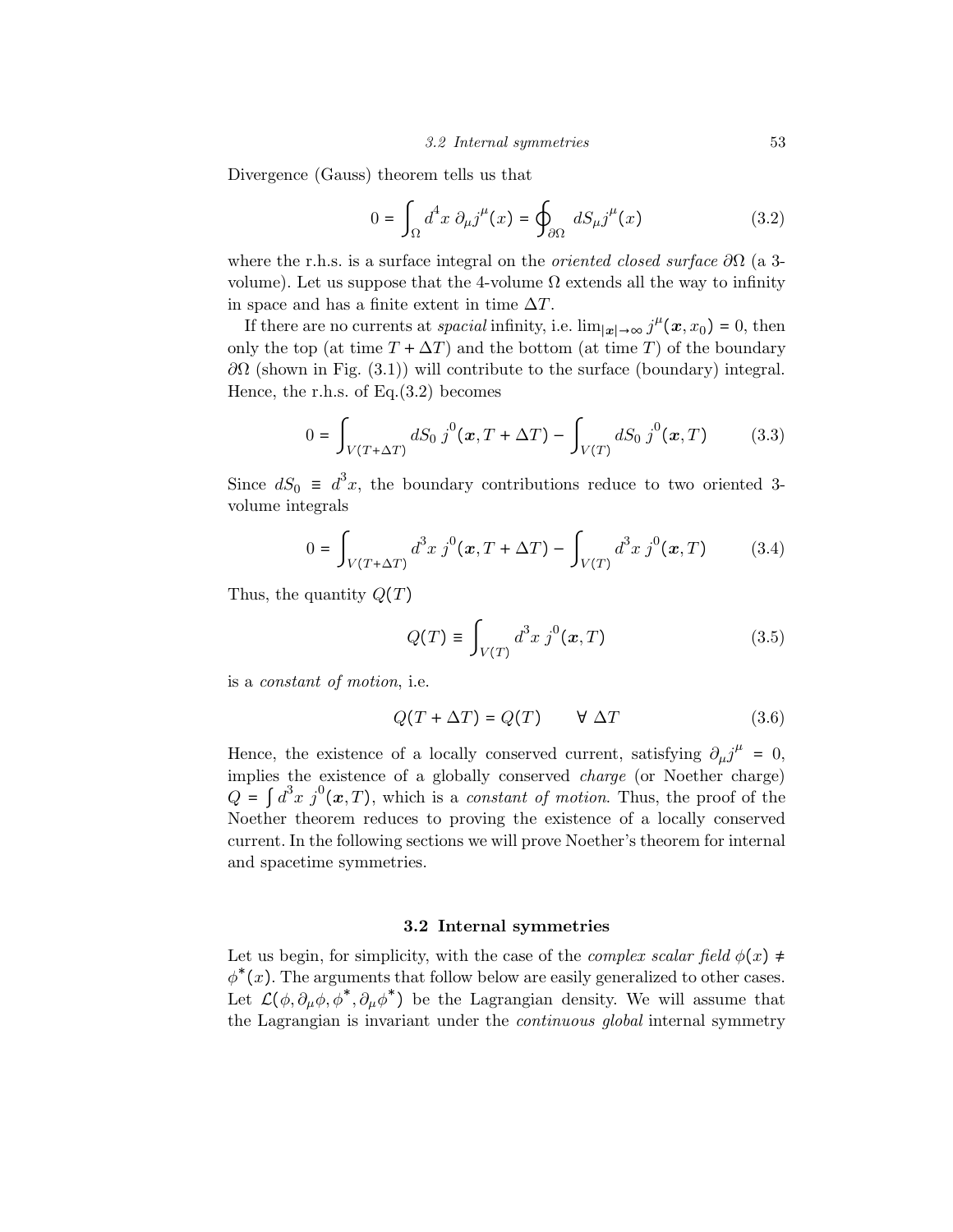Divergence (Gauss) theorem tells us that

$$
0 = \int_{\Omega} d^4 x \ \partial_{\mu} j^{\mu}(x) = \oint_{\partial \Omega} dS_{\mu} j^{\mu}(x) \tag{3.2}
$$

where the r.h.s. is a surface integral on the *oriented closed surface*  $\partial\Omega$  (a 3volume). Let us suppose that the 4-volume  $\Omega$  extends all the way to infinity in space and has a finite extent in time  $\Delta T$ .

If there are no currents at *spacial* infinity, i.e.  $\lim_{|\mathbf{x}| \to \infty} j^{\mu}(\mathbf{x}, x_0) = 0$ , then only the top (at time  $T + \Delta T$ ) and the bottom (at time T) of the boundary  $\partial\Omega$  (shown in Fig. (3.1)) will contribute to the surface (boundary) integral. Hence, the r.h.s. of  $Eq.(3.2)$  becomes

$$
0 = \int_{V(T+\Delta T)} dS_0 j^0(\mathbf{x}, T + \Delta T) - \int_{V(T)} dS_0 j^0(\mathbf{x}, T) \tag{3.3}
$$

Since  $dS_0 \equiv d^3x$ , the boundary contributions reduce to two oriented 3volume integrals

$$
0 = \int_{V(T+\Delta T)} d^3x \, j^0(\mathbf{x}, T + \Delta T) - \int_{V(T)} d^3x \, j^0(\mathbf{x}, T) \tag{3.4}
$$

Thus, the quantity  $Q(T)$ 

$$
Q(T) \equiv \int_{V(T)} d^3x \; j^0(\mathbf{x}, T) \tag{3.5}
$$

is a constant of motion, i.e.

$$
Q(T + \Delta T) = Q(T) \qquad \forall \Delta T \tag{3.6}
$$

Hence, the existence of a locally conserved current, satisfying  $\partial_\mu j^\mu = 0$ , implies the existence of a globally conserved charge (or Noether charge)  $Q = \int d^3x \, j^0(\boldsymbol{x},T)$ , which is a *constant of motion*. Thus, the proof of the Noether theorem reduces to proving the existence of a locally conserved current. In the following sections we will prove Noether's theorem for internal and spacetime symmetries.

## 3.2 Internal symmetries

Let us begin, for simplicity, with the case of the *complex scalar field*  $\phi(x) \neq$  $\phi^*(x)$ . The arguments that follow below are easily generalized to other cases. Let  $\mathcal{L}(\phi, \partial_{\mu}\phi, \phi^*, \partial_{\mu}\phi^*)$  be the Lagrangian density. We will assume that the Lagrangian is invariant under the *continuous global* internal symmetry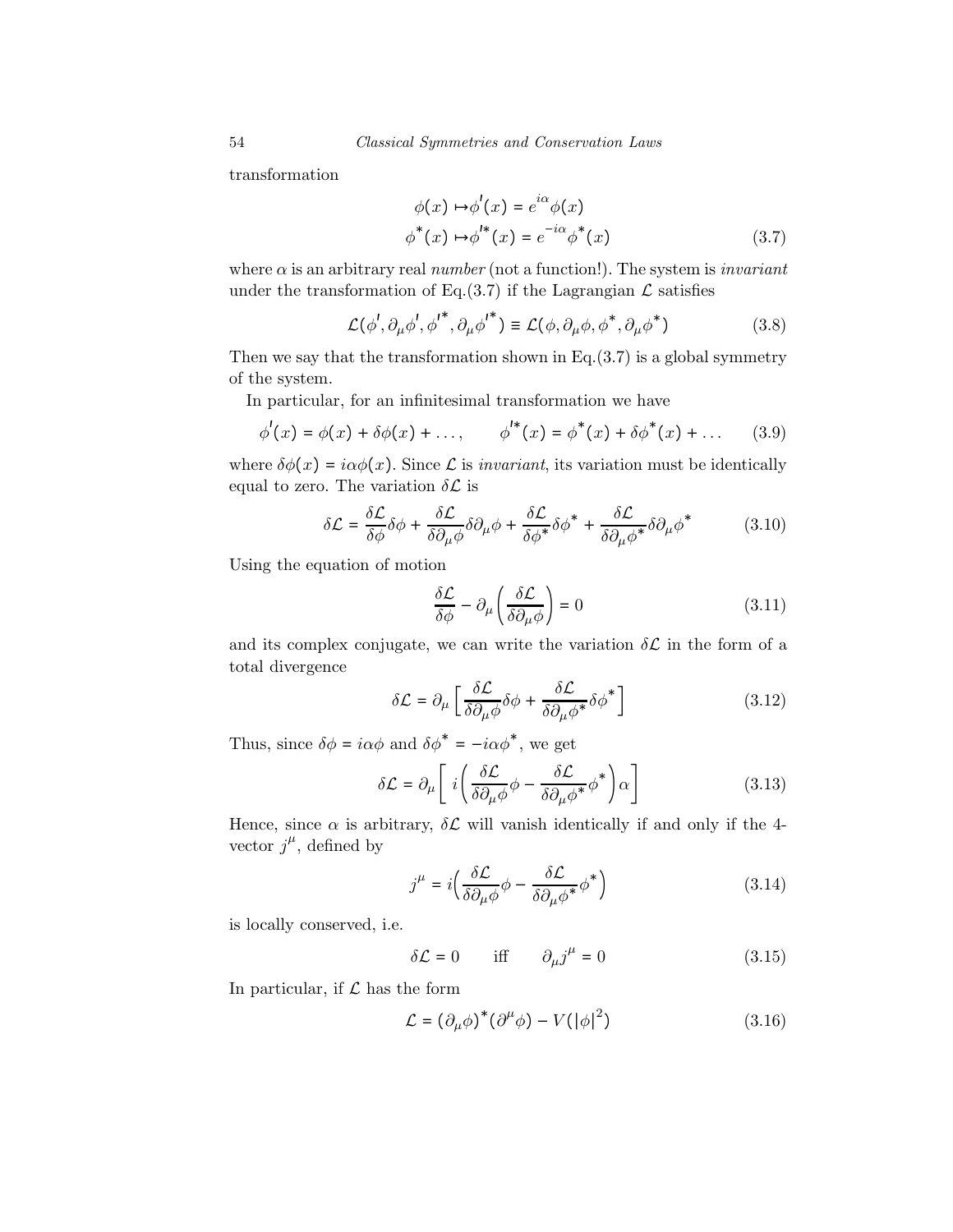transformation

$$
\phi(x) \mapsto \phi'(x) = e^{i\alpha} \phi(x)
$$
  

$$
\phi^*(x) \mapsto \phi'^*(x) = e^{-i\alpha} \phi^*(x)
$$
 (3.7)

where  $\alpha$  is an arbitrary real number (not a function!). The system is *invariant* under the transformation of Eq.(3.7) if the Lagrangian  $\mathcal L$  satisfies

$$
\mathcal{L}(\phi', \partial_{\mu}\phi', {\phi'}^*, \partial_{\mu}{\phi'}^*) \equiv \mathcal{L}(\phi, \partial_{\mu}\phi, {\phi}^*, \partial_{\mu}\phi^*)
$$
 (3.8)

Then we say that the transformation shown in Eq. $(3.7)$  is a global symmetry of the system.

In particular, for an infinitesimal transformation we have

$$
\phi'(x) = \phi(x) + \delta\phi(x) + ..., \qquad \phi^{**}(x) = \phi^{*}(x) + \delta\phi^{*}(x) + ... \qquad (3.9)
$$

where  $\delta\phi(x) = i\alpha\phi(x)$ . Since  $\mathcal L$  is *invariant*, its variation must be identically equal to zero. The variation  $\delta \mathcal{L}$  is

$$
\delta \mathcal{L} = \frac{\delta \mathcal{L}}{\delta \phi} \delta \phi + \frac{\delta \mathcal{L}}{\delta \partial_{\mu} \phi} \delta \partial_{\mu} \phi + \frac{\delta \mathcal{L}}{\delta \phi^*} \delta \phi^* + \frac{\delta \mathcal{L}}{\delta \partial_{\mu} \phi^*} \delta \partial_{\mu} \phi^* \tag{3.10}
$$

Using the equation of motion

$$
\frac{\delta \mathcal{L}}{\delta \phi} - \partial_{\mu} \left( \frac{\delta \mathcal{L}}{\delta \partial_{\mu} \phi} \right) = 0 \tag{3.11}
$$

and its complex conjugate, we can write the variation  $\delta \mathcal{L}$  in the form of a total divergence

$$
\delta \mathcal{L} = \partial_{\mu} \left[ \frac{\delta \mathcal{L}}{\delta \partial_{\mu} \phi} \delta \phi + \frac{\delta \mathcal{L}}{\delta \partial_{\mu} \phi^*} \delta \phi^* \right]
$$
(3.12)

Thus, since  $\delta \phi = i \alpha \phi$  and  $\delta \phi^* = -i \alpha \phi^*$ , we get

$$
\delta \mathcal{L} = \partial_{\mu} \left[ i \left( \frac{\delta \mathcal{L}}{\delta \partial_{\mu} \phi} \phi - \frac{\delta \mathcal{L}}{\delta \partial_{\mu} \phi^*} \phi^* \right) \alpha \right]
$$
(3.13)

Hence, since  $\alpha$  is arbitrary,  $\delta \mathcal{L}$  will vanish identically if and only if the 4vector  $j^{\mu}$ , defined by

$$
j^{\mu} = i \left( \frac{\delta \mathcal{L}}{\delta \partial_{\mu} \phi} \phi - \frac{\delta \mathcal{L}}{\delta \partial_{\mu} \phi^*} \phi^* \right)
$$
 (3.14)

is locally conserved, i.e.

$$
\delta \mathcal{L} = 0 \quad \text{iff} \quad \partial_{\mu} j^{\mu} = 0 \tag{3.15}
$$

In particular, if  $\mathcal L$  has the form

$$
\mathcal{L} = (\partial_{\mu}\phi)^{*}(\partial^{\mu}\phi) - V(|\phi|^{2})
$$
\n(3.16)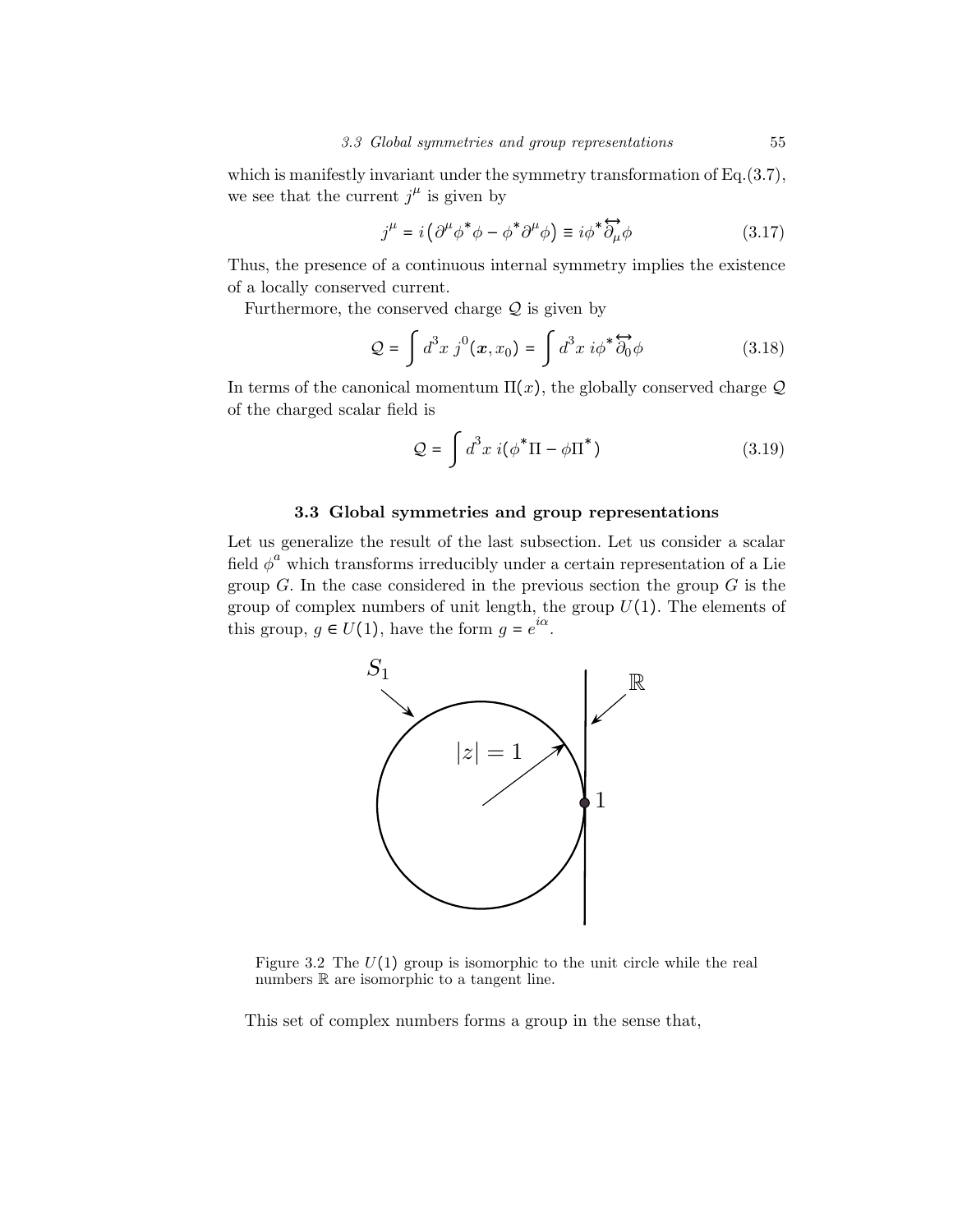which is manifestly invariant under the symmetry transformation of Eq.(3.7), we see that the current  $j^{\mu}$  is given by

$$
j^{\mu} = i \left( \partial^{\mu} \phi^* \phi - \phi^* \partial^{\mu} \phi \right) \equiv i \phi^* \overleftrightarrow{\partial_{\mu}} \phi \tag{3.17}
$$

Thus, the presence of a continuous internal symmetry implies the existence of a locally conserved current.

Furthermore, the conserved charge  $Q$  is given by

$$
\mathcal{Q} = \int d^3x \, j^0(\boldsymbol{x}, x_0) = \int d^3x \, i\phi^* \overleftrightarrow{\partial_0} \phi \tag{3.18}
$$

In terms of the canonical momentum  $\Pi(x)$ , the globally conserved charge  $\mathcal Q$ of the charged scalar field is

$$
\mathcal{Q} = \int d^3x \; i(\phi^* \Pi - \phi \Pi^*) \tag{3.19}
$$

## 3.3 Global symmetries and group representations

Let us generalize the result of the last subsection. Let us consider a scalar field  $\phi^a$  which transforms irreducibly under a certain representation of a Lie group  $G$ . In the case considered in the previous section the group  $G$  is the group of complex numbers of unit length, the group  $U(1)$ . The elements of this group,  $g \in U(1)$ , have the form  $g = e^{i\alpha}$ .



Figure 3.2 The  $U(1)$  group is isomorphic to the unit circle while the real numbers  $\mathbb R$  are isomorphic to a tangent line.

This set of complex numbers forms a group in the sense that,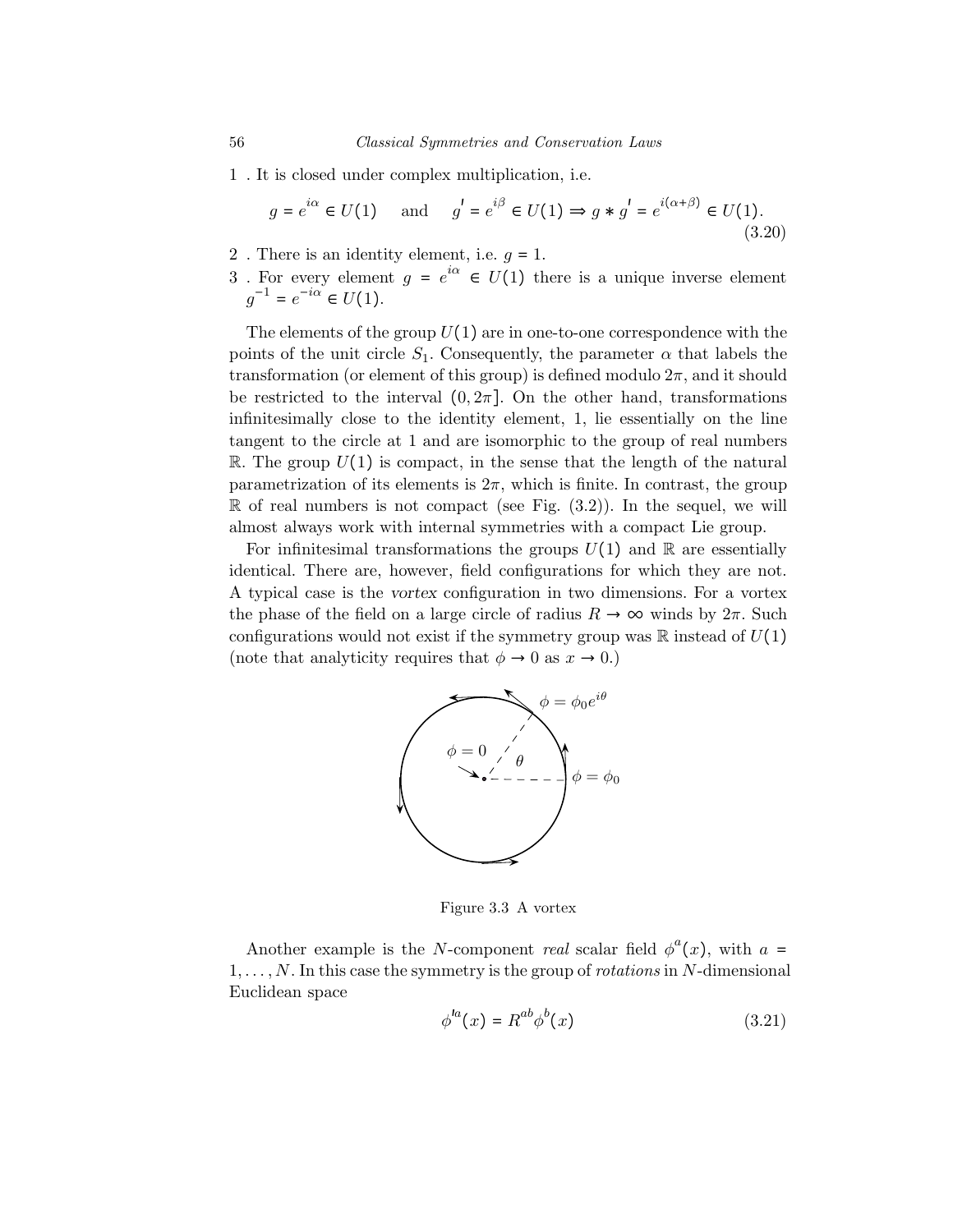1 . It is closed under complex multiplication, i.e.

$$
g = e^{i\alpha} \in U(1) \quad \text{and} \quad g' = e^{i\beta} \in U(1) \Rightarrow g * g' = e^{i(\alpha + \beta)} \in U(1).
$$
\n(3.20)

- 2. There is an identity element, i.e.  $q = 1$ .
- 3. For every element  $g = e^{i\alpha} \in U(1)$  there is a unique inverse element  $g^{-1} = e^{-i\alpha} \in U(1).$

The elements of the group  $U(1)$  are in one-to-one correspondence with the points of the unit circle  $S_1$ . Consequently, the parameter  $\alpha$  that labels the transformation (or element of this group) is defined modulo  $2\pi$ , and it should be restricted to the interval  $(0, 2\pi]$ . On the other hand, transformations infinitesimally close to the identity element, 1, lie essentially on the line tangent to the circle at 1 and are isomorphic to the group of real numbers R. The group  $U(1)$  is compact, in the sense that the length of the natural parametrization of its elements is  $2\pi$ , which is finite. In contrast, the group  $\mathbb R$  of real numbers is not compact (see Fig. (3.2)). In the sequel, we will almost always work with internal symmetries with a compact Lie group.

For infinitesimal transformations the groups  $U(1)$  and R are essentially identical. There are, however, field configurations for which they are not. A typical case is the vortex configuration in two dimensions. For a vortex the phase of the field on a large circle of radius  $R \to \infty$  winds by  $2\pi$ . Such configurations would not exist if the symmetry group was  $\mathbb R$  instead of  $U(1)$ (note that analyticity requires that  $\phi \to 0$  as  $x \to 0$ .)



Figure 3.3 A vortex

Another example is the N-component *real* scalar field  $\phi^a(x)$ , with  $a =$  $1, \ldots, N$ . In this case the symmetry is the group of *rotations* in N-dimensional Euclidean space

$$
\phi^{la}(x) = R^{ab}\phi^b(x) \tag{3.21}
$$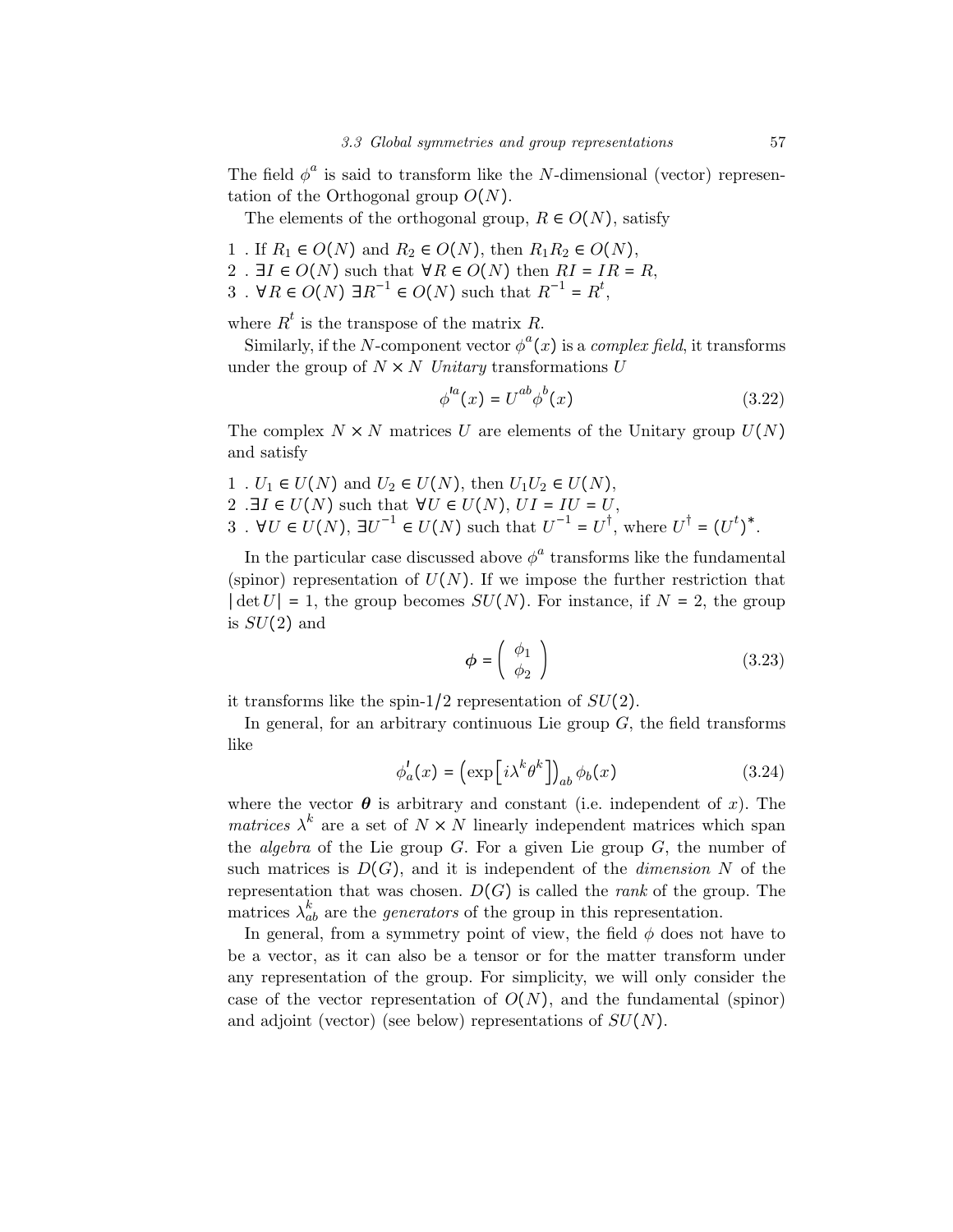The field  $\phi^a$  is said to transform like the N-dimensional (vector) representation of the Orthogonal group  $O(N)$ .

The elements of the orthogonal group,  $R \in O(N)$ , satisfy

- 1 . If  $R_1 \in O(N)$  and  $R_2 \in O(N)$ , then  $R_1R_2 \in O(N)$ ,
- 2 .  $\exists I \in O(N)$  such that  $\forall R \in O(N)$  then  $RI = IR = R$ ,
- 3 . ∀ $R \in O(N)$  ∃ $R^{-1} \in O(N)$  such that  $R^{-1} = R^{t}$ ,

where  $R^t$  is the transpose of the matrix R.

Similarly, if the N-component vector  $\phi^a(x)$  is a *complex field*, it transforms under the group of  $N \times N$  Unitary transformations U

$$
\phi^{la}(x) = U^{ab}\phi^b(x) \tag{3.22}
$$

The complex  $N \times N$  matrices U are elements of the Unitary group  $U(N)$ and satisfy

1. 
$$
U_1 \in U(N)
$$
 and  $U_2 \in U(N)$ , then  $U_1U_2 \in U(N)$ ,  
2.  $\exists I \in U(N)$  such that  $\forall U \in U(N)$ ,  $UI = IU = U$ ,  
3.  $\forall U \in U(N)$ ,  $\exists U^{-1} \in U(N)$  such that  $U^{-1} = U^{\dagger}$ , where  $U^{\dagger} = (U^t)^*$ .

In the particular case discussed above  $\phi^a$  transforms like the fundamental (spinor) representation of  $U(N)$ . If we impose the further restriction that  $|\det U| = 1$ , the group becomes  $SU(N)$ . For instance, if  $N = 2$ , the group is  $SU(2)$  and

$$
\phi = \left(\begin{array}{c} \phi_1 \\ \phi_2 \end{array}\right) \tag{3.23}
$$

it transforms like the spin-1/2 representation of  $SU(2)$ .

In general, for an arbitrary continuous Lie group  $G$ , the field transforms like

$$
\phi_a'(x) = \left(\exp\left[i\lambda^k \theta^k\right]\right)_{ab} \phi_b(x) \tag{3.24}
$$

where the vector  $\theta$  is arbitrary and constant (i.e. independent of x). The *matrices*  $\lambda^k$  are a set of  $N \times N$  linearly independent matrices which span the *algebra* of the Lie group  $G$ . For a given Lie group  $G$ , the number of such matrices is  $D(G)$ , and it is independent of the *dimension* N of the representation that was chosen.  $D(G)$  is called the *rank* of the group. The matrices  $\lambda_{ab}^k$  are the *generators* of the group in this representation.

In general, from a symmetry point of view, the field  $\phi$  does not have to be a vector, as it can also be a tensor or for the matter transform under any representation of the group. For simplicity, we will only consider the case of the vector representation of  $O(N)$ , and the fundamental (spinor) and adjoint (vector) (see below) representations of  $SU(N)$ .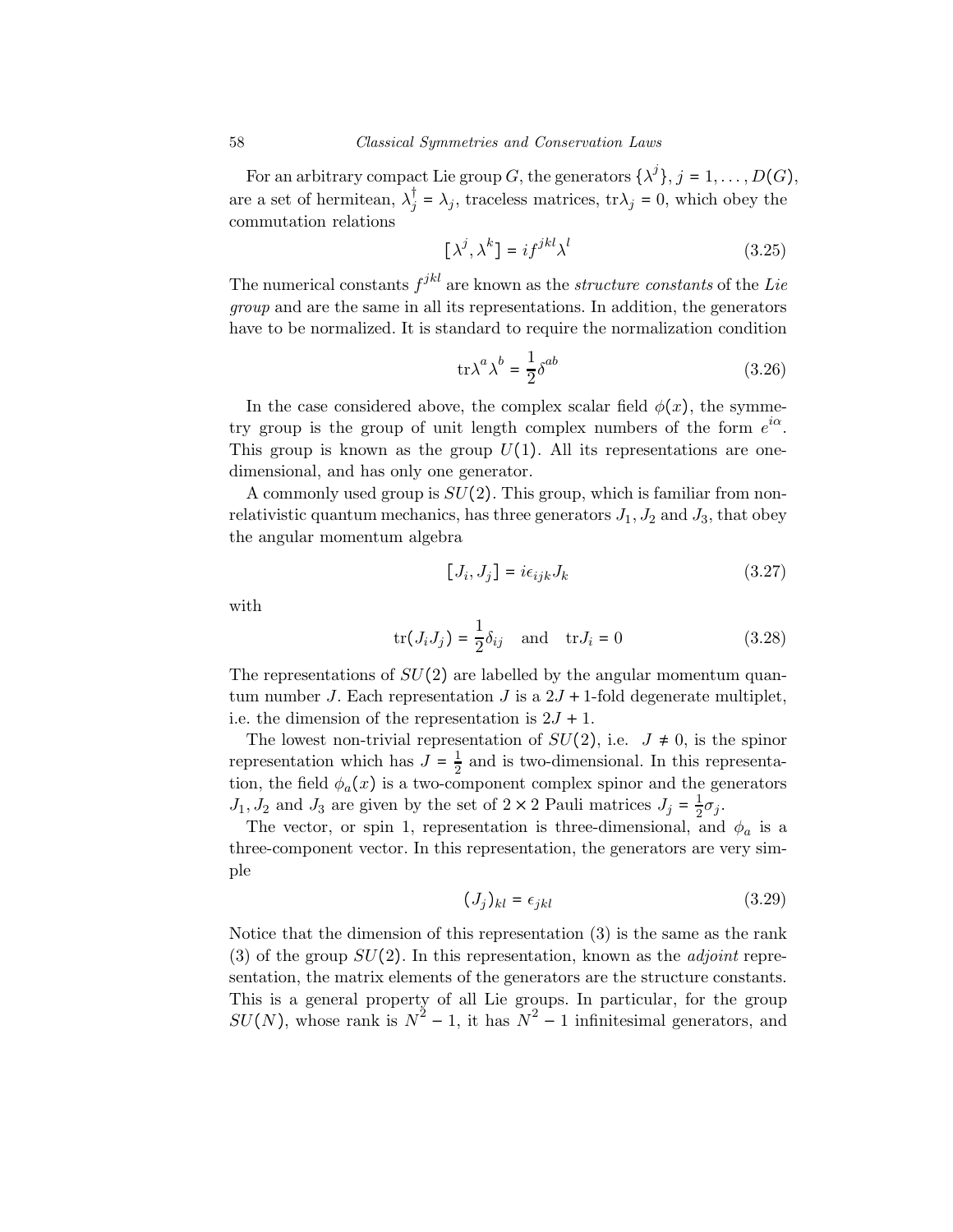For an arbitrary compact Lie group G, the generators  $\{\lambda^j\}$ ,  $j = 1, \ldots, D(G)$ , are a set of hermitean,  $\lambda_j^{\dagger} = \lambda_j$ , traceless matrices,  $\text{tr}\lambda_j = 0$ , which obey the commutation relations

$$
[\lambda^j, \lambda^k] = i f^{jkl} \lambda^l \tag{3.25}
$$

The numerical constants  $f^{jkl}$  are known as the *structure constants* of the Lie group and are the same in all its representations. In addition, the generators have to be normalized. It is standard to require the normalization condition

$$
\text{tr}\lambda^a \lambda^b = \frac{1}{2} \delta^{ab} \tag{3.26}
$$

In the case considered above, the complex scalar field  $\phi(x)$ , the symmetry group is the group of unit length complex numbers of the form  $e^{i\alpha}$ . This group is known as the group  $U(1)$ . All its representations are onedimensional, and has only one generator.

A commonly used group is  $SU(2)$ . This group, which is familiar from nonrelativistic quantum mechanics, has three generators  $J_1, J_2$  and  $J_3$ , that obey the angular momentum algebra

$$
[J_i, J_j] = i\epsilon_{ijk}J_k \tag{3.27}
$$

with

$$
\text{tr}(J_i J_j) = \frac{1}{2} \delta_{ij} \quad \text{and} \quad \text{tr} J_i = 0 \tag{3.28}
$$

The representations of  $SU(2)$  are labelled by the angular momentum quantum number J. Each representation J is a  $2J + 1$ -fold degenerate multiplet, i.e. the dimension of the representation is  $2J + 1$ .

The lowest non-trivial representation of  $SU(2)$ , i.e.  $J \neq 0$ , is the spinor representation which has  $J = \frac{1}{2}$  and is two-dimensional. In this representation, the field  $\phi_a(x)$  is a two-component complex spinor and the generators  $J_1, J_2$  and  $J_3$  are given by the set of  $2 \times 2$  Pauli matrices  $J_j = \frac{1}{2}\sigma_j$ .

The vector, or spin 1, representation is three-dimensional, and  $\phi_a$  is a three-component vector. In this representation, the generators are very simple

$$
(J_j)_{kl} = \epsilon_{jkl} \tag{3.29}
$$

Notice that the dimension of this representation (3) is the same as the rank (3) of the group  $SU(2)$ . In this representation, known as the *adjoint* representation, the matrix elements of the generators are the structure constants. This is a general property of all Lie groups. In particular, for the group  $SU(N)$ , whose rank is  $N^2 - 1$ , it has  $N^2 - 1$  infinitesimal generators, and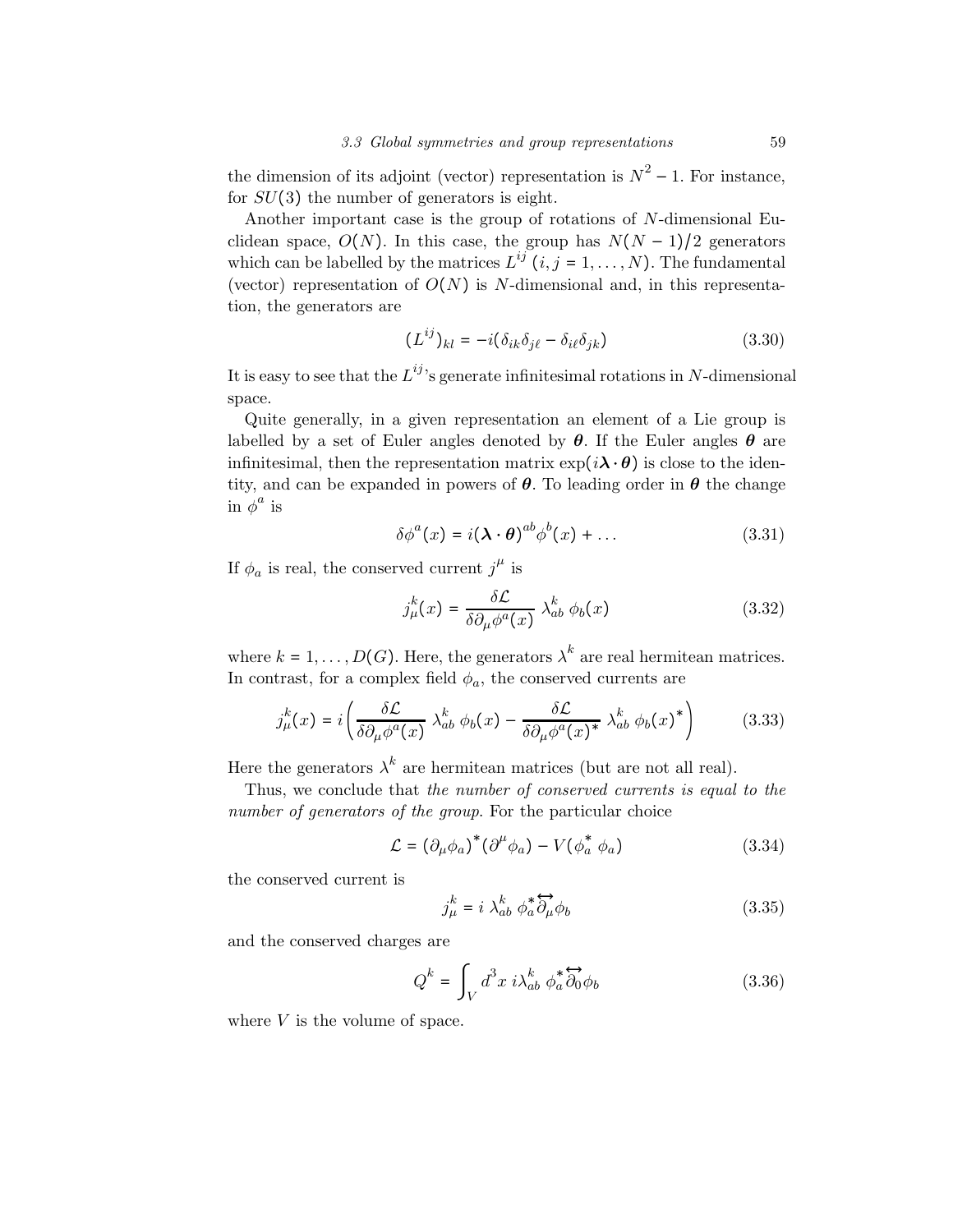the dimension of its adjoint (vector) representation is  $N^2 - 1$ . For instance, for  $SU(3)$  the number of generators is eight.

Another important case is the group of rotations of N-dimensional Euclidean space,  $O(N)$ . In this case, the group has  $N(N-1)/2$  generators which can be labelled by the matrices  $L^{ij}$  (i, j = 1, ..., N). The fundamental (vector) representation of  $O(N)$  is N-dimensional and, in this representation, the generators are

$$
(L^{ij})_{kl} = -i(\delta_{ik}\delta_{j\ell} - \delta_{i\ell}\delta_{jk})
$$
\n(3.30)

It is easy to see that the  $L^{ij}$ 's generate infinitesimal rotations in N-dimensional space.

Quite generally, in a given representation an element of a Lie group is labelled by a set of Euler angles denoted by  $\theta$ . If the Euler angles  $\theta$  are infinitesimal, then the representation matrix  $\exp(i\lambda \cdot \theta)$  is close to the identity, and can be expanded in powers of  $\theta$ . To leading order in  $\theta$  the change in  $\boldsymbol{\phi}^a$  is

$$
\delta \phi^{a}(x) = i(\lambda \cdot \theta)^{ab} \phi^{b}(x) + \dots \qquad (3.31)
$$

If  $\phi_a$  is real, the conserved current  $j^{\mu}$  is

$$
j_{\mu}^{k}(x) = \frac{\delta \mathcal{L}}{\delta \partial_{\mu} \phi^{a}(x)} \lambda_{ab}^{k} \phi_{b}(x)
$$
 (3.32)

where  $k = 1, \ldots, D(G)$ . Here, the generators  $\lambda^k$  are real hermitean matrices. In contrast, for a complex field  $\phi_a$ , the conserved currents are

$$
j_{\mu}^{k}(x) = i \left( \frac{\delta \mathcal{L}}{\delta \partial_{\mu} \phi^{a}(x)} \lambda_{ab}^{k} \phi_{b}(x) - \frac{\delta \mathcal{L}}{\delta \partial_{\mu} \phi^{a}(x)^{*}} \lambda_{ab}^{k} \phi_{b}(x)^{*} \right)
$$
(3.33)

Here the generators  $\lambda^k$  are hermitean matrices (but are not all real).

Thus, we conclude that the number of conserved currents is equal to the number of generators of the group. For the particular choice

$$
\mathcal{L} = (\partial_{\mu} \phi_a)^* (\partial^{\mu} \phi_a) - V(\phi_a^* \phi_a)
$$
 (3.34)

the conserved current is

$$
j_{\mu}^{k} = i \lambda_{ab}^{k} \phi_{a}^{*} \overleftrightarrow{\partial_{\mu}} \phi_{b}
$$
 (3.35)

and the conserved charges are

$$
Q^k = \int_V d^3x \, i \lambda_{ab}^k \, \phi_a^* \overleftrightarrow{\partial_0} \phi_b \tag{3.36}
$$

where  $V$  is the volume of space.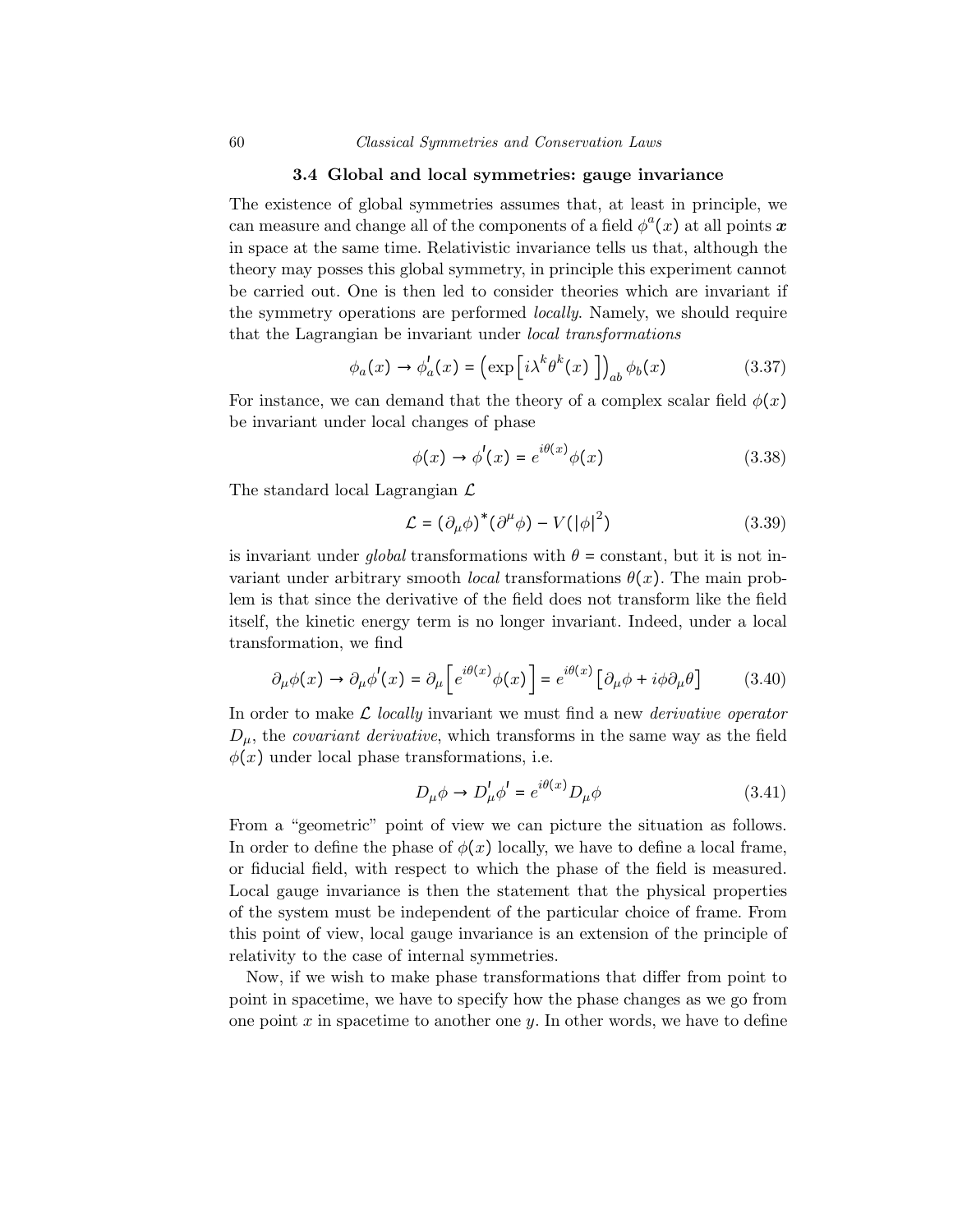#### 3.4 Global and local symmetries: gauge invariance

The existence of global symmetries assumes that, at least in principle, we can measure and change all of the components of a field  $\phi^a(x)$  at all points  $\boldsymbol{x}$ in space at the same time. Relativistic invariance tells us that, although the theory may posses this global symmetry, in principle this experiment cannot be carried out. One is then led to consider theories which are invariant if the symmetry operations are performed locally. Namely, we should require that the Lagrangian be invariant under local transformations

$$
\phi_a(x) \to \phi'_a(x) = \left(\exp\left[i\lambda^k \theta^k(x)\right]\right)_{ab} \phi_b(x) \tag{3.37}
$$

For instance, we can demand that the theory of a complex scalar field  $\phi(x)$ be invariant under local changes of phase

$$
\phi(x) \to \phi'(x) = e^{i\theta(x)}\phi(x) \tag{3.38}
$$

The standard local Lagrangian  $\mathcal{L}$ 

$$
\mathcal{L} = (\partial_{\mu}\phi)^{*}(\partial^{\mu}\phi) - V(|\phi|^{2})
$$
\n(3.39)

is invariant under global transformations with  $\theta$  = constant, but it is not invariant under arbitrary smooth *local* transformations  $\theta(x)$ . The main problem is that since the derivative of the field does not transform like the field itself, the kinetic energy term is no longer invariant. Indeed, under a local transformation, we find

$$
\partial_{\mu}\phi(x) \to \partial_{\mu}\phi'(x) = \partial_{\mu}\left[e^{i\theta(x)}\phi(x)\right] = e^{i\theta(x)}\left[\partial_{\mu}\phi + i\phi\partial_{\mu}\theta\right] \tag{3.40}
$$

In order to make  $\mathcal L$  locally invariant we must find a new *derivative operator*  $D_{\mu}$ , the *covariant derivative*, which transforms in the same way as the field  $\phi(x)$  under local phase transformations, i.e.

$$
D_{\mu}\phi \to D_{\mu}'\phi' = e^{i\theta(x)} D_{\mu}\phi \tag{3.41}
$$

From a "geometric" point of view we can picture the situation as follows. In order to define the phase of  $\phi(x)$  locally, we have to define a local frame, or fiducial field, with respect to which the phase of the field is measured. Local gauge invariance is then the statement that the physical properties of the system must be independent of the particular choice of frame. From this point of view, local gauge invariance is an extension of the principle of relativity to the case of internal symmetries.

Now, if we wish to make phase transformations that differ from point to point in spacetime, we have to specify how the phase changes as we go from one point x in spacetime to another one  $\gamma$ . In other words, we have to define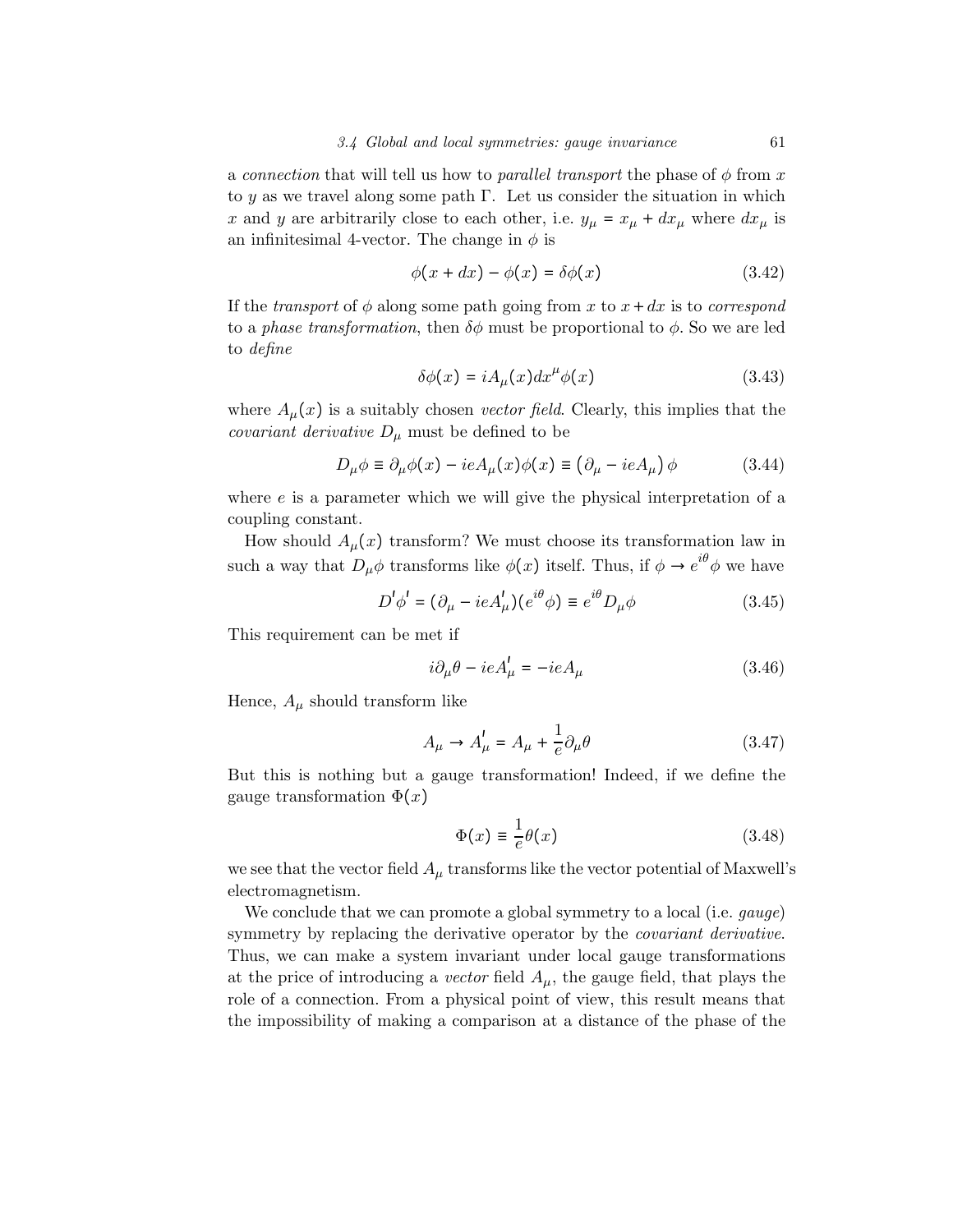a connection that will tell us how to parallel transport the phase of  $\phi$  from x to y as we travel along some path  $\Gamma$ . Let us consider the situation in which x and y are arbitrarily close to each other, i.e.  $y_{\mu} = x_{\mu} + dx_{\mu}$  where  $dx_{\mu}$  is an infinitesimal 4-vector. The change in  $\phi$  is

$$
\phi(x+dx) - \phi(x) = \delta\phi(x) \tag{3.42}
$$

If the transport of  $\phi$  along some path going from x to  $x + dx$  is to correspond to a phase transformation, then  $\delta\phi$  must be proportional to  $\phi$ . So we are led to define

$$
\delta\phi(x) = iA_{\mu}(x)dx^{\mu}\phi(x)
$$
\n(3.43)

where  $A_\mu(x)$  is a suitably chosen vector field. Clearly, this implies that the *covariant derivative*  $D_{\mu}$  must be defined to be

$$
D_{\mu}\phi \equiv \partial_{\mu}\phi(x) - ieA_{\mu}(x)\phi(x) \equiv (\partial_{\mu} - ieA_{\mu})\phi \qquad (3.44)
$$

where  $e$  is a parameter which we will give the physical interpretation of a coupling constant.

How should  $A_\mu(x)$  transform? We must choose its transformation law in such a way that  $D_{\mu}\phi$  transforms like  $\phi(x)$  itself. Thus, if  $\phi \to e^{i\theta}\phi$  we have

$$
D'\phi' = (\partial_{\mu} - ieA'_{\mu})(e^{i\theta}\phi) \equiv e^{i\theta}D_{\mu}\phi \qquad (3.45)
$$

This requirement can be met if

$$
i\partial_{\mu}\theta - ieA_{\mu}' = -ieA_{\mu} \tag{3.46}
$$

Hence,  $A_{\mu}$  should transform like

$$
A_{\mu} \to A_{\mu}' = A_{\mu} + \frac{1}{e} \partial_{\mu} \theta \tag{3.47}
$$

But this is nothing but a gauge transformation! Indeed, if we define the gauge transformation  $\Phi(x)$ 

$$
\Phi(x) \equiv \frac{1}{e} \theta(x) \tag{3.48}
$$

we see that the vector field  $A_\mu$  transforms like the vector potential of Maxwell's electromagnetism.

We conclude that we can promote a global symmetry to a local (i.e. *gauge*) symmetry by replacing the derivative operator by the *covariant derivative*. Thus, we can make a system invariant under local gauge transformations at the price of introducing a vector field  $A_{\mu}$ , the gauge field, that plays the role of a connection. From a physical point of view, this result means that the impossibility of making a comparison at a distance of the phase of the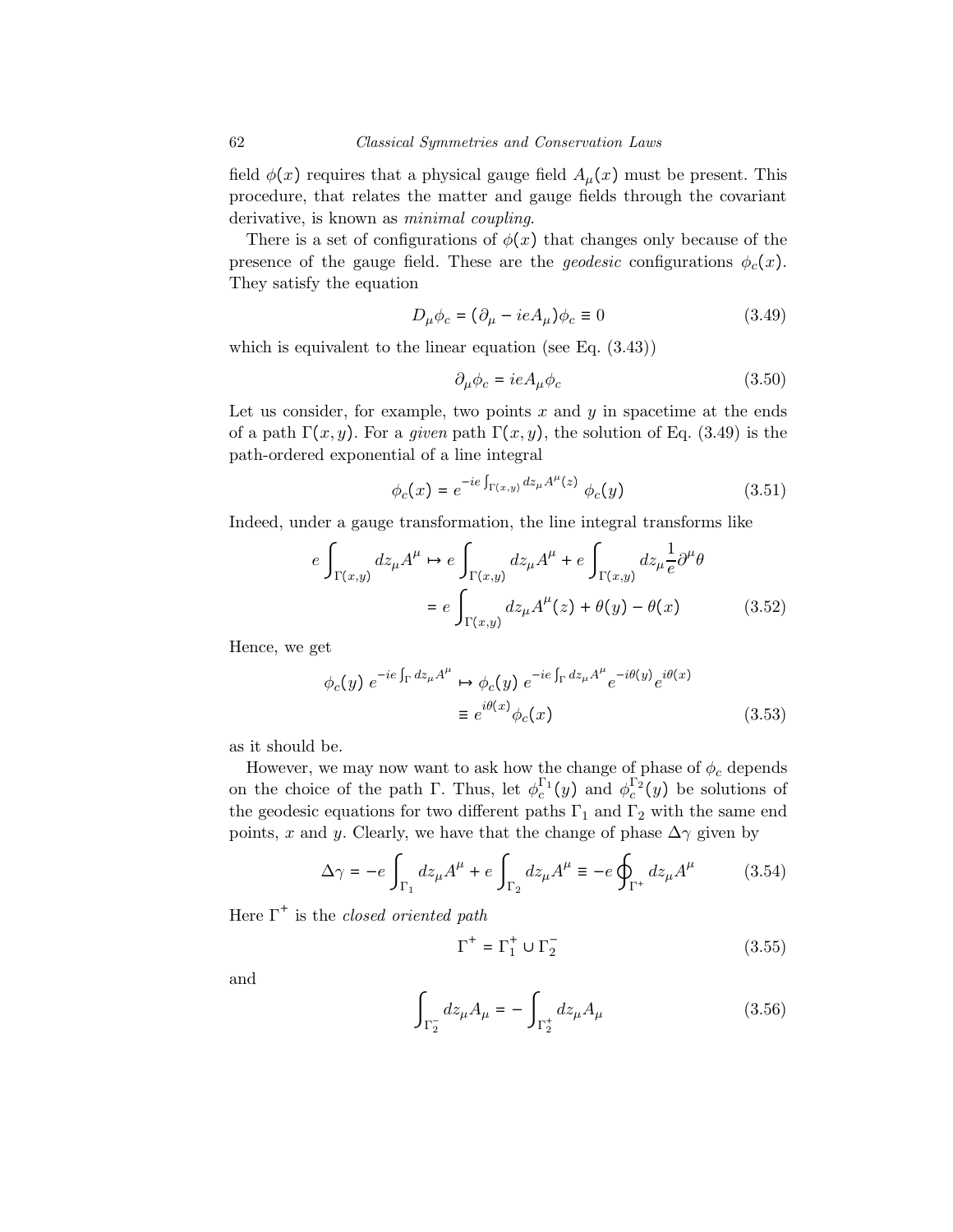field  $\phi(x)$  requires that a physical gauge field  $A_\mu(x)$  must be present. This procedure, that relates the matter and gauge fields through the covariant derivative, is known as *minimal coupling*.

There is a set of configurations of  $\phi(x)$  that changes only because of the presence of the gauge field. These are the *geodesic* configurations  $\phi_c(x)$ . They satisfy the equation

$$
D_{\mu}\phi_c = (\partial_{\mu} - ieA_{\mu})\phi_c \equiv 0 \tag{3.49}
$$

which is equivalent to the linear equation (see Eq. (3.43))

$$
\partial_{\mu}\phi_c = ieA_{\mu}\phi_c \tag{3.50}
$$

Let us consider, for example, two points  $x$  and  $y$  in spacetime at the ends of a path  $\Gamma(x, y)$ . For a *given* path  $\Gamma(x, y)$ , the solution of Eq. (3.49) is the path-ordered exponential of a line integral

$$
\phi_c(x) = e^{-ie \int_{\Gamma(x,y)} dz_{\mu} A^{\mu}(z)} \phi_c(y) \tag{3.51}
$$

Indeed, under a gauge transformation, the line integral transforms like

$$
e \int_{\Gamma(x,y)} dz_{\mu} A^{\mu} \mapsto e \int_{\Gamma(x,y)} dz_{\mu} A^{\mu} + e \int_{\Gamma(x,y)} dz_{\mu} \frac{1}{e} \partial^{\mu} \theta
$$

$$
= e \int_{\Gamma(x,y)} dz_{\mu} A^{\mu}(z) + \theta(y) - \theta(x) \qquad (3.52)
$$

Hence, we get

$$
\phi_c(y) e^{-ie \int_{\Gamma} dz_{\mu} A^{\mu}} \mapsto \phi_c(y) e^{-ie \int_{\Gamma} dz_{\mu} A^{\mu}} e^{-i\theta(y)} e^{i\theta(x)}
$$
  

$$
\equiv e^{i\theta(x)} \phi_c(x) \tag{3.53}
$$

as it should be.

However, we may now want to ask how the change of phase of  $\phi_c$  depends on the choice of the path Γ. Thus, let  $\phi_c^{\Gamma_1}(y)$  and  $\phi_c^{\Gamma_2}(y)$  be solutions of the geodesic equations for two different paths  $\Gamma_1$  and  $\Gamma_2$  with the same end points, x and y. Clearly, we have that the change of phase  $\Delta \gamma$  given by

$$
\Delta \gamma = -e \int_{\Gamma_1} dz_{\mu} A^{\mu} + e \int_{\Gamma_2} dz_{\mu} A^{\mu} \equiv -e \oint_{\Gamma^+} dz_{\mu} A^{\mu} \tag{3.54}
$$

Here  $\Gamma^+$  is the *closed oriented path* 

$$
\Gamma^+ = \Gamma_1^+ \cup \Gamma_2^- \tag{3.55}
$$

and

$$
\int_{\Gamma_2^-} dz_{\mu} A_{\mu} = - \int_{\Gamma_2^+} dz_{\mu} A_{\mu}
$$
\n(3.56)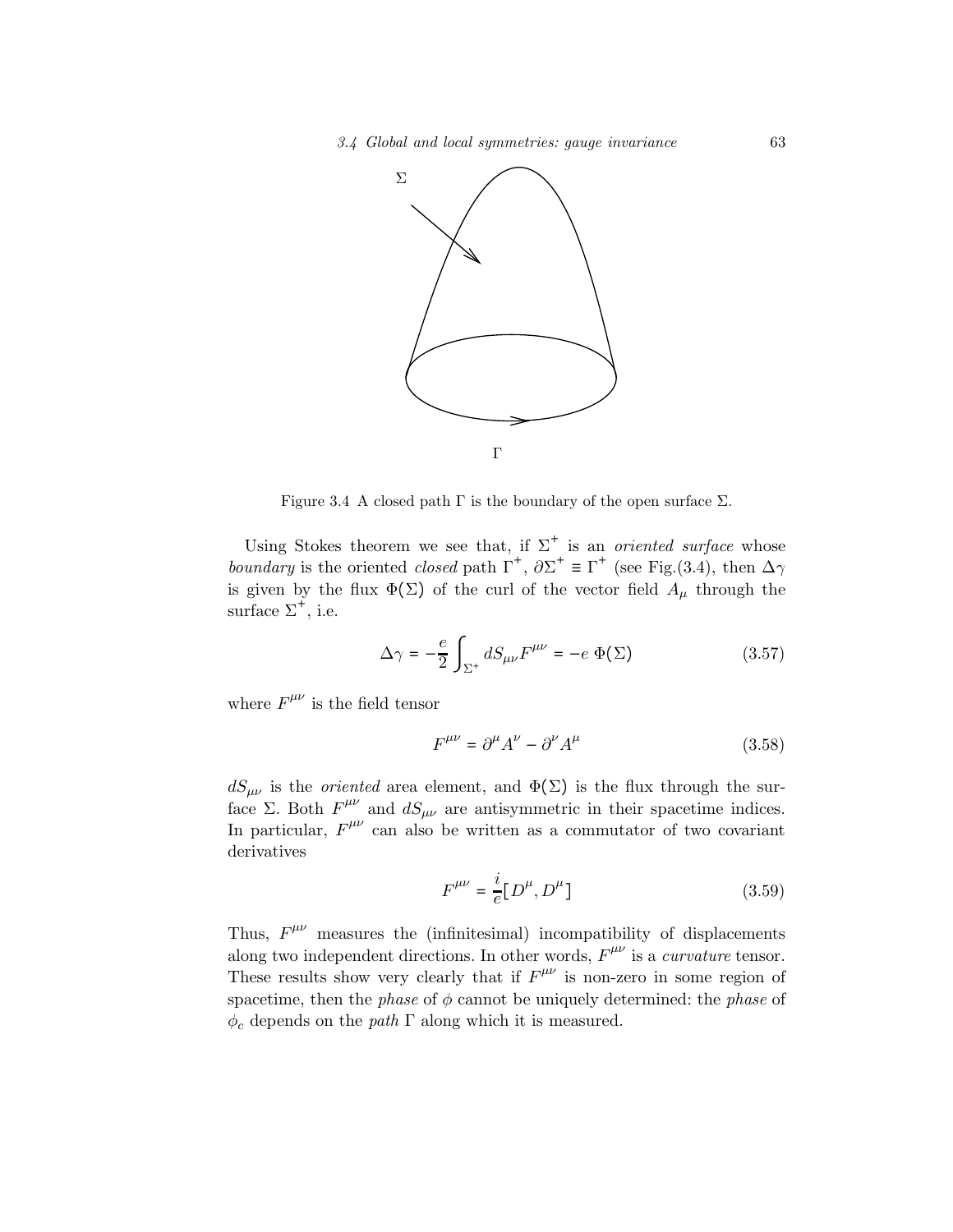

Figure 3.4 A closed path  $\Gamma$  is the boundary of the open surface  $\Sigma$ .

Using Stokes theorem we see that, if  $\Sigma^+$  is an *oriented surface* whose boundary is the oriented closed path  $\Gamma^+$ ,  $\partial \Sigma^+ \equiv \Gamma^+$  (see Fig.(3.4), then  $\Delta \gamma$ is given by the flux  $\Phi(\Sigma)$  of the curl of the vector field  $A_\mu$  through the surface  $\Sigma^+$ , i.e.

$$
\Delta \gamma = -\frac{e}{2} \int_{\Sigma^+} dS_{\mu\nu} F^{\mu\nu} = -e \Phi(\Sigma)
$$
 (3.57)

where  $F^{\mu\nu}$  is the field tensor

$$
F^{\mu\nu} = \partial^{\mu}A^{\nu} - \partial^{\nu}A^{\mu} \tag{3.58}
$$

 $dS_{\mu\nu}$  is the *oriented* area element, and  $\Phi(\Sigma)$  is the flux through the surface Σ. Both  $F^{\mu\nu}$  and  $dS_{\mu\nu}$  are antisymmetric in their spacetime indices. In particular,  $F^{\mu\nu}$  can also be written as a commutator of two covariant derivatives

$$
F^{\mu\nu} = \frac{i}{e} [D^{\mu}, D^{\mu}]
$$
 (3.59)

Thus,  $F^{\mu\nu}$  measures the (infinitesimal) incompatibility of displacements along two independent directions. In other words,  $F^{\mu\nu}$  is a *curvature* tensor. These results show very clearly that if  $F^{\mu\nu}$  is non-zero in some region of spacetime, then the *phase* of  $\phi$  cannot be uniquely determined: the *phase* of  $\phi_c$  depends on the *path*  $\Gamma$  along which it is measured.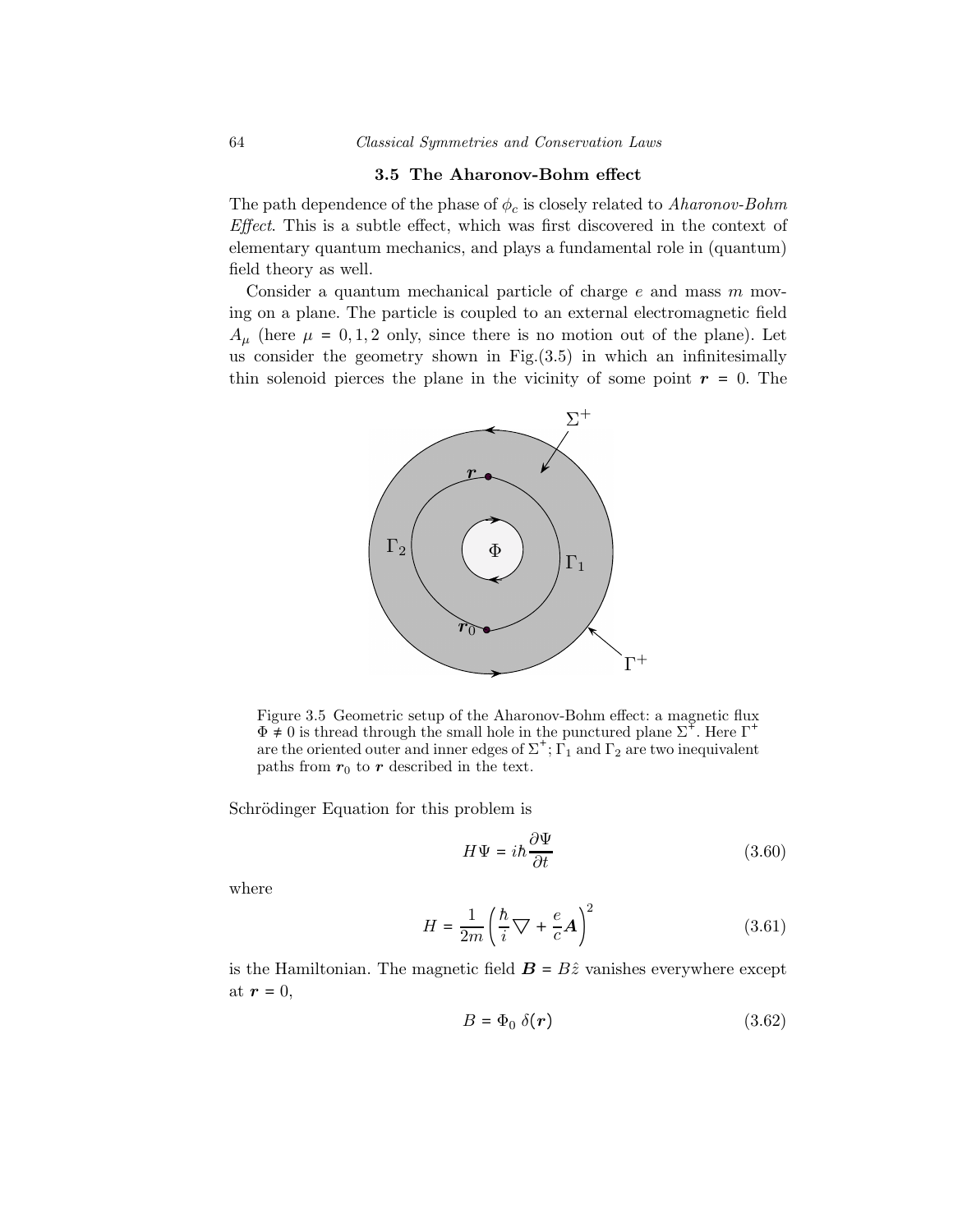#### 3.5 The Aharonov-Bohm effect

The path dependence of the phase of  $\phi_c$  is closely related to *Aharonov-Bohm* Effect. This is a subtle effect, which was first discovered in the context of elementary quantum mechanics, and plays a fundamental role in (quantum) field theory as well.

Consider a quantum mechanical particle of charge  $e$  and mass  $m$  moving on a plane. The particle is coupled to an external electromagnetic field  $A_{\mu}$  (here  $\mu = 0, 1, 2$  only, since there is no motion out of the plane). Let us consider the geometry shown in Fig. $(3.5)$  in which an infinitesimally thin solenoid pierces the plane in the vicinity of some point  $r = 0$ . The



Figure 3.5 Geometric setup of the Aharonov-Bohm effect: a magnetic flux  $\Phi \neq 0$  is thread through the small hole in the punctured plane  $\Sigma^+$ . Here  $\Gamma^$ are the oriented outer and inner edges of  $\Sigma^*$ ;  $\Gamma_1$  and  $\Gamma_2$  are two inequivalent paths from  $\boldsymbol{r}_0$  to  $\boldsymbol{r}$  described in the text.

Schrödinger Equation for this problem is

$$
H\Psi = i\hbar \frac{\partial \Psi}{\partial t} \tag{3.60}
$$

where

$$
H = \frac{1}{2m} \left( \frac{\hbar}{i} \nabla + \frac{e}{c} \mathbf{A} \right)^2 \tag{3.61}
$$

is the Hamiltonian. The magnetic field  $\mathbf{B} = B\hat{z}$  vanishes everywhere except at  $r = 0$ ,

$$
B = \Phi_0 \; \delta(\mathbf{r}) \tag{3.62}
$$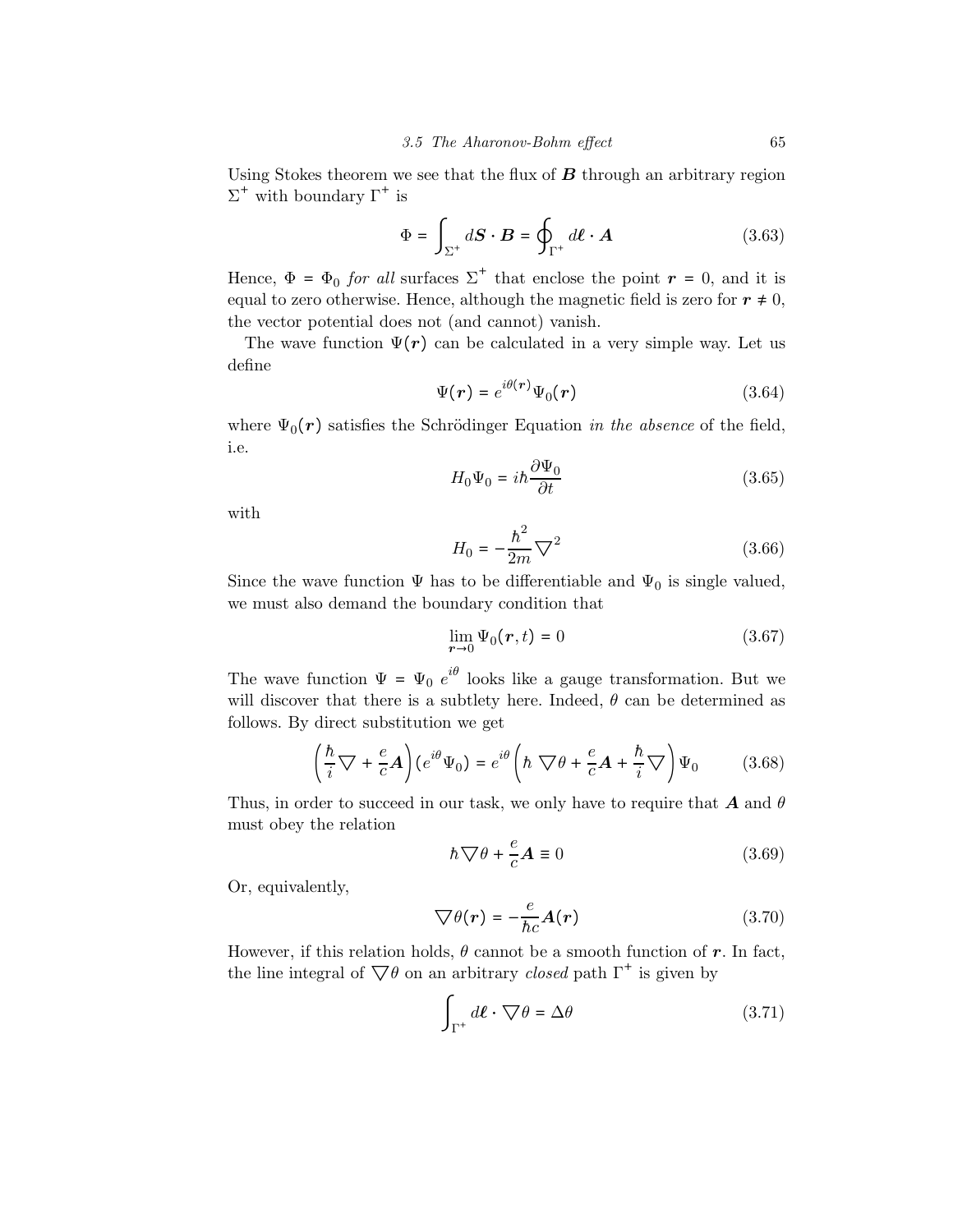Using Stokes theorem we see that the flux of  $B$  through an arbitrary region  $\Sigma^+$  with boundary  $\Gamma^+$  is

$$
\Phi = \int_{\Sigma^+} d\mathbf{S} \cdot \mathbf{B} = \oint_{\Gamma^+} d\ell \cdot \mathbf{A} \tag{3.63}
$$

Hence,  $\Phi = \Phi_0$  for all surfaces  $\Sigma^+$  that enclose the point  $r = 0$ , and it is equal to zero otherwise. Hence, although the magnetic field is zero for  $r \neq 0$ , the vector potential does not (and cannot) vanish.

The wave function  $\Psi(r)$  can be calculated in a very simple way. Let us define

$$
\Psi(r) = e^{i\theta(r)}\Psi_0(r) \tag{3.64}
$$

where  $\Psi_0(\mathbf{r})$  satisfies the Schrödinger Equation in the absence of the field, i.e.

$$
H_0\Psi_0 = i\hbar \frac{\partial \Psi_0}{\partial t} \tag{3.65}
$$

with

$$
H_0 = -\frac{\hbar^2}{2m}\nabla^2\tag{3.66}
$$

Since the wave function  $\Psi$  has to be differentiable and  $\Psi_0$  is single valued, we must also demand the boundary condition that

$$
\lim_{r \to 0} \Psi_0(r, t) = 0 \tag{3.67}
$$

The wave function  $\Psi = \Psi_0 e^{i\theta}$  looks like a gauge transformation. But we will discover that there is a subtlety here. Indeed,  $\theta$  can be determined as follows. By direct substitution we get

$$
\left(\frac{\hbar}{i}\nabla + \frac{e}{c}\mathbf{A}\right)(e^{i\theta}\Psi_0) = e^{i\theta}\left(\hbar\nabla\theta + \frac{e}{c}\mathbf{A} + \frac{\hbar}{i}\nabla\right)\Psi_0\tag{3.68}
$$

Thus, in order to succeed in our task, we only have to require that  $A$  and  $\theta$ must obey the relation

$$
\hbar \nabla \theta + \frac{e}{c} \mathbf{A} \equiv 0 \tag{3.69}
$$

Or, equivalently,

$$
\nabla \theta(\mathbf{r}) = -\frac{e}{\hbar c} \mathbf{A}(\mathbf{r}) \tag{3.70}
$$

However, if this relation holds,  $\theta$  cannot be a smooth function of r. In fact, the line integral of  $\nabla \theta$  on an arbitrary *closed* path  $\Gamma^+$  is given by

$$
\int_{\Gamma^+} d\ell \cdot \nabla \theta = \Delta \theta \tag{3.71}
$$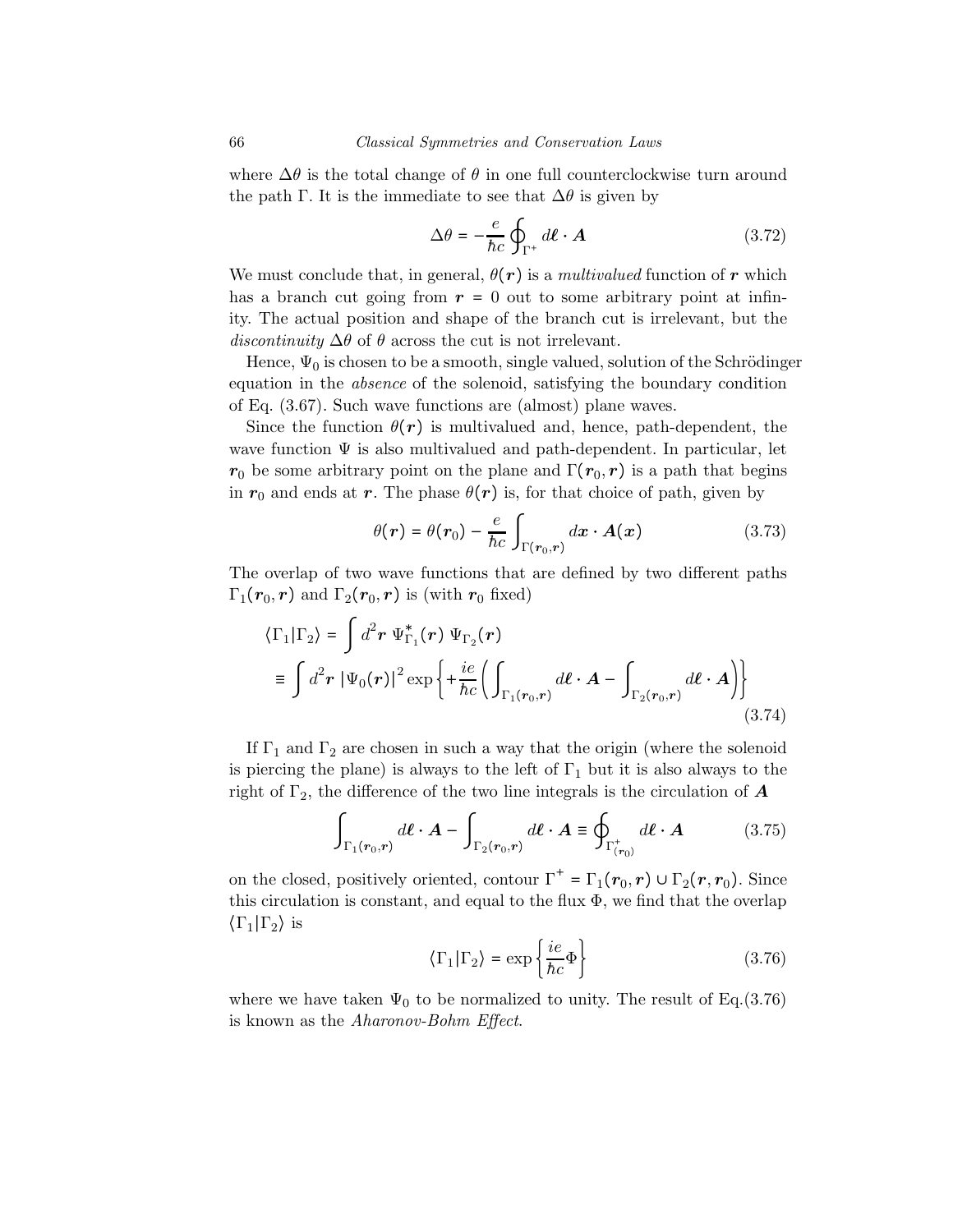where  $\Delta\theta$  is the total change of  $\theta$  in one full counterclockwise turn around the path Γ. It is the immediate to see that  $\Delta\theta$  is given by

$$
\Delta\theta = -\frac{e}{\hbar c} \oint_{\Gamma^+} d\boldsymbol{\ell} \cdot \boldsymbol{A}
$$
 (3.72)

We must conclude that, in general,  $\theta(\mathbf{r})$  is a *multivalued* function of r which has a branch cut going from  $r = 0$  out to some arbitrary point at infinity. The actual position and shape of the branch cut is irrelevant, but the discontinuity  $\Delta\theta$  of  $\theta$  across the cut is not irrelevant.

Hence,  $\Psi_0$  is chosen to be a smooth, single valued, solution of the Schrödinger equation in the absence of the solenoid, satisfying the boundary condition of Eq. (3.67). Such wave functions are (almost) plane waves.

Since the function  $\theta(r)$  is multivalued and, hence, path-dependent, the wave function  $\Psi$  is also multivalued and path-dependent. In particular, let  $r_0$  be some arbitrary point on the plane and  $\Gamma(r_0, r)$  is a path that begins in  $r_0$  and ends at r. The phase  $\theta(r)$  is, for that choice of path, given by

$$
\theta(r) = \theta(r_0) - \frac{e}{\hbar c} \int_{\Gamma(r_0, r)} dx \cdot A(x) \tag{3.73}
$$

The overlap of two wave functions that are defined by two different paths  $\Gamma_1(\mathbf{r}_0, \mathbf{r})$  and  $\Gamma_2(\mathbf{r}_0, \mathbf{r})$  is (with  $\mathbf{r}_0$  fixed)

$$
\langle \Gamma_1 | \Gamma_2 \rangle = \int d^2 \mathbf{r} \ \Psi_{\Gamma_1}^*(\mathbf{r}) \ \Psi_{\Gamma_2}(\mathbf{r})
$$
  
\n
$$
\equiv \int d^2 \mathbf{r} \ |\Psi_0(\mathbf{r})|^2 \exp\left\{ + \frac{ie}{\hbar c} \left( \int_{\Gamma_1(\mathbf{r}_0,\mathbf{r})} d\boldsymbol{\ell} \cdot \mathbf{A} - \int_{\Gamma_2(\mathbf{r}_0,\mathbf{r})} d\boldsymbol{\ell} \cdot \mathbf{A} \right) \right\}
$$
(3.74)

If  $\Gamma_1$  and  $\Gamma_2$  are chosen in such a way that the origin (where the solenoid is piercing the plane) is always to the left of  $\Gamma_1$  but it is also always to the right of  $\Gamma_2$ , the difference of the two line integrals is the circulation of  $\boldsymbol{A}$ 

$$
\int_{\Gamma_1(r_0,r)} d\ell \cdot A - \int_{\Gamma_2(r_0,r)} d\ell \cdot A \equiv \oint_{\Gamma^+_{(r_0)}} d\ell \cdot A \tag{3.75}
$$

on the closed, positively oriented, contour  $\Gamma^+ = \Gamma_1(r_0, r) \cup \Gamma_2(r, r_0)$ . Since this circulation is constant, and equal to the flux  $\Phi$ , we find that the overlap  $\langle \Gamma_1 | \Gamma_2 \rangle$  is

$$
\langle \Gamma_1 | \Gamma_2 \rangle = \exp\left\{ \frac{ie}{\hbar c} \Phi \right\} \tag{3.76}
$$

where we have taken  $\Psi_0$  to be normalized to unity. The result of Eq.(3.76) is known as the Aharonov-Bohm Effect.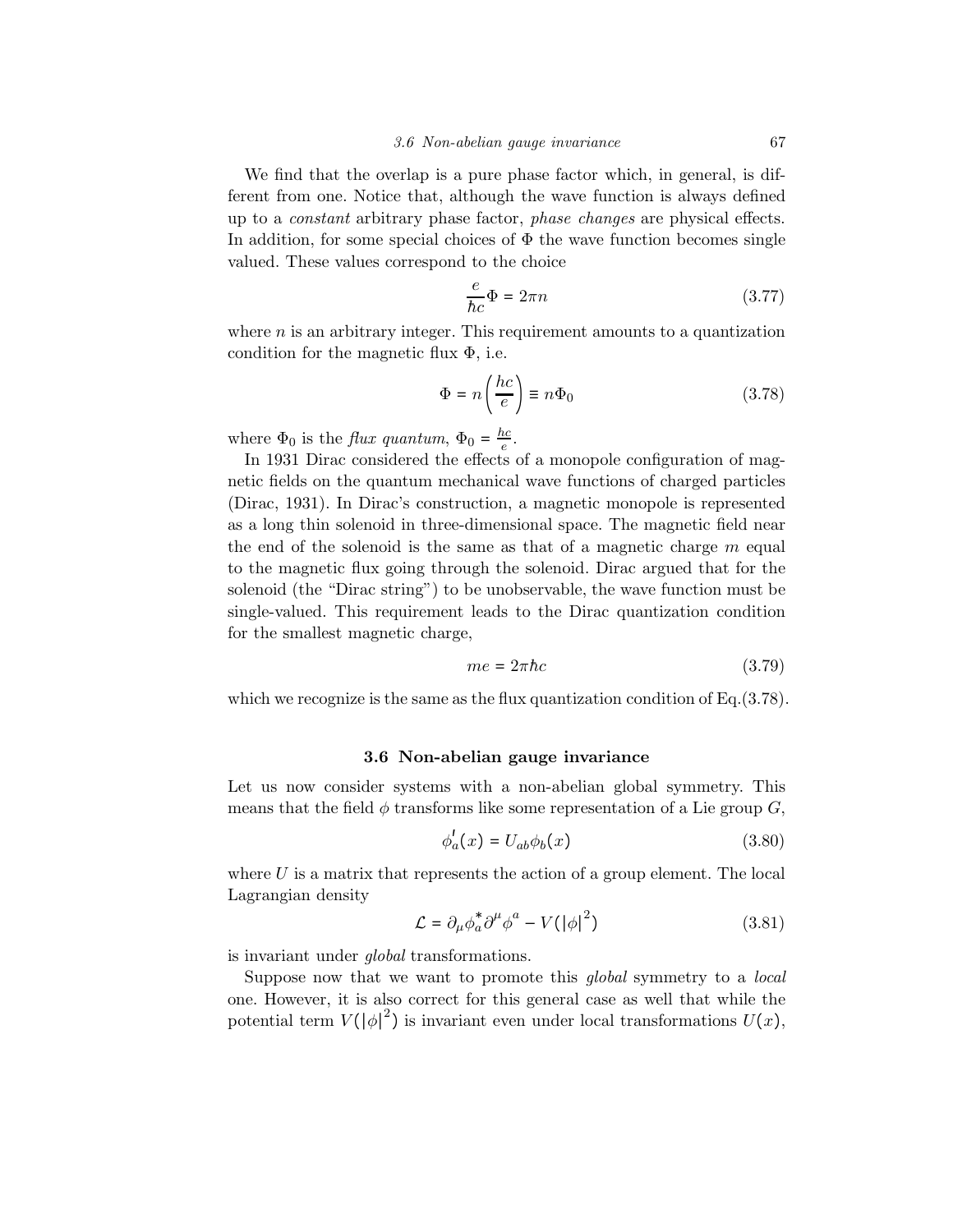We find that the overlap is a pure phase factor which, in general, is different from one. Notice that, although the wave function is always defined up to a constant arbitrary phase factor, phase changes are physical effects. In addition, for some special choices of  $\Phi$  the wave function becomes single valued. These values correspond to the choice

$$
\frac{e}{\hbar c}\Phi = 2\pi n\tag{3.77}
$$

where  $n$  is an arbitrary integer. This requirement amounts to a quantization condition for the magnetic flux  $\Phi$ , i.e.

$$
\Phi = n \left( \frac{hc}{e} \right) \equiv n \Phi_0 \tag{3.78}
$$

where  $\Phi_0$  is the *flux quantum*,  $\Phi_0 = \frac{hc}{e}$ .

In 1931 Dirac considered the effects of a monopole configuration of magnetic fields on the quantum mechanical wave functions of charged particles (Dirac, 1931). In Dirac's construction, a magnetic monopole is represented as a long thin solenoid in three-dimensional space. The magnetic field near the end of the solenoid is the same as that of a magnetic charge  $m$  equal to the magnetic flux going through the solenoid. Dirac argued that for the solenoid (the "Dirac string") to be unobservable, the wave function must be single-valued. This requirement leads to the Dirac quantization condition for the smallest magnetic charge,

$$
me = 2\pi\hbar c \tag{3.79}
$$

which we recognize is the same as the flux quantization condition of  $Eq.(3.78)$ .

#### 3.6 Non-abelian gauge invariance

Let us now consider systems with a non-abelian global symmetry. This means that the field  $\phi$  transforms like some representation of a Lie group G,

$$
\phi_a'(x) = U_{ab}\phi_b(x) \tag{3.80}
$$

where  $U$  is a matrix that represents the action of a group element. The local Lagrangian density

$$
\mathcal{L} = \partial_{\mu} \phi_{a}^{*} \partial^{\mu} \phi^{a} - V(|\phi|^{2}) \tag{3.81}
$$

is invariant under global transformations.

Suppose now that we want to promote this *global* symmetry to a *local* one. However, it is also correct for this general case as well that while the potential term  $V(|\phi|^2)$  is invariant even under local transformations  $U(x)$ ,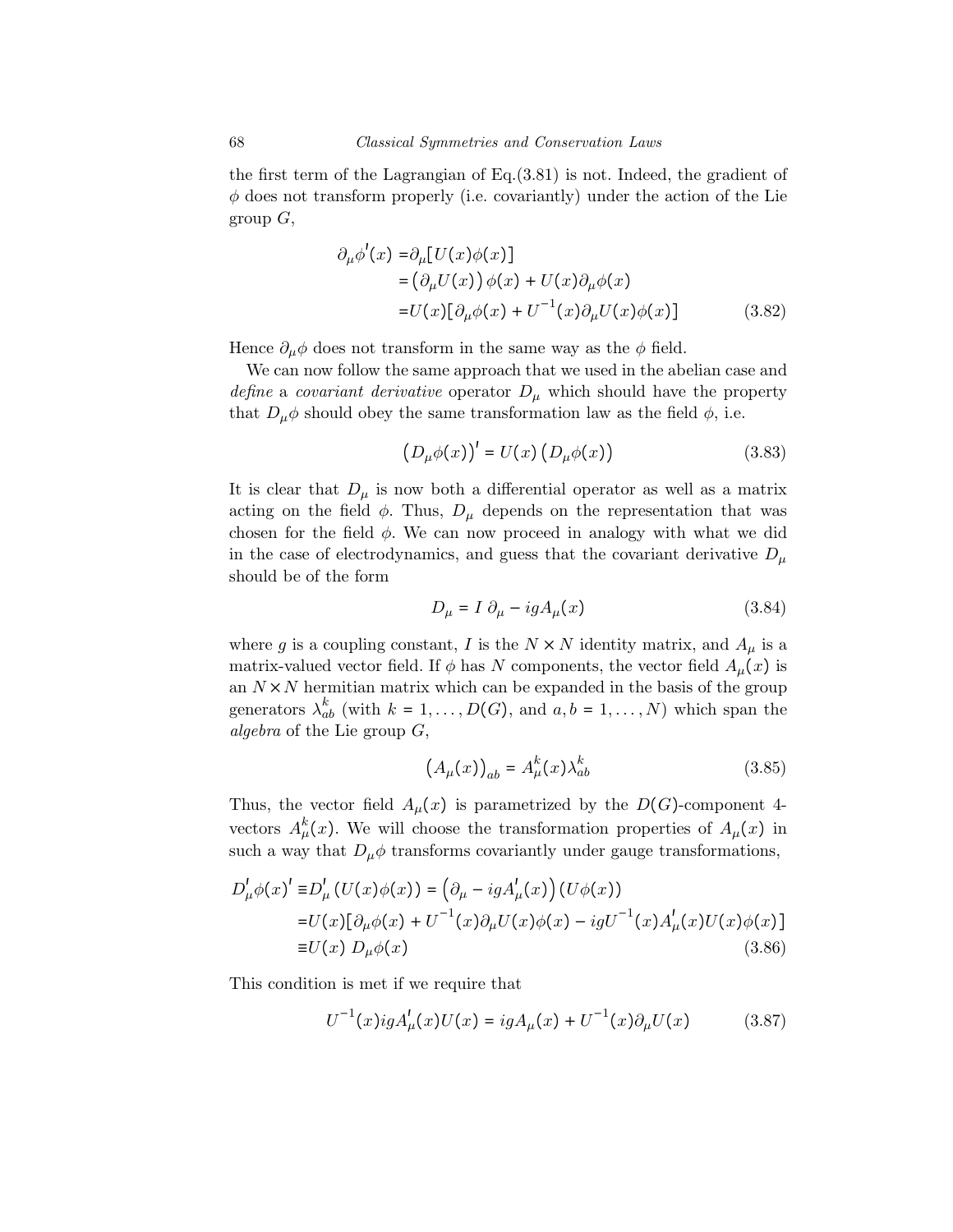the first term of the Lagrangian of Eq.(3.81) is not. Indeed, the gradient of  $\phi$  does not transform properly (i.e. covariantly) under the action of the Lie group  $G$ ,

$$
\partial_{\mu}\phi'(x) = \partial_{\mu}[U(x)\phi(x)]
$$
  
=  $(\partial_{\mu}U(x))\phi(x) + U(x)\partial_{\mu}\phi(x)$   
=  $U(x)[\partial_{\mu}\phi(x) + U^{-1}(x)\partial_{\mu}U(x)\phi(x)]$  (3.82)

Hence  $\partial_{\mu}\phi$  does not transform in the same way as the  $\phi$  field.

We can now follow the same approach that we used in the abelian case and define a covariant derivative operator  $D_{\mu}$  which should have the property that  $D_{\mu}\phi$  should obey the same transformation law as the field  $\phi$ , i.e.

$$
(D_{\mu}\phi(x))' = U(x) (D_{\mu}\phi(x))
$$
\n(3.83)

It is clear that  $D_{\mu}$  is now both a differential operator as well as a matrix acting on the field  $\phi$ . Thus,  $D_{\mu}$  depends on the representation that was chosen for the field  $\phi$ . We can now proceed in analogy with what we did in the case of electrodynamics, and guess that the covariant derivative  $D_{\mu}$ should be of the form

$$
D_{\mu} = I \partial_{\mu} - igA_{\mu}(x) \tag{3.84}
$$

where g is a coupling constant, I is the  $N \times N$  identity matrix, and  $A_\mu$  is a matrix-valued vector field. If  $\phi$  has N components, the vector field  $A_\mu(x)$  is an  $N \times N$  hermitian matrix which can be expanded in the basis of the group generators  $\lambda_{ab}^k$  (with  $k = 1, ..., D(G)$ , and  $a, b = 1, ..., N$ ) which span the algebra of the Lie group G,

$$
(A_{\mu}(x))_{ab} = A_{\mu}^{k}(x)\lambda_{ab}^{k}
$$
\n(3.85)

Thus, the vector field  $A_\mu(x)$  is parametrized by the  $D(G)$ -component 4vectors  $A^k_\mu(x)$ . We will choose the transformation properties of  $A_\mu(x)$  in such a way that  $D_{\mu}\phi$  transforms covariantly under gauge transformations,

$$
D'_{\mu}\phi(x)' \equiv D'_{\mu}(U(x)\phi(x)) = (\partial_{\mu} - igA'_{\mu}(x))(U\phi(x))
$$
  
\n
$$
= U(x)[\partial_{\mu}\phi(x) + U^{-1}(x)\partial_{\mu}U(x)\phi(x) - igU^{-1}(x)A'_{\mu}(x)U(x)\phi(x)]
$$
  
\n
$$
\equiv U(x) D_{\mu}\phi(x) \qquad (3.86)
$$

This condition is met if we require that

$$
U^{-1}(x)igA'_{\mu}(x)U(x) = igA_{\mu}(x) + U^{-1}(x)\partial_{\mu}U(x) \qquad (3.87)
$$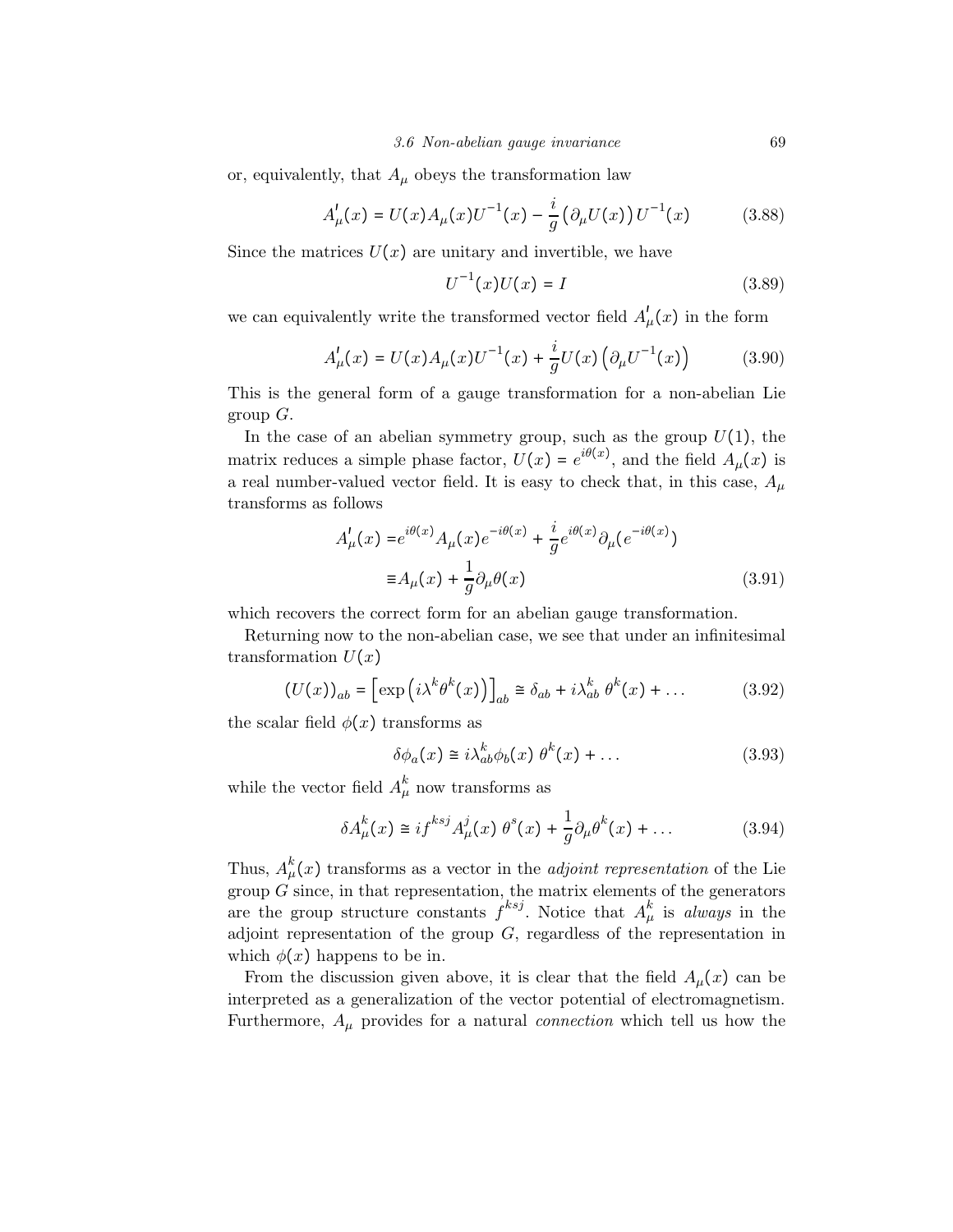or, equivalently, that  $A_\mu$  obeys the transformation law

$$
A'_{\mu}(x) = U(x)A_{\mu}(x)U^{-1}(x) - \frac{i}{g} \left( \partial_{\mu} U(x) \right) U^{-1}(x) \tag{3.88}
$$

Since the matrices  $U(x)$  are unitary and invertible, we have

$$
U^{-1}(x)U(x) = I \t\t(3.89)
$$

we can equivalently write the transformed vector field  $A'_{\mu}(x)$  in the form

$$
A'_{\mu}(x) = U(x)A_{\mu}(x)U^{-1}(x) + \frac{i}{g}U(x)\left(\partial_{\mu}U^{-1}(x)\right) \tag{3.90}
$$

This is the general form of a gauge transformation for a non-abelian Lie group  $G$ .

In the case of an abelian symmetry group, such as the group  $U(1)$ , the matrix reduces a simple phase factor,  $U(x) = e^{i\theta(x)}$ , and the field  $A_\mu(x)$  is a real number-valued vector field. It is easy to check that, in this case,  $A_{\mu}$ transforms as follows

$$
A'_{\mu}(x) = e^{i\theta(x)} A_{\mu}(x) e^{-i\theta(x)} + \frac{i}{g} e^{i\theta(x)} \partial_{\mu} (e^{-i\theta(x)})
$$
  

$$
\equiv A_{\mu}(x) + \frac{1}{g} \partial_{\mu} \theta(x)
$$
 (3.91)

which recovers the correct form for an abelian gauge transformation.

Returning now to the non-abelian case, we see that under an infinitesimal transformation  $U(x)$ 

$$
(U(x))_{ab} = \left[\exp\left(i\lambda^k\theta^k(x)\right)\right]_{ab} \cong \delta_{ab} + i\lambda_{ab}^k\ \theta^k(x) + \dots \tag{3.92}
$$

the scalar field  $\phi(x)$  transforms as

$$
\delta\phi_a(x) \cong i\lambda_{ab}^k \phi_b(x) \theta^k(x) + \dots \tag{3.93}
$$

while the vector field  $A^k_\mu$  now transforms as

$$
\delta A_{\mu}^{k}(x) \cong i f^{ksj} A_{\mu}^{j}(x) \theta^{s}(x) + \frac{1}{g} \partial_{\mu} \theta^{k}(x) + \dots \tag{3.94}
$$

Thus,  $A_{\mu}^{k}(x)$  transforms as a vector in the *adjoint representation* of the Lie group  $G$  since, in that representation, the matrix elements of the generators are the group structure constants  $f^{ksj}$ . Notice that  $A^k_\mu$  is always in the adjoint representation of the group  $G$ , regardless of the representation in which  $\phi(x)$  happens to be in.

From the discussion given above, it is clear that the field  $A_\mu(x)$  can be interpreted as a generalization of the vector potential of electromagnetism. Furthermore,  $A_{\mu}$  provides for a natural *connection* which tell us how the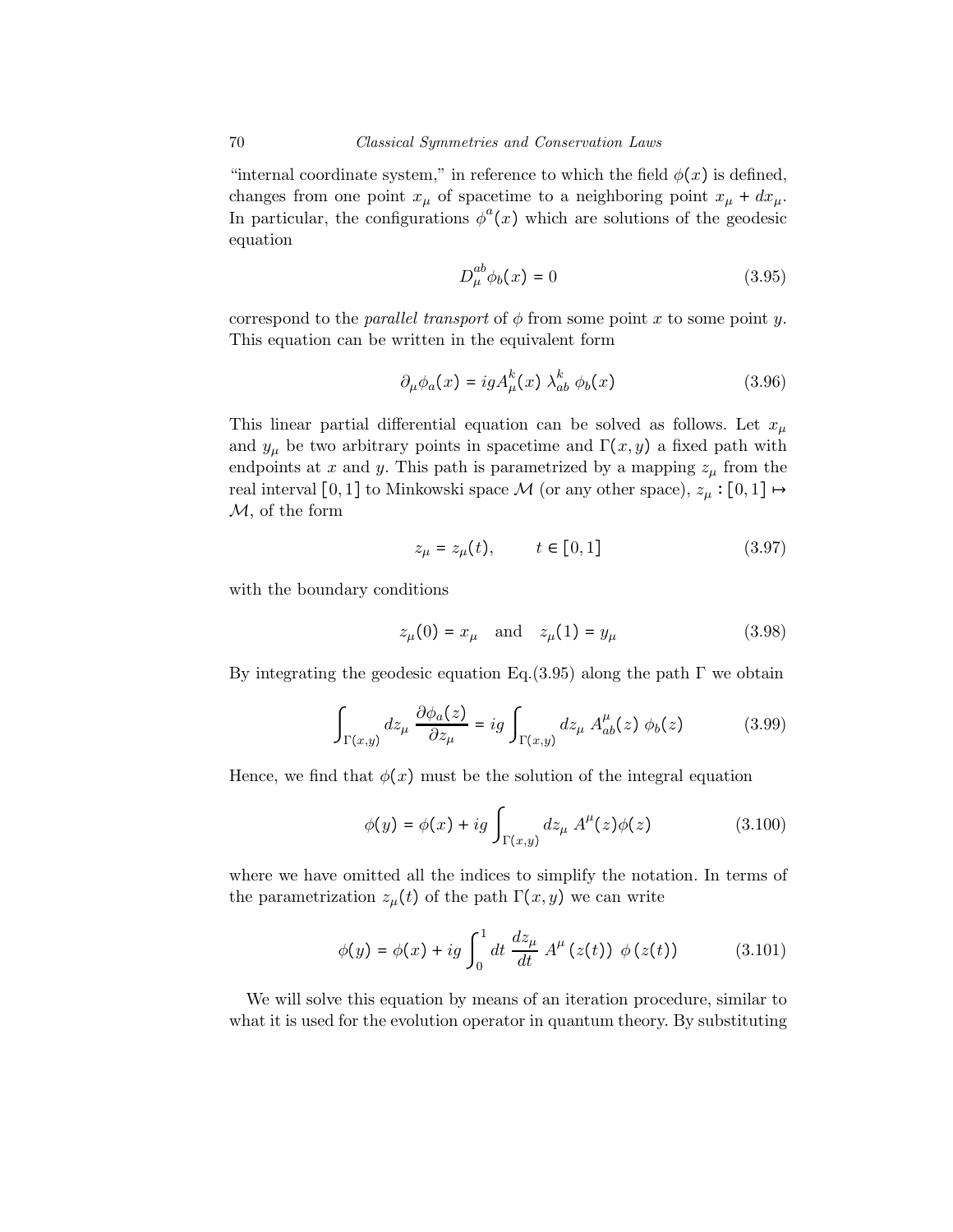"internal coordinate system," in reference to which the field  $\phi(x)$  is defined, changes from one point  $x_{\mu}$  of spacetime to a neighboring point  $x_{\mu} + dx_{\mu}$ . In particular, the configurations  $\phi^a(x)$  which are solutions of the geodesic equation

$$
D_{\mu}^{ab}\phi_b(x) = 0 \tag{3.95}
$$

correspond to the *parallel transport* of  $\phi$  from some point x to some point y. This equation can be written in the equivalent form

$$
\partial_{\mu}\phi_a(x) = igA_{\mu}^k(x)\lambda_{ab}^k\phi_b(x)
$$
\n(3.96)

This linear partial differential equation can be solved as follows. Let  $x_\mu$ and  $y_{\mu}$  be two arbitrary points in spacetime and  $\Gamma(x, y)$  a fixed path with endpoints at x and y. This path is parametrized by a mapping  $z_{\mu}$  from the real interval [0, 1] to Minkowski space  $\mathcal M$  (or any other space),  $z_\mu : [0,1] \mapsto$ M, of the form

$$
z_{\mu} = z_{\mu}(t), \qquad t \in [0, 1] \tag{3.97}
$$

with the boundary conditions

$$
z_{\mu}(0) = x_{\mu} \quad \text{and} \quad z_{\mu}(1) = y_{\mu} \tag{3.98}
$$

By integrating the geodesic equation Eq. (3.95) along the path  $\Gamma$  we obtain

$$
\int_{\Gamma(x,y)} dz_{\mu} \frac{\partial \phi_a(z)}{\partial z_{\mu}} = ig \int_{\Gamma(x,y)} dz_{\mu} A^{\mu}_{ab}(z) \phi_b(z)
$$
 (3.99)

Hence, we find that  $\phi(x)$  must be the solution of the integral equation

$$
\phi(y) = \phi(x) + ig \int_{\Gamma(x,y)} dz_{\mu} A^{\mu}(z) \phi(z)
$$
\n(3.100)

where we have omitted all the indices to simplify the notation. In terms of the parametrization  $z_{\mu}(t)$  of the path  $\Gamma(x, y)$  we can write

$$
\phi(y) = \phi(x) + ig \int_0^1 dt \, \frac{dz_\mu}{dt} \, A^\mu(z(t)) \, \phi(z(t)) \tag{3.101}
$$

We will solve this equation by means of an iteration procedure, similar to what it is used for the evolution operator in quantum theory. By substituting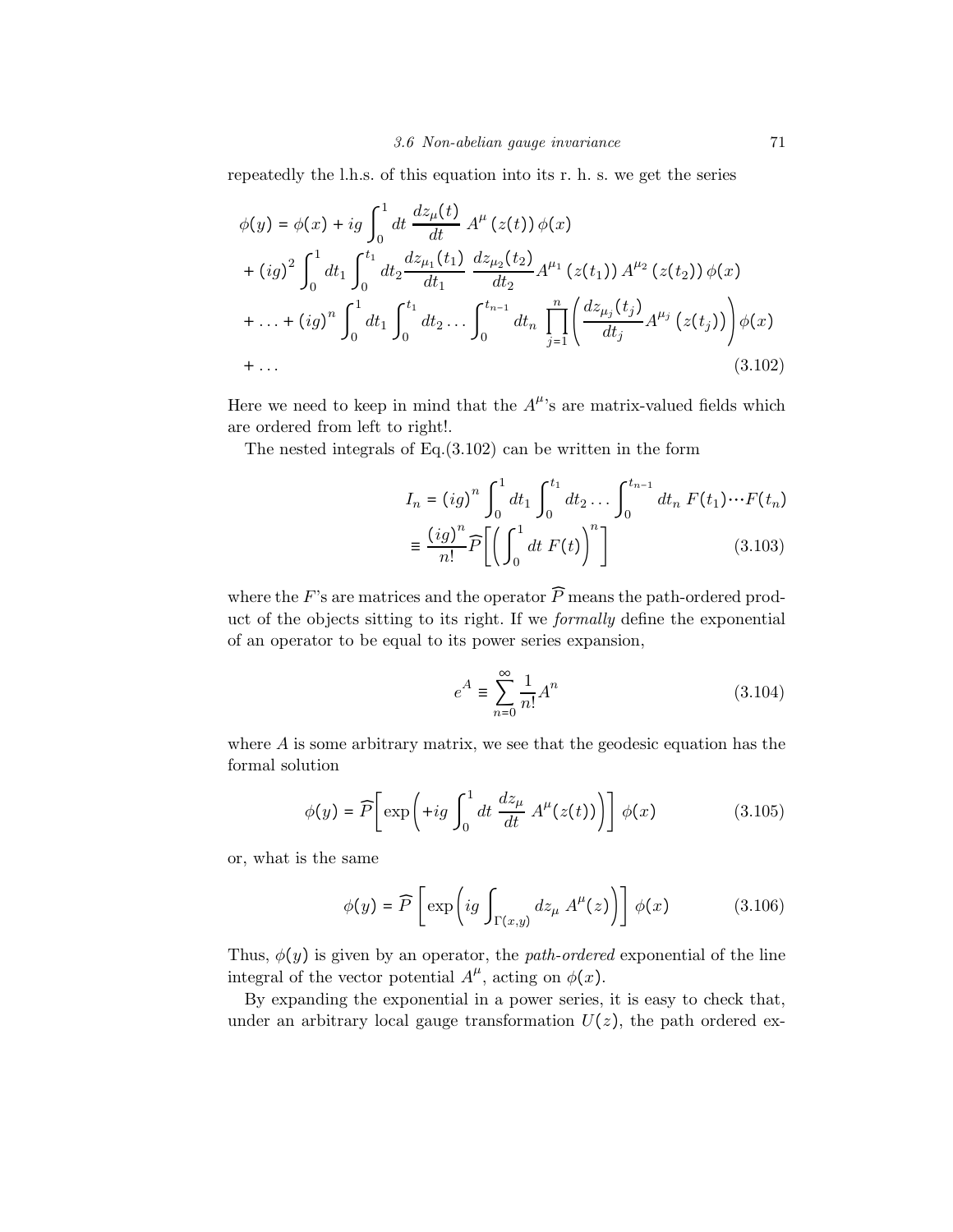repeatedly the l.h.s. of this equation into its r. h. s. we get the series

$$
\phi(y) = \phi(x) + ig \int_0^1 dt \frac{dz_\mu(t)}{dt} A^\mu(z(t)) \phi(x)
$$
  
+  $(ig)^2 \int_0^1 dt_1 \int_0^{t_1} dt_2 \frac{dz_{\mu_1}(t_1)}{dt_1} \frac{dz_{\mu_2}(t_2)}{dt_2} A^{\mu_1}(z(t_1)) A^{\mu_2}(z(t_2)) \phi(x)$   
+ ... +  $(ig)^n \int_0^1 dt_1 \int_0^{t_1} dt_2 ... \int_0^{t_{n-1}} dt_n \prod_{j=1}^n \left( \frac{dz_{\mu_j}(t_j)}{dt_j} A^{\mu_j}(z(t_j)) \right) \phi(x)$   
+ ... (3.102)

Here we need to keep in mind that the  $A^{\mu}$ 's are matrix-valued fields which are ordered from left to right!.

The nested integrals of Eq.(3.102) can be written in the form

$$
I_n = (ig)^n \int_0^1 dt_1 \int_0^{t_1} dt_2 \dots \int_0^{t_{n-1}} dt_n F(t_1) \dots F(t_n)
$$

$$
\equiv \frac{(ig)^n}{n!} \widehat{P} \left[ \left( \int_0^1 dt \ F(t) \right)^n \right] \tag{3.103}
$$

where the  $F$ 's are matrices and the operator  $P$  means the path-ordered product of the objects sitting to its right. If we formally define the exponential of an operator to be equal to its power series expansion,

$$
e^{A} \equiv \sum_{n=0}^{\infty} \frac{1}{n!} A^{n}
$$
 (3.104)

where  $A$  is some arbitrary matrix, we see that the geodesic equation has the formal solution

$$
\phi(y) = \widehat{P}\left[\exp\left(+ig \int_0^1 dt \, \frac{dz_\mu}{dt} \, A^\mu(z(t))\right)\right] \phi(x) \tag{3.105}
$$

or, what is the same

$$
\phi(y) = \widehat{P}\left[\exp\left(ig \int_{\Gamma(x,y)} dz_{\mu} A^{\mu}(z)\right)\right] \phi(x) \tag{3.106}
$$

Thus,  $\phi(y)$  is given by an operator, the *path-ordered* exponential of the line integral of the vector potential  $A^{\mu}$ , acting on  $\phi(x)$ .

By expanding the exponential in a power series, it is easy to check that, under an arbitrary local gauge transformation  $U(z)$ , the path ordered ex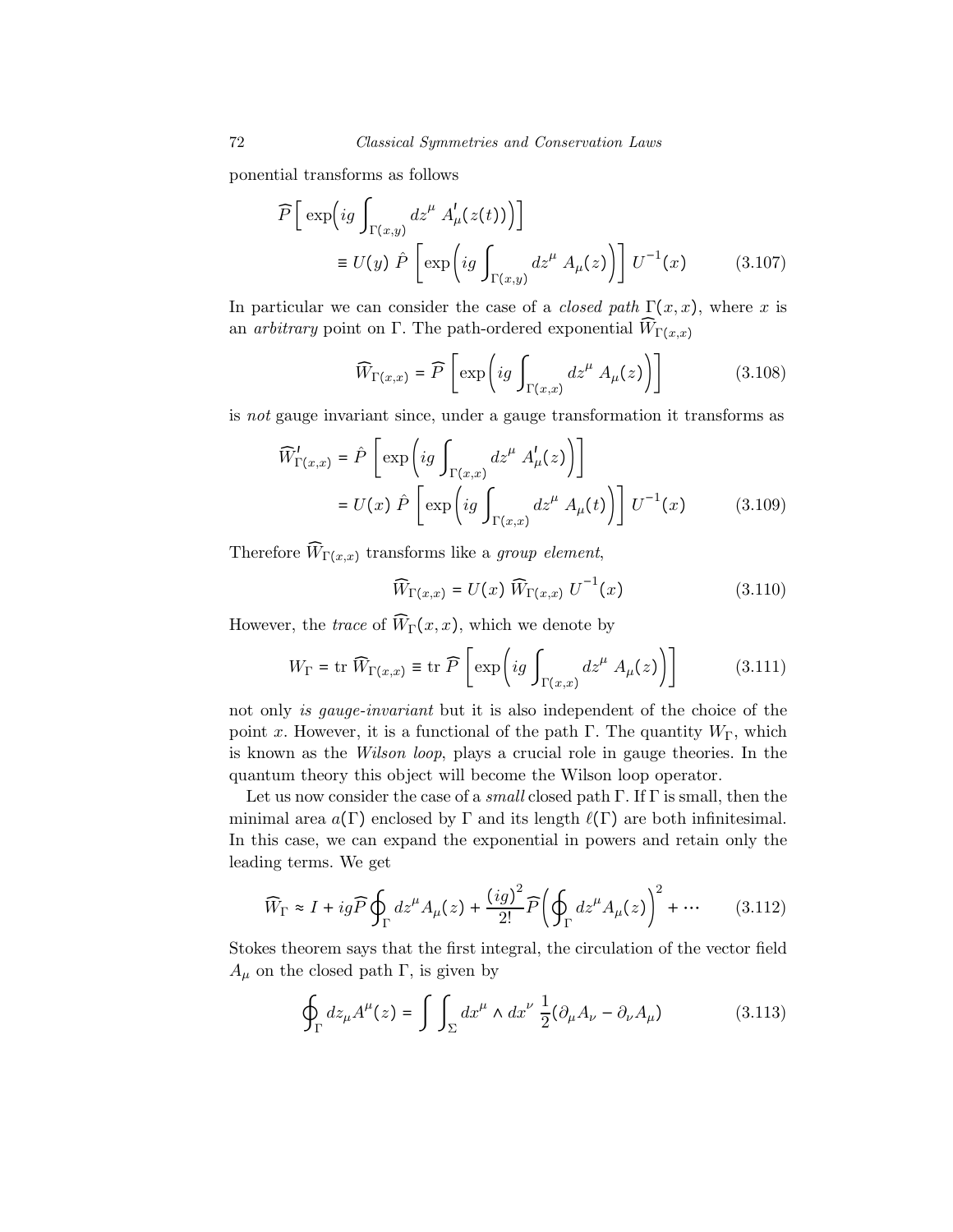ponential transforms as follows

$$
\widehat{P}\left[\exp\left(ig\int_{\Gamma(x,y)}dz^{\mu}A'_{\mu}(z(t))\right)\right]
$$
\n
$$
\equiv U(y)\,\,\widehat{P}\left[\exp\left(ig\int_{\Gamma(x,y)}dz^{\mu}A_{\mu}(z)\right)\right]U^{-1}(x) \tag{3.107}
$$

In particular we can consider the case of a *closed path*  $\Gamma(x, x)$ , where x is an *arbitrary* point on Γ. The path-ordered exponential  $\widehat{W}_{\Gamma(x,x)}$ 

$$
\widehat{W}_{\Gamma(x,x)} = \widehat{P}\left[\exp\left(ig \int_{\Gamma(x,x)} dz^{\mu} A_{\mu}(z)\right)\right]
$$
(3.108)

is not gauge invariant since, under a gauge transformation it transforms as

$$
\widehat{W}'_{\Gamma(x,x)} = \widehat{P}\left[\exp\left(ig \int_{\Gamma(x,x)} dz^{\mu} A'_{\mu}(z)\right)\right]
$$

$$
= U(x) \widehat{P}\left[\exp\left(ig \int_{\Gamma(x,x)} dz^{\mu} A_{\mu}(t)\right)\right] U^{-1}(x) \tag{3.109}
$$

Therefore  $\widehat{W}_{\Gamma(x,x)}$  transforms like a group element,

$$
\widehat{W}_{\Gamma(x,x)} = U(x) \widehat{W}_{\Gamma(x,x)} U^{-1}(x) \qquad (3.110)
$$

However, the trace of  $\widehat{W}_{\Gamma}(x, x)$ , which we denote by

$$
W_{\Gamma} = \text{tr}\,\widehat{W}_{\Gamma(x,x)} \equiv \text{tr}\,\widehat{P}\left[\exp\left(ig \int_{\Gamma(x,x)} dz^{\mu} A_{\mu}(z)\right)\right]
$$
(3.111)

not only is gauge-invariant but it is also independent of the choice of the point x. However, it is a functional of the path  $\Gamma$ . The quantity  $W_{\Gamma}$ , which is known as the Wilson loop, plays a crucial role in gauge theories. In the quantum theory this object will become the Wilson loop operator.

Let us now consider the case of a *small* closed path  $\Gamma$ . If  $\Gamma$  is small, then the minimal area  $a(\Gamma)$  enclosed by  $\Gamma$  and its length  $\ell(\Gamma)$  are both infinitesimal. In this case, we can expand the exponential in powers and retain only the leading terms. We get

$$
\widehat{W}_{\Gamma} \approx I + ig \widehat{P} \oint_{\Gamma} dz^{\mu} A_{\mu}(z) + \frac{\left( ig \right)^{2}}{2!} \widehat{P} \left( \oint_{\Gamma} dz^{\mu} A_{\mu}(z) \right)^{2} + \cdots \tag{3.112}
$$

Stokes theorem says that the first integral, the circulation of the vector field  $A_{\mu}$  on the closed path Γ, is given by

$$
\oint_{\Gamma} dz_{\mu} A^{\mu}(z) = \int \int_{\Sigma} dx^{\mu} \wedge dx^{\nu} \frac{1}{2} (\partial_{\mu} A_{\nu} - \partial_{\nu} A_{\mu})
$$
\n(3.113)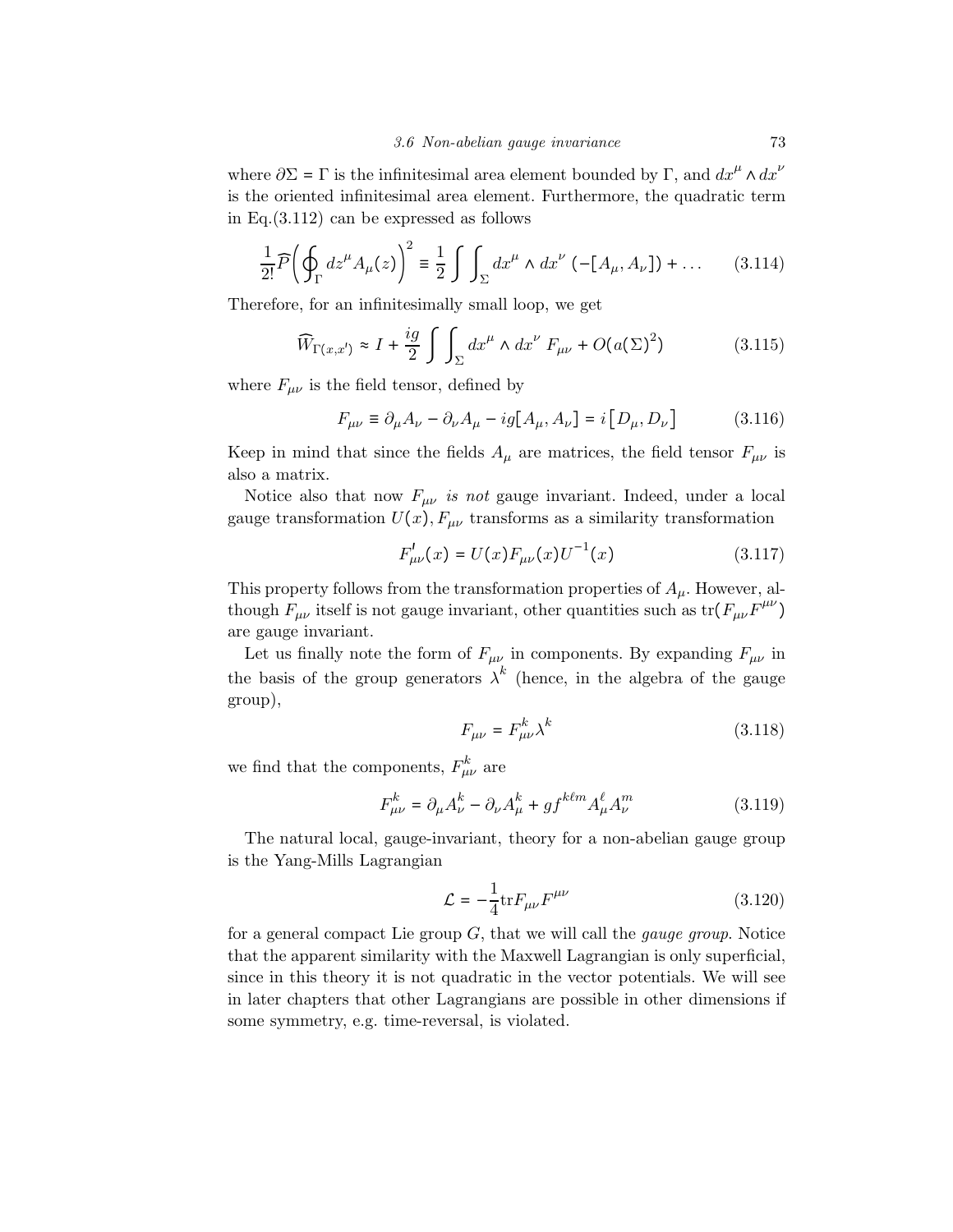where  $\partial \Sigma = \Gamma$  is the infinitesimal area element bounded by  $\Gamma$ , and  $dx^{\mu} \wedge dx^{\nu}$ is the oriented infinitesimal area element. Furthermore, the quadratic term in Eq.(3.112) can be expressed as follows

$$
\frac{1}{2!} \widehat{P} \left( \oint_{\Gamma} dz^{\mu} A_{\mu}(z) \right)^2 \equiv \frac{1}{2} \int \int_{\Sigma} dx^{\mu} \wedge dx^{\nu} \left( -[A_{\mu}, A_{\nu}] \right) + \dots \tag{3.114}
$$

Therefore, for an infinitesimally small loop, we get

$$
\widehat{W}_{\Gamma(x,x')} \approx I + \frac{ig}{2} \int \int_{\Sigma} dx^{\mu} \wedge dx^{\nu} F_{\mu\nu} + O(a(\Sigma)^{2}) \tag{3.115}
$$

where  $F_{\mu\nu}$  is the field tensor, defined by

$$
F_{\mu\nu} \equiv \partial_{\mu}A_{\nu} - \partial_{\nu}A_{\mu} - ig[A_{\mu}, A_{\nu}] = i[D_{\mu}, D_{\nu}]
$$
 (3.116)

Keep in mind that since the fields  $A_\mu$  are matrices, the field tensor  $F_{\mu\nu}$  is also a matrix.

Notice also that now  $F_{\mu\nu}$  is not gauge invariant. Indeed, under a local gauge transformation  $U(x)$ ,  $F_{\mu\nu}$  transforms as a similarity transformation

$$
F_{\mu\nu}^{\prime}(x) = U(x)F_{\mu\nu}(x)U^{-1}(x) \tag{3.117}
$$

This property follows from the transformation properties of  $A_\mu$ . However, although  $F_{\mu\nu}$  itself is not gauge invariant, other quantities such as  $\text{tr}(F_{\mu\nu}F^{\mu\nu})$ are gauge invariant.

Let us finally note the form of  $F_{\mu\nu}$  in components. By expanding  $F_{\mu\nu}$  in the basis of the group generators  $\lambda^k$  (hence, in the algebra of the gauge group),

$$
F_{\mu\nu} = F_{\mu\nu}^k \lambda^k \tag{3.118}
$$

we find that the components,  $F_{\mu\nu}^k$  are

$$
F_{\mu\nu}^{k} = \partial_{\mu}A_{\nu}^{k} - \partial_{\nu}A_{\mu}^{k} + gf^{k\ell m}A_{\mu}^{\ell}A_{\nu}^{m}
$$
 (3.119)

The natural local, gauge-invariant, theory for a non-abelian gauge group is the Yang-Mills Lagrangian

$$
\mathcal{L} = -\frac{1}{4} \text{tr} F_{\mu\nu} F^{\mu\nu} \tag{3.120}
$$

for a general compact Lie group  $G$ , that we will call the *gauge group*. Notice that the apparent similarity with the Maxwell Lagrangian is only superficial, since in this theory it is not quadratic in the vector potentials. We will see in later chapters that other Lagrangians are possible in other dimensions if some symmetry, e.g. time-reversal, is violated.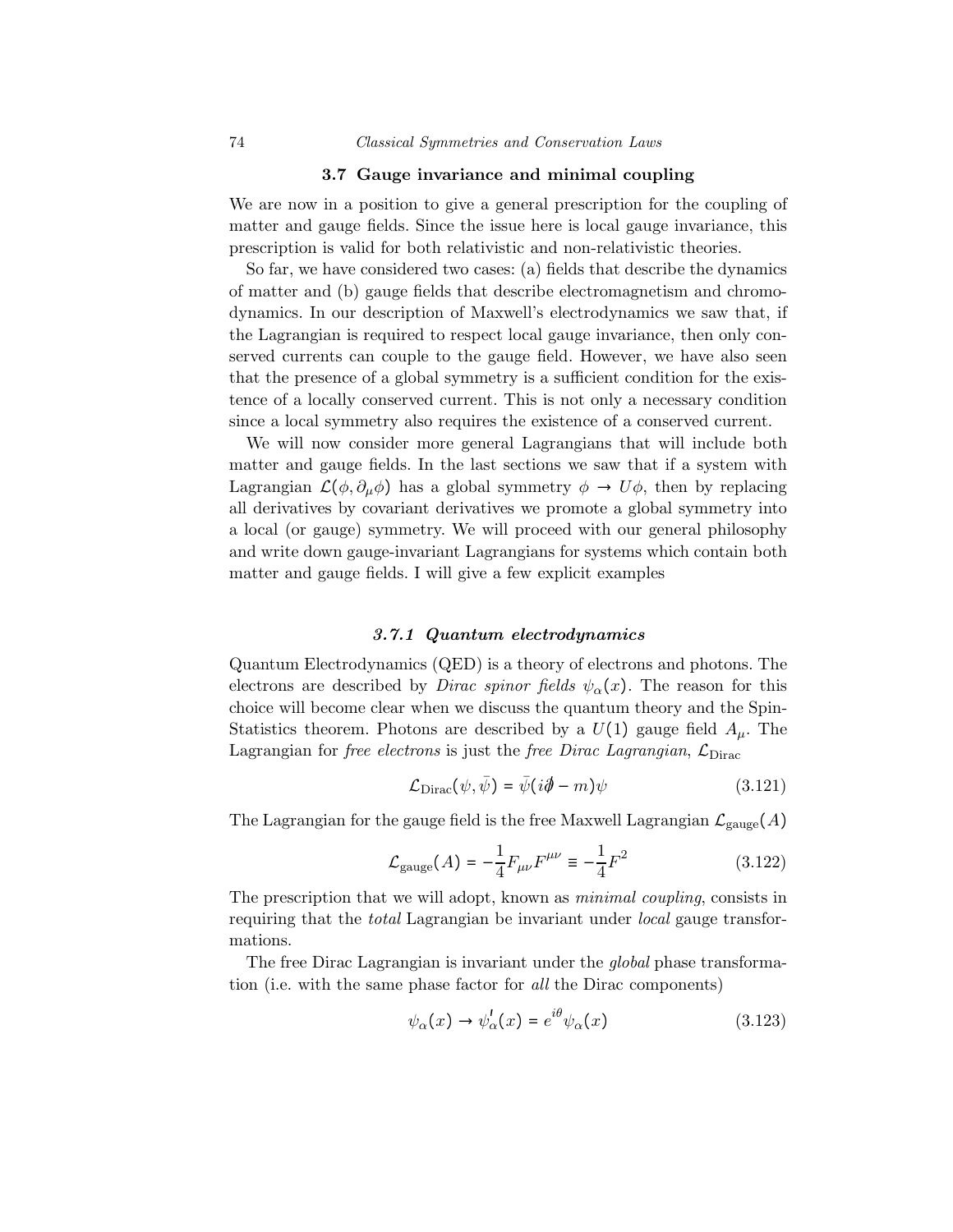#### 3.7 Gauge invariance and minimal coupling

We are now in a position to give a general prescription for the coupling of matter and gauge fields. Since the issue here is local gauge invariance, this prescription is valid for both relativistic and non-relativistic theories.

So far, we have considered two cases: (a) fields that describe the dynamics of matter and (b) gauge fields that describe electromagnetism and chromodynamics. In our description of Maxwell's electrodynamics we saw that, if the Lagrangian is required to respect local gauge invariance, then only conserved currents can couple to the gauge field. However, we have also seen that the presence of a global symmetry is a sufficient condition for the existence of a locally conserved current. This is not only a necessary condition since a local symmetry also requires the existence of a conserved current.

We will now consider more general Lagrangians that will include both matter and gauge fields. In the last sections we saw that if a system with Lagrangian  $\mathcal{L}(\phi, \partial_{\mu}\phi)$  has a global symmetry  $\phi \to U\phi$ , then by replacing all derivatives by covariant derivatives we promote a global symmetry into a local (or gauge) symmetry. We will proceed with our general philosophy and write down gauge-invariant Lagrangians for systems which contain both matter and gauge fields. I will give a few explicit examples

## 3.7.1 Quantum electrodynamics

Quantum Electrodynamics (QED) is a theory of electrons and photons. The electrons are described by *Dirac spinor fields*  $\psi_{\alpha}(x)$ . The reason for this choice will become clear when we discuss the quantum theory and the Spin-Statistics theorem. Photons are described by a  $U(1)$  gauge field  $A_\mu$ . The Lagrangian for *free electrons* is just the *free Dirac Lagrangian*,  $\mathcal{L}_{\text{Dirac}}$ 

$$
\mathcal{L}_{\text{Dirac}}(\psi, \bar{\psi}) = \bar{\psi}(i\partial \!\!\!/- m)\psi \tag{3.121}
$$

The Lagrangian for the gauge field is the free Maxwell Lagrangian  $\mathcal{L}_{gauge}(A)$ 

$$
\mathcal{L}_{\text{gauge}}(A) = -\frac{1}{4} F_{\mu\nu} F^{\mu\nu} \equiv -\frac{1}{4} F^2 \tag{3.122}
$$

The prescription that we will adopt, known as minimal coupling, consists in requiring that the *total* Lagrangian be invariant under *local* gauge transformations.

The free Dirac Lagrangian is invariant under the global phase transformation (i.e. with the same phase factor for all the Dirac components)

$$
\psi_{\alpha}(x) \to \psi_{\alpha}'(x) = e^{i\theta} \psi_{\alpha}(x) \tag{3.123}
$$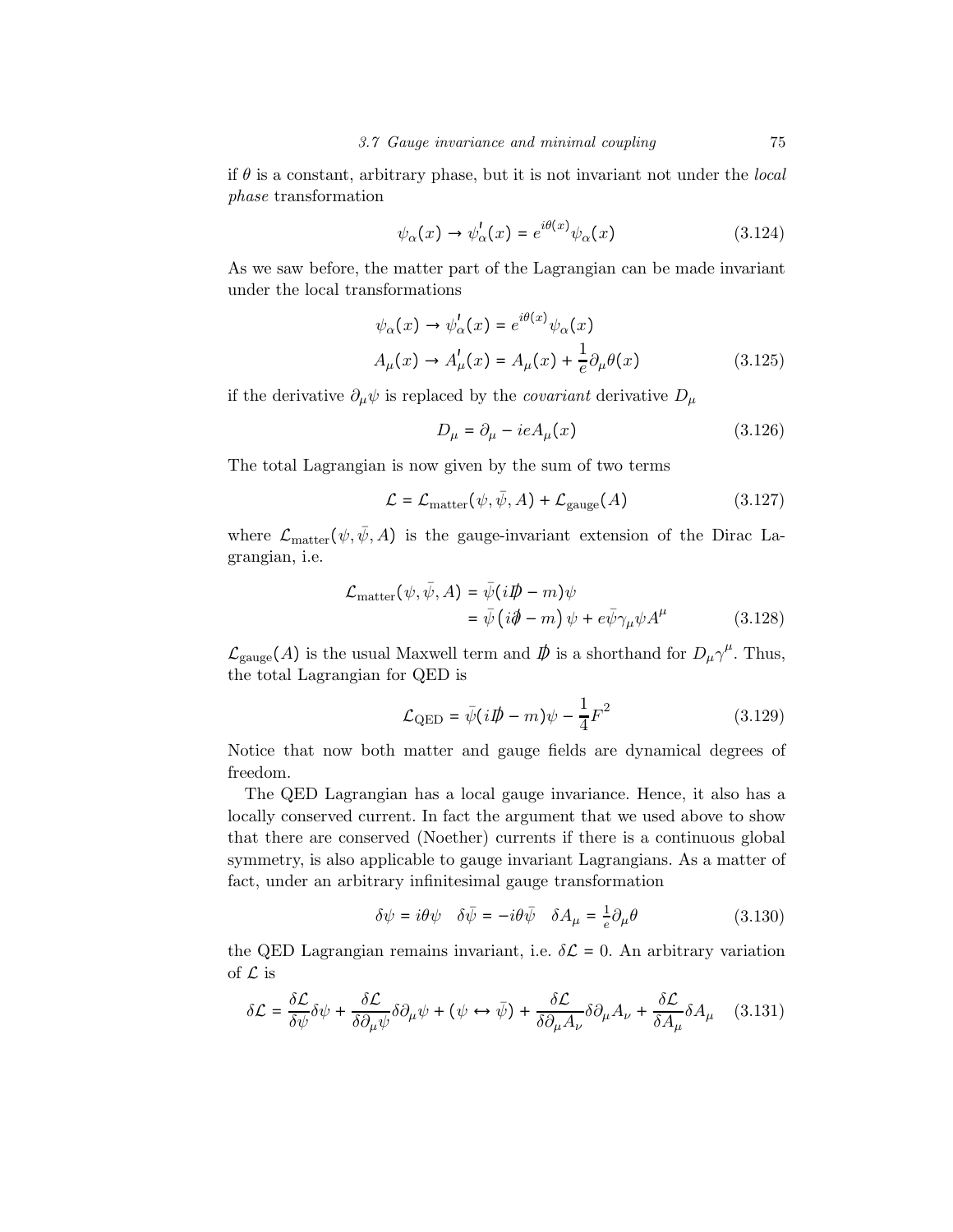if  $\theta$  is a constant, arbitrary phase, but it is not invariant not under the *local* phase transformation

$$
\psi_{\alpha}(x) \to \psi_{\alpha}'(x) = e^{i\theta(x)} \psi_{\alpha}(x) \tag{3.124}
$$

As we saw before, the matter part of the Lagrangian can be made invariant under the local transformations

$$
\psi_{\alpha}(x) \to \psi_{\alpha}'(x) = e^{i\theta(x)} \psi_{\alpha}(x)
$$
  
\n
$$
A_{\mu}(x) \to A_{\mu}'(x) = A_{\mu}(x) + \frac{1}{e} \partial_{\mu} \theta(x)
$$
 (3.125)

if the derivative  $\partial_{\mu}\psi$  is replaced by the *covariant* derivative  $D_{\mu}$ 

$$
D_{\mu} = \partial_{\mu} - ieA_{\mu}(x) \tag{3.126}
$$

The total Lagrangian is now given by the sum of two terms

$$
\mathcal{L} = \mathcal{L}_{\text{matter}}(\psi, \bar{\psi}, A) + \mathcal{L}_{\text{gauge}}(A) \tag{3.127}
$$

where  $\mathcal{L}_{\text{matter}}(\psi, \bar{\psi}, A)$  is the gauge-invariant extension of the Dirac Lagrangian, i.e.

$$
\mathcal{L}_{\text{matter}}(\psi, \bar{\psi}, A) = \bar{\psi}(i\rlap{\,/}D - m)\psi
$$
\n
$$
= \bar{\psi}(i\rlap{\,/}\partial - m)\psi + e\bar{\psi}\gamma_{\mu}\psi A^{\mu} \tag{3.128}
$$

 $\mathcal{L}_{\text{gauge}}(A)$  is the usual Maxwell term and  $D\!\!\!/$  is a shorthand for  $D_\mu \gamma^\mu$ . Thus, the total Lagrangian for QED is

$$
\mathcal{L}_{\text{QED}} = \bar{\psi}(i\rlap{\,/}D - m)\psi - \frac{1}{4}F^2 \tag{3.129}
$$

Notice that now both matter and gauge fields are dynamical degrees of freedom.

The QED Lagrangian has a local gauge invariance. Hence, it also has a locally conserved current. In fact the argument that we used above to show that there are conserved (Noether) currents if there is a continuous global symmetry, is also applicable to gauge invariant Lagrangians. As a matter of fact, under an arbitrary infinitesimal gauge transformation

$$
\delta\psi = i\theta\psi \quad \delta\bar{\psi} = -i\theta\bar{\psi} \quad \delta A_{\mu} = \frac{1}{e}\partial_{\mu}\theta \tag{3.130}
$$

the QED Lagrangian remains invariant, i.e.  $\delta \mathcal{L} = 0$ . An arbitrary variation of  $\mathcal L$  is

$$
\delta \mathcal{L} = \frac{\delta \mathcal{L}}{\delta \psi} \delta \psi + \frac{\delta \mathcal{L}}{\delta \partial_{\mu} \psi} \delta \partial_{\mu} \psi + (\psi \leftrightarrow \bar{\psi}) + \frac{\delta \mathcal{L}}{\delta \partial_{\mu} A_{\nu}} \delta \partial_{\mu} A_{\nu} + \frac{\delta \mathcal{L}}{\delta A_{\mu}} \delta A_{\mu} \quad (3.131)
$$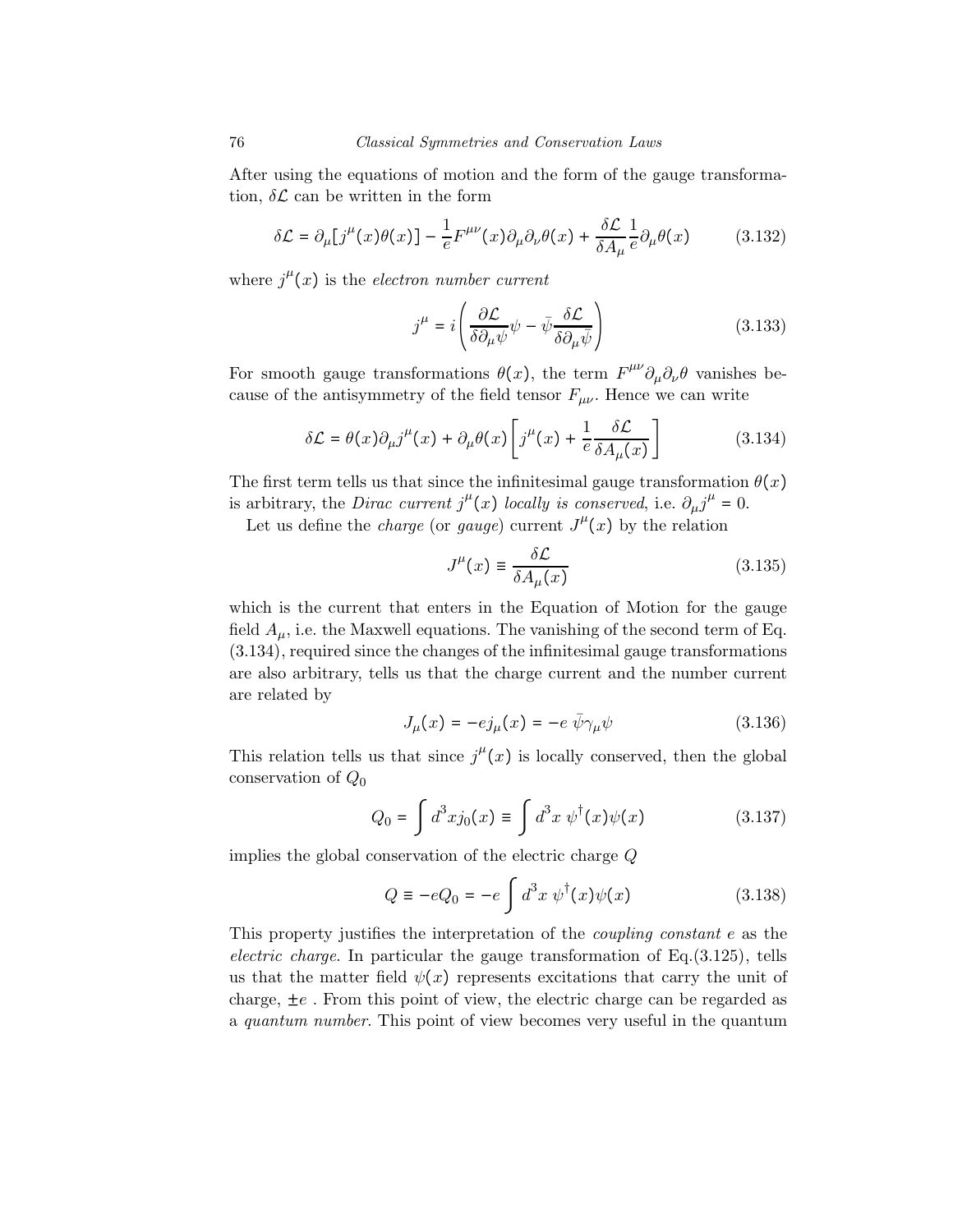After using the equations of motion and the form of the gauge transformation,  $\delta \mathcal{L}$  can be written in the form

$$
\delta \mathcal{L} = \partial_{\mu} [j^{\mu}(x)\theta(x)] - \frac{1}{e} F^{\mu\nu}(x) \partial_{\mu} \partial_{\nu} \theta(x) + \frac{\delta \mathcal{L}}{\delta A_{\mu}} \frac{1}{e} \partial_{\mu} \theta(x) \tag{3.132}
$$

where  $j^{\mu}(x)$  is the *electron number current* 

$$
j^{\mu} = i \left( \frac{\partial \mathcal{L}}{\delta \partial_{\mu} \psi} \psi - \bar{\psi} \frac{\delta \mathcal{L}}{\delta \partial_{\mu} \bar{\psi}} \right)
$$
(3.133)

For smooth gauge transformations  $\theta(x)$ , the term  $F^{\mu\nu}\partial_{\mu}\partial_{\nu}\theta$  vanishes because of the antisymmetry of the field tensor  $F_{\mu\nu}$ . Hence we can write

$$
\delta \mathcal{L} = \theta(x) \partial_{\mu} j^{\mu}(x) + \partial_{\mu} \theta(x) \left[ j^{\mu}(x) + \frac{1}{e} \frac{\delta \mathcal{L}}{\delta A_{\mu}(x)} \right]
$$
(3.134)

The first term tells us that since the infinitesimal gauge transformation  $\theta(x)$ is arbitrary, the Dirac current  $j^{\mu}(x)$  locally is conserved, i.e.  $\partial_{\mu}j^{\mu} = 0$ .

Let us define the *charge* (or *gauge*) current  $J^{\mu}(x)$  by the relation

$$
J^{\mu}(x) \equiv \frac{\delta \mathcal{L}}{\delta A_{\mu}(x)}\tag{3.135}
$$

which is the current that enters in the Equation of Motion for the gauge field  $A_{\mu}$ , i.e. the Maxwell equations. The vanishing of the second term of Eq. (3.134), required since the changes of the infinitesimal gauge transformations are also arbitrary, tells us that the charge current and the number current are related by

$$
J_{\mu}(x) = -e j_{\mu}(x) = -e \bar{\psi} \gamma_{\mu} \psi \qquad (3.136)
$$

This relation tells us that since  $j^{\mu}(x)$  is locally conserved, then the global conservation of  $Q_0$ 

$$
Q_0 = \int d^3x j_0(x) \equiv \int d^3x \, \psi^\dagger(x) \psi(x) \tag{3.137}
$$

implies the global conservation of the electric charge Q

$$
Q \equiv -eQ_0 = -e \int d^3x \, \psi^\dagger(x)\psi(x) \tag{3.138}
$$

This property justifies the interpretation of the coupling constant e as the electric charge. In particular the gauge transformation of  $Eq.(3.125)$ , tells us that the matter field  $\psi(x)$  represents excitations that carry the unit of charge,  $\pm e$ . From this point of view, the electric charge can be regarded as a quantum number. This point of view becomes very useful in the quantum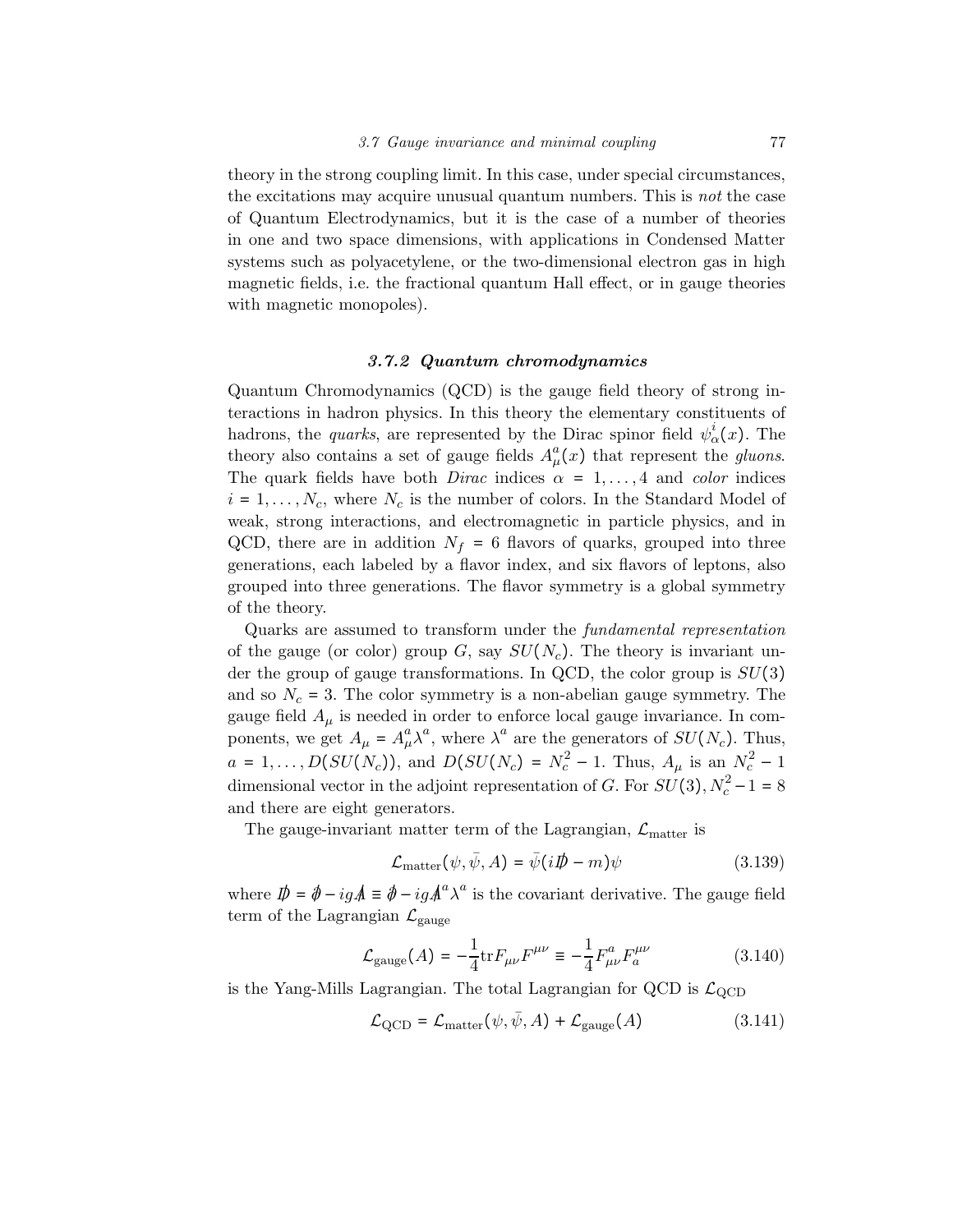theory in the strong coupling limit. In this case, under special circumstances, the excitations may acquire unusual quantum numbers. This is not the case of Quantum Electrodynamics, but it is the case of a number of theories in one and two space dimensions, with applications in Condensed Matter systems such as polyacetylene, or the two-dimensional electron gas in high magnetic fields, i.e. the fractional quantum Hall effect, or in gauge theories with magnetic monopoles).

## 3.7.2 Quantum chromodynamics

Quantum Chromodynamics (QCD) is the gauge field theory of strong interactions in hadron physics. In this theory the elementary constituents of hadrons, the *quarks*, are represented by the Dirac spinor field  $\psi_{\alpha}^{i}(x)$ . The theory also contains a set of gauge fields  $A^a_\mu(x)$  that represent the gluons. The quark fields have both *Dirac* indices  $\alpha = 1, \ldots, 4$  and *color* indices  $i = 1, \ldots, N_c$ , where  $N_c$  is the number of colors. In the Standard Model of weak, strong interactions, and electromagnetic in particle physics, and in QCD, there are in addition  $N_f = 6$  flavors of quarks, grouped into three generations, each labeled by a flavor index, and six flavors of leptons, also grouped into three generations. The flavor symmetry is a global symmetry of the theory.

Quarks are assumed to transform under the fundamental representation of the gauge (or color) group G, say  $SU(N_c)$ . The theory is invariant under the group of gauge transformations. In QCD, the color group is  $SU(3)$ and so  $N_c = 3$ . The color symmetry is a non-abelian gauge symmetry. The gauge field  $A_{\mu}$  is needed in order to enforce local gauge invariance. In components, we get  $A_{\mu} = A_{\mu}^{a} \lambda^{a}$ , where  $\lambda^{a}$  are the generators of  $SU(N_c)$ . Thus,  $a = 1, \ldots, D(SU(N_c))$ , and  $D(SU(N_c) = N_c^2 - 1$ . Thus,  $A_\mu$  is an  $N_c^2 - 1$ dimensional vector in the adjoint representation of G. For  $SU(3)$ ,  $N_c^2 - 1 = 8$ and there are eight generators.

The gauge-invariant matter term of the Lagrangian,  $\mathcal{L}_{\text{matter}}$  is

$$
\mathcal{L}_{\text{matter}}(\psi, \bar{\psi}, A) = \bar{\psi}(i\rlap{\,/}D - m)\psi \tag{3.139}
$$

where  $\mathbf{\vec{p}} = \mathbf{\vec{\phi}} - ig\mathbf{\vec{A}} \equiv \mathbf{\vec{\phi}} - ig\mathbf{\vec{A}}^a \lambda^a$  is the covariant derivative. The gauge field term of the Lagrangian  $\mathcal{L}_{\text{gauge}}$ 

$$
\mathcal{L}_{\text{gauge}}(A) = -\frac{1}{4} \text{tr} F_{\mu\nu} F^{\mu\nu} \equiv -\frac{1}{4} F_{\mu\nu}^a F_a^{\mu\nu} \tag{3.140}
$$

is the Yang-Mills Lagrangian. The total Lagrangian for QCD is  $\mathcal{L}_{\text{QCD}}$ 

$$
\mathcal{L}_{\text{QCD}} = \mathcal{L}_{\text{matter}}(\psi, \bar{\psi}, A) + \mathcal{L}_{\text{gauge}}(A) \tag{3.141}
$$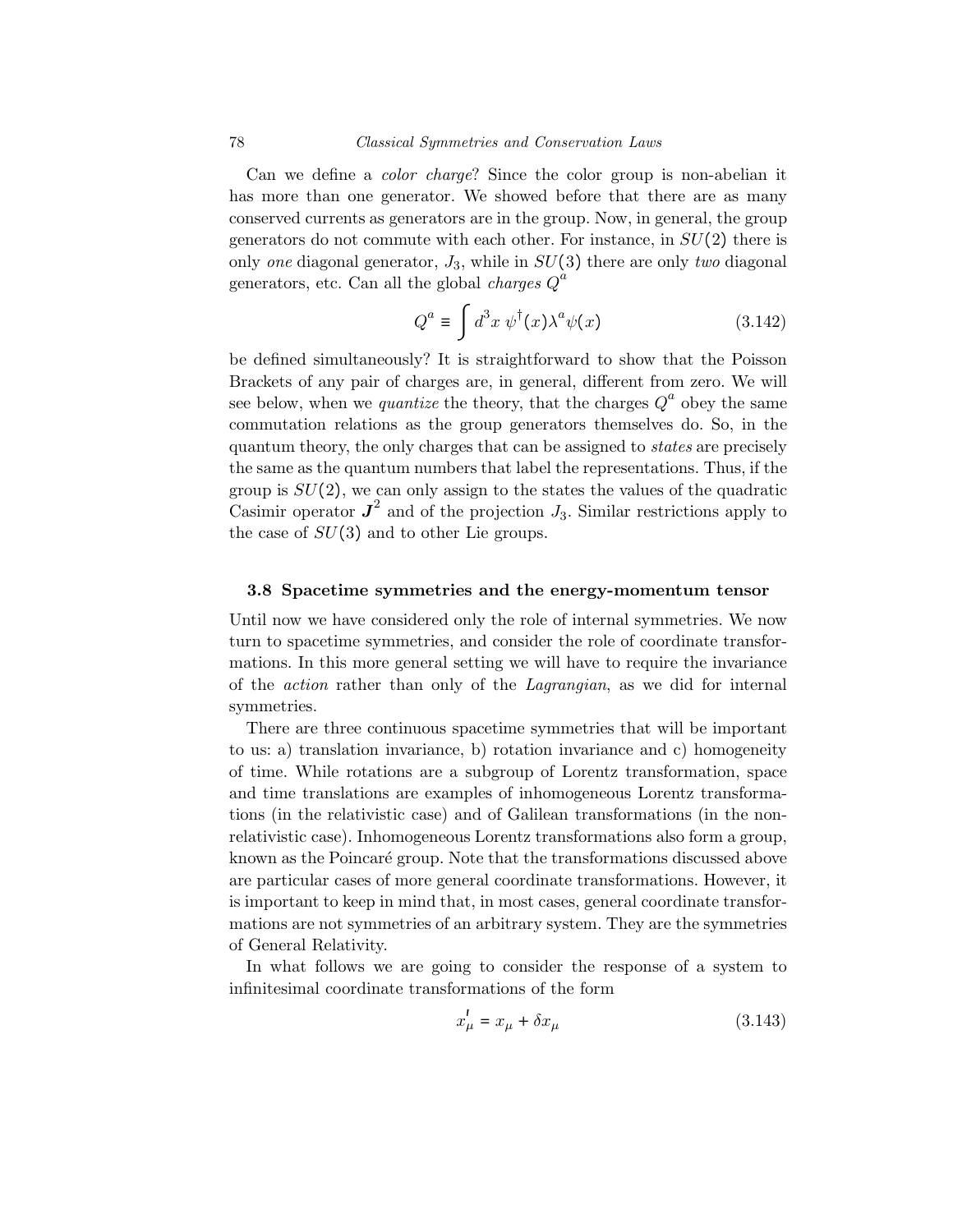Can we define a color charge? Since the color group is non-abelian it has more than one generator. We showed before that there are as many conserved currents as generators are in the group. Now, in general, the group generators do not commute with each other. For instance, in  $SU(2)$  there is only one diagonal generator,  $J_3$ , while in  $SU(3)$  there are only two diagonal generators, etc. Can all the global *charges*  $Q^a$ 

$$
Q^{a} \equiv \int d^{3}x \, \psi^{\dagger}(x) \lambda^{a} \psi(x) \tag{3.142}
$$

be defined simultaneously? It is straightforward to show that the Poisson Brackets of any pair of charges are, in general, different from zero. We will see below, when we *quantize* the theory, that the charges  $Q^a$  obey the same commutation relations as the group generators themselves do. So, in the quantum theory, the only charges that can be assigned to states are precisely the same as the quantum numbers that label the representations. Thus, if the group is  $SU(2)$ , we can only assign to the states the values of the quadratic Casimir operator  $J^2$  and of the projection  $J_3$ . Similar restrictions apply to the case of  $SU(3)$  and to other Lie groups.

### 3.8 Spacetime symmetries and the energy-momentum tensor

Until now we have considered only the role of internal symmetries. We now turn to spacetime symmetries, and consider the role of coordinate transformations. In this more general setting we will have to require the invariance of the action rather than only of the Lagrangian, as we did for internal symmetries.

There are three continuous spacetime symmetries that will be important to us: a) translation invariance, b) rotation invariance and c) homogeneity of time. While rotations are a subgroup of Lorentz transformation, space and time translations are examples of inhomogeneous Lorentz transformations (in the relativistic case) and of Galilean transformations (in the nonrelativistic case). Inhomogeneous Lorentz transformations also form a group, known as the Poincaré group. Note that the transformations discussed above are particular cases of more general coordinate transformations. However, it is important to keep in mind that, in most cases, general coordinate transformations are not symmetries of an arbitrary system. They are the symmetries of General Relativity.

In what follows we are going to consider the response of a system to infinitesimal coordinate transformations of the form

$$
x'_{\mu} = x_{\mu} + \delta x_{\mu} \tag{3.143}
$$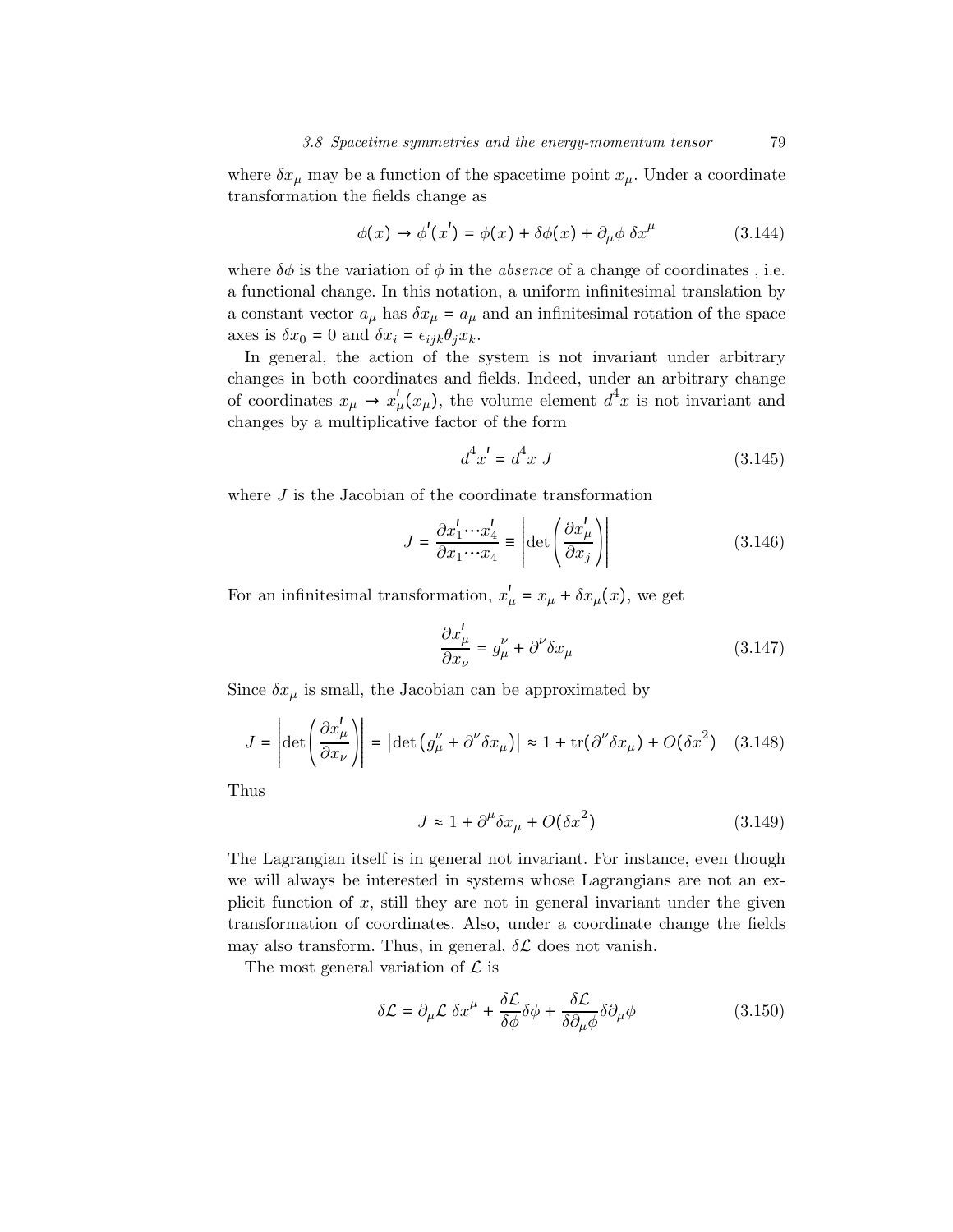where  $\delta x_{\mu}$  may be a function of the spacetime point  $x_{\mu}$ . Under a coordinate transformation the fields change as

$$
\phi(x) \to \phi'(x') = \phi(x) + \delta\phi(x) + \partial_{\mu}\phi \,\delta x^{\mu} \tag{3.144}
$$

where  $\delta\phi$  is the variation of  $\phi$  in the *absence* of a change of coordinates, i.e. a functional change. In this notation, a uniform infinitesimal translation by a constant vector  $a_{\mu}$  has  $\delta x_{\mu} = a_{\mu}$  and an infinitesimal rotation of the space axes is  $\delta x_0 = 0$  and  $\delta x_i = \epsilon_{ijk} \theta_i x_k$ .

In general, the action of the system is not invariant under arbitrary changes in both coordinates and fields. Indeed, under an arbitrary change of coordinates  $x_{\mu} \to x_{\mu}'(x_{\mu})$ , the volume element  $d^4x$  is not invariant and changes by a multiplicative factor of the form

$$
d^4x' = d^4x \ J \tag{3.145}
$$

where  $J$  is the Jacobian of the coordinate transformation

$$
J = \frac{\partial x_1' \cdots x_4'}{\partial x_1 \cdots x_4} \equiv \left| \det \left( \frac{\partial x_\mu'}{\partial x_j} \right) \right| \tag{3.146}
$$

For an infinitesimal transformation,  $x'_{\mu} = x_{\mu} + \delta x_{\mu}(x)$ , we get

$$
\frac{\partial x'_{\mu}}{\partial x_{\nu}} = g_{\mu}^{\nu} + \partial^{\nu} \delta x_{\mu}
$$
\n(3.147)

Since  $\delta x_{\mu}$  is small, the Jacobian can be approximated by

$$
J = \left| \det \left( \frac{\partial x_{\mu}'}{\partial x_{\nu}} \right) \right| = \left| \det \left( g_{\mu}^{\nu} + \partial^{\nu} \delta x_{\mu} \right) \right| \approx 1 + \text{tr}(\partial^{\nu} \delta x_{\mu}) + O(\delta x^{2}) \quad (3.148)
$$

Thus

$$
J \approx 1 + \partial^{\mu} \delta x_{\mu} + O(\delta x^2)
$$
 (3.149)

The Lagrangian itself is in general not invariant. For instance, even though we will always be interested in systems whose Lagrangians are not an explicit function of  $x$ , still they are not in general invariant under the given transformation of coordinates. Also, under a coordinate change the fields may also transform. Thus, in general,  $\delta \mathcal{L}$  does not vanish.

The most general variation of  $\mathcal L$  is

$$
\delta \mathcal{L} = \partial_{\mu} \mathcal{L} \, \delta x^{\mu} + \frac{\delta \mathcal{L}}{\delta \phi} \delta \phi + \frac{\delta \mathcal{L}}{\delta \partial_{\mu} \phi} \delta \partial_{\mu} \phi \tag{3.150}
$$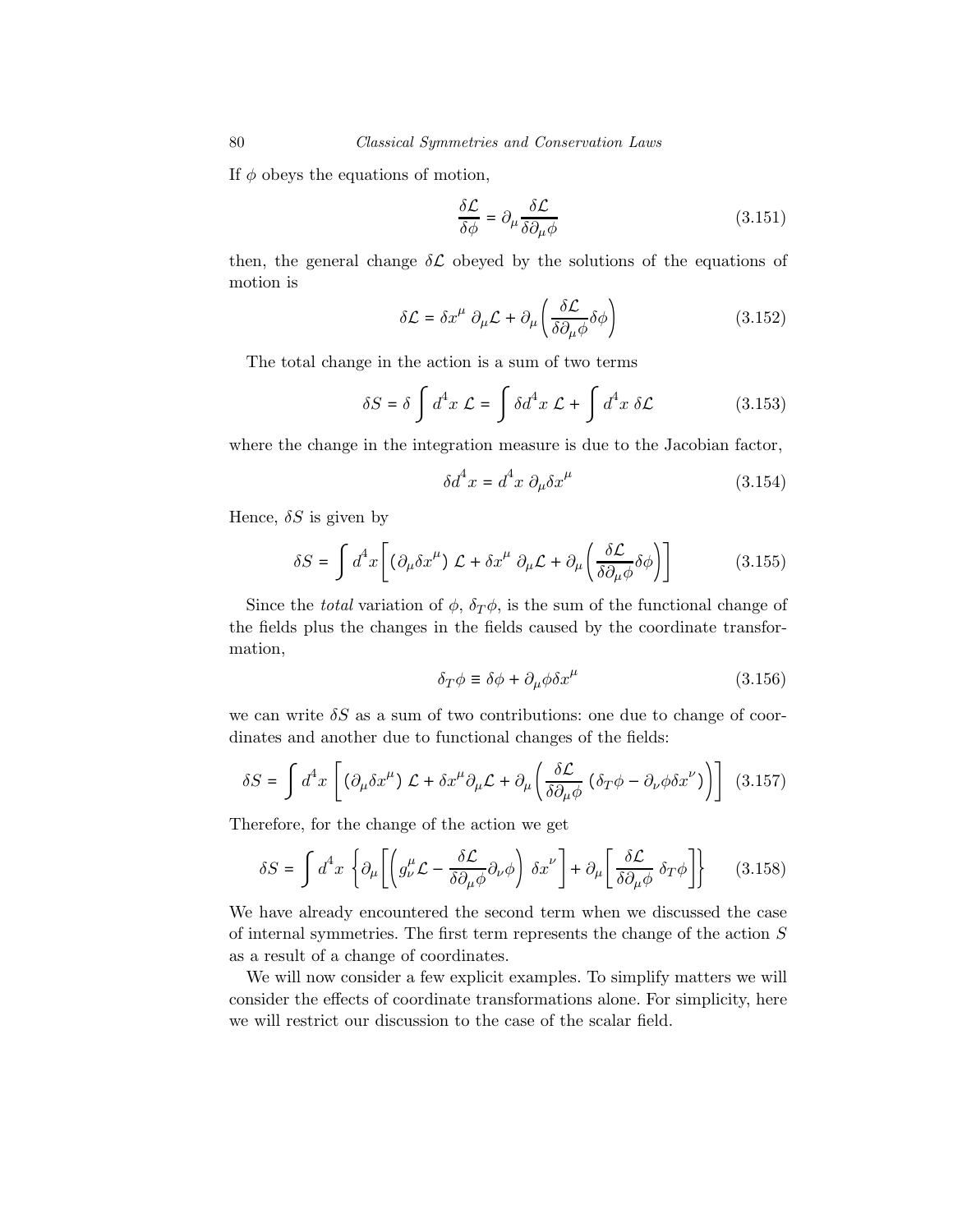If  $\phi$  obeys the equations of motion,

$$
\frac{\delta \mathcal{L}}{\delta \phi} = \partial_{\mu} \frac{\delta \mathcal{L}}{\delta \partial_{\mu} \phi} \tag{3.151}
$$

then, the general change  $\delta\mathcal{L}$  obeyed by the solutions of the equations of motion is

$$
\delta \mathcal{L} = \delta x^{\mu} \partial_{\mu} \mathcal{L} + \partial_{\mu} \left( \frac{\delta \mathcal{L}}{\delta \partial_{\mu} \phi} \delta \phi \right)
$$
 (3.152)

The total change in the action is a sum of two terms

$$
\delta S = \delta \int d^4x \mathcal{L} = \int \delta d^4x \mathcal{L} + \int d^4x \delta \mathcal{L}
$$
 (3.153)

where the change in the integration measure is due to the Jacobian factor,

$$
\delta d^4 x = d^4 x \partial_\mu \delta x^\mu \tag{3.154}
$$

Hence,  $\delta S$  is given by

$$
\delta S = \int d^4x \left[ \left( \partial_{\mu} \delta x^{\mu} \right) \mathcal{L} + \delta x^{\mu} \partial_{\mu} \mathcal{L} + \partial_{\mu} \left( \frac{\delta \mathcal{L}}{\delta \partial_{\mu} \phi} \delta \phi \right) \right]
$$
(3.155)

Since the *total* variation of  $\phi$ ,  $\delta_T \phi$ , is the sum of the functional change of the fields plus the changes in the fields caused by the coordinate transformation,

$$
\delta_T \phi \equiv \delta \phi + \partial_\mu \phi \delta x^\mu \tag{3.156}
$$

we can write  $\delta S$  as a sum of two contributions: one due to change of coordinates and another due to functional changes of the fields:

$$
\delta S = \int d^4x \left[ \left( \partial_\mu \delta x^\mu \right) \mathcal{L} + \delta x^\mu \partial_\mu \mathcal{L} + \partial_\mu \left( \frac{\delta \mathcal{L}}{\delta \partial_\mu \phi} \left( \delta_T \phi - \partial_\nu \phi \delta x^\nu \right) \right) \right] \tag{3.157}
$$

Therefore, for the change of the action we get

$$
\delta S = \int d^4x \left\{ \partial_{\mu} \left[ \left( g_{\nu}^{\mu} \mathcal{L} - \frac{\delta \mathcal{L}}{\delta \partial_{\mu} \phi} \partial_{\nu} \phi \right) \delta x^{\nu} \right] + \partial_{\mu} \left[ \frac{\delta \mathcal{L}}{\delta \partial_{\mu} \phi} \delta_{T} \phi \right] \right\} \tag{3.158}
$$

We have already encountered the second term when we discussed the case of internal symmetries. The first term represents the change of the action  $S$ as a result of a change of coordinates.

We will now consider a few explicit examples. To simplify matters we will consider the effects of coordinate transformations alone. For simplicity, here we will restrict our discussion to the case of the scalar field.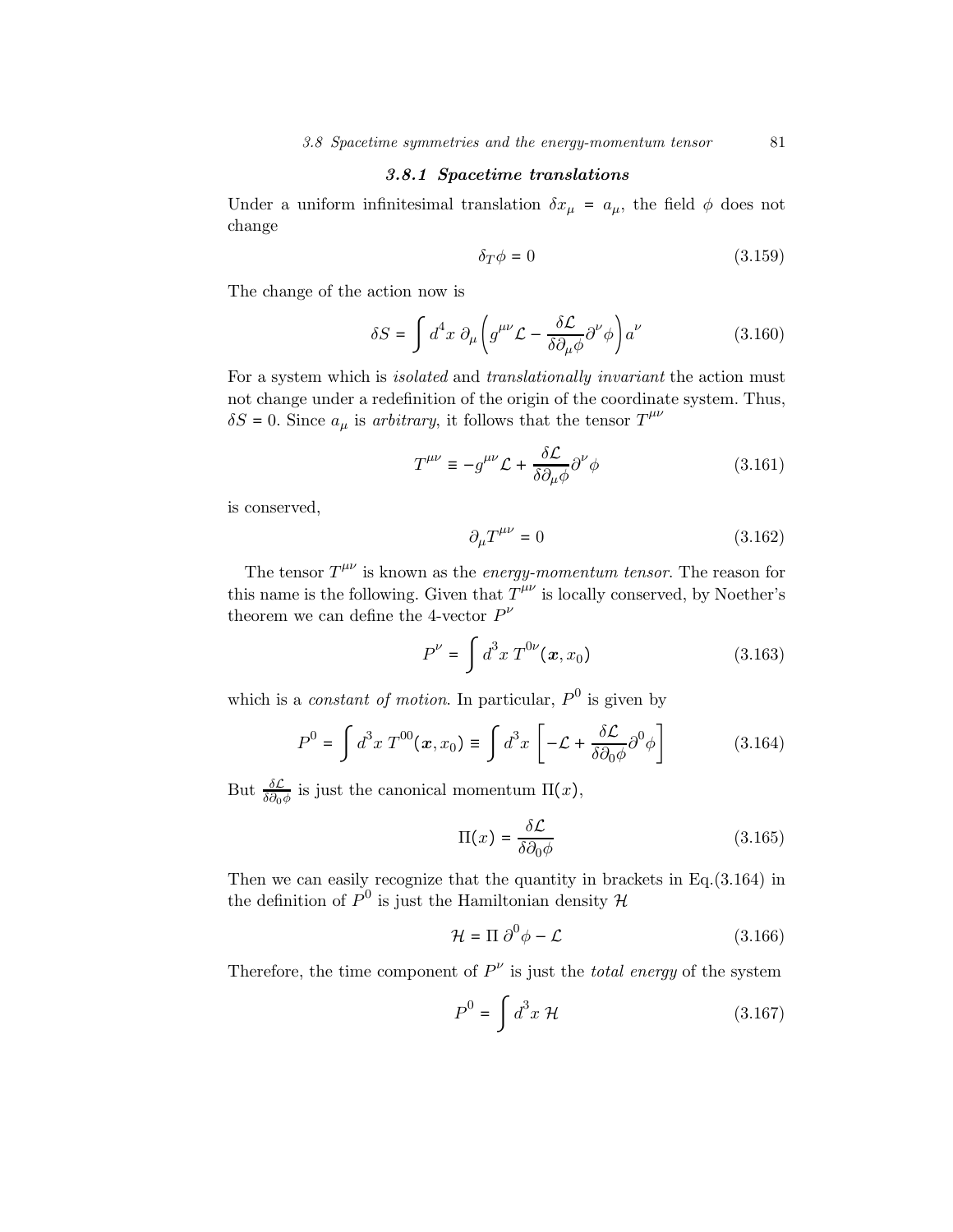## 3.8.1 Spacetime translations

Under a uniform infinitesimal translation  $\delta x_{\mu} = a_{\mu}$ , the field  $\phi$  does not change

$$
\delta_T \phi = 0 \tag{3.159}
$$

The change of the action now is

$$
\delta S = \int d^4x \ \partial_{\mu} \left( g^{\mu\nu} \mathcal{L} - \frac{\delta \mathcal{L}}{\delta \partial_{\mu} \phi} \partial^{\nu} \phi \right) a^{\nu} \tag{3.160}
$$

For a system which is isolated and translationally invariant the action must not change under a redefinition of the origin of the coordinate system. Thus,  $\delta S = 0$ . Since  $a_{\mu}$  is arbitrary, it follows that the tensor  $T^{\mu\nu}$ 

$$
T^{\mu\nu} \equiv -g^{\mu\nu} \mathcal{L} + \frac{\delta \mathcal{L}}{\delta \partial_{\mu} \phi} \partial^{\nu} \phi \tag{3.161}
$$

is conserved,

$$
\partial_{\mu}T^{\mu\nu} = 0 \tag{3.162}
$$

The tensor  $T^{\mu\nu}$  is known as the *energy-momentum tensor*. The reason for this name is the following. Given that  $T^{\mu\nu}$  is locally conserved, by Noether's theorem we can define the 4-vector  $P^{\nu}$ 

$$
P^{\nu} = \int d^3x \, T^{0\nu}(\boldsymbol{x}, x_0) \tag{3.163}
$$

which is a *constant of motion*. In particular,  $P^0$  is given by

$$
P^{0} = \int d^{3}x \; T^{00}(\boldsymbol{x}, x_{0}) \equiv \int d^{3}x \left[ -\mathcal{L} + \frac{\delta \mathcal{L}}{\delta \partial_{0} \phi} \partial^{0} \phi \right]
$$
(3.164)

But  $\frac{\delta \mathcal{L}}{\delta \partial_0 \phi}$  is just the canonical momentum  $\Pi(x)$ ,

$$
\Pi(x) = \frac{\delta \mathcal{L}}{\delta \partial_0 \phi} \tag{3.165}
$$

Then we can easily recognize that the quantity in brackets in Eq.(3.164) in the definition of  $P^0$  is just the Hamiltonian density  $\mathcal H$ 

$$
\mathcal{H} = \Pi \partial^0 \phi - \mathcal{L} \tag{3.166}
$$

Therefore, the time component of  $P^{\nu}$  is just the *total energy* of the system

$$
P^0 = \int d^3x \, \mathcal{H} \tag{3.167}
$$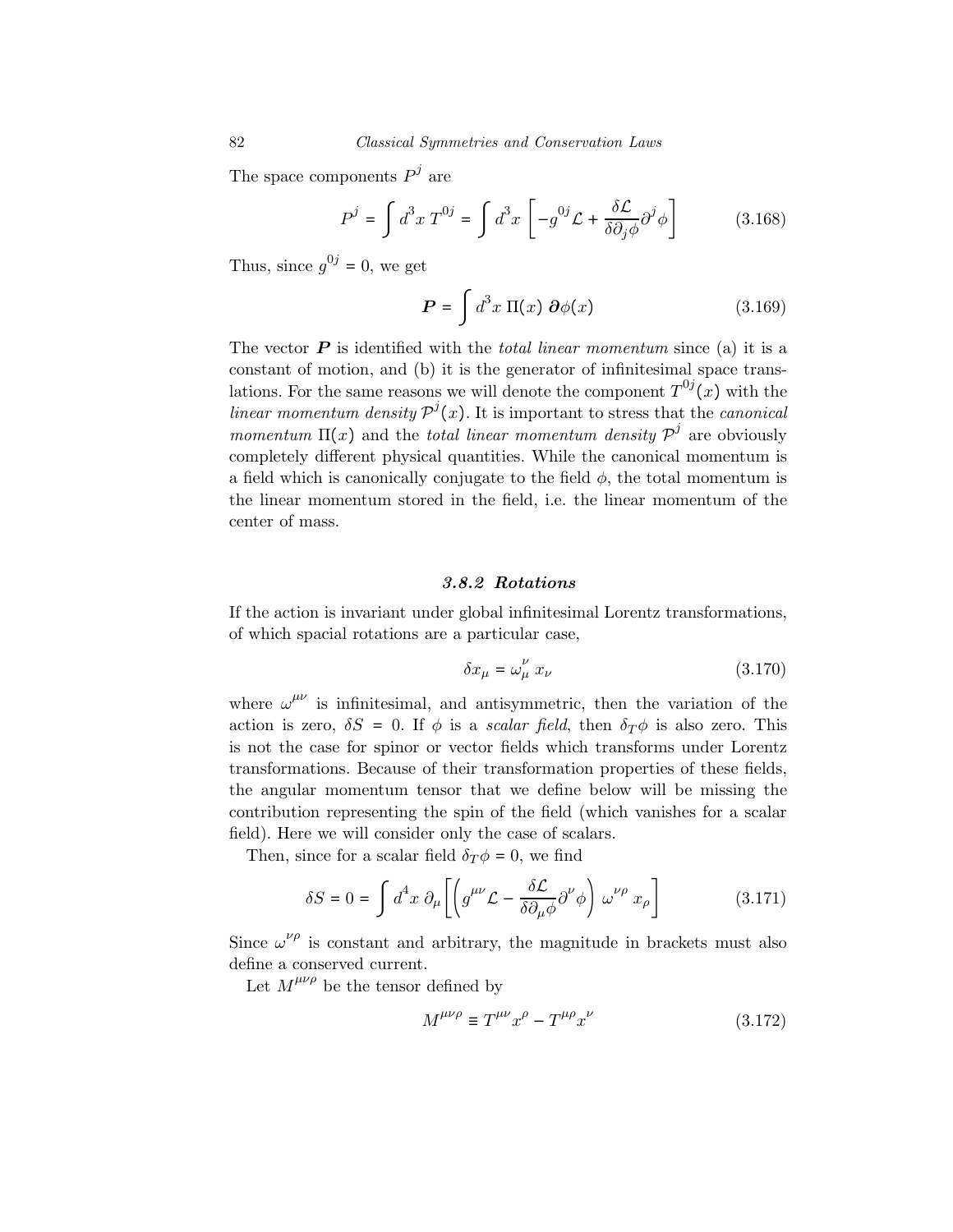The space components  $P^j$  are

$$
P^{j} = \int d^{3}x \, T^{0j} = \int d^{3}x \left[ -g^{0j} \mathcal{L} + \frac{\delta \mathcal{L}}{\delta \partial_{j} \phi} \partial^{j} \phi \right]
$$
(3.168)

Thus, since  $g^{0j} = 0$ , we get

$$
\boldsymbol{P} = \int d^3x \, \Pi(x) \, \partial \phi(x) \tag{3.169}
$$

The vector  $P$  is identified with the *total linear momentum* since (a) it is a constant of motion, and (b) it is the generator of infinitesimal space translations. For the same reasons we will denote the component  $T^{0j}(x)$  with the linear momentum density  $\mathcal{P}^{j}(x)$ . It is important to stress that the canonical momentum  $\Pi(x)$  and the total linear momentum density  $\mathcal{P}^{\prime}$  are obviously completely different physical quantities. While the canonical momentum is a field which is canonically conjugate to the field  $\phi$ , the total momentum is the linear momentum stored in the field, i.e. the linear momentum of the center of mass.

## 3.8.2 Rotations

If the action is invariant under global infinitesimal Lorentz transformations, of which spacial rotations are a particular case,

$$
\delta x_{\mu} = \omega_{\mu}^{\nu} x_{\nu} \tag{3.170}
$$

where  $\omega^{\mu\nu}$  is infinitesimal, and antisymmetric, then the variation of the action is zero,  $\delta S = 0$ . If  $\phi$  is a scalar field, then  $\delta_T \phi$  is also zero. This is not the case for spinor or vector fields which transforms under Lorentz transformations. Because of their transformation properties of these fields, the angular momentum tensor that we define below will be missing the contribution representing the spin of the field (which vanishes for a scalar field). Here we will consider only the case of scalars.

Then, since for a scalar field  $\delta_T \phi = 0$ , we find

$$
\delta S = 0 = \int d^4x \ \partial_{\mu} \left[ \left( g^{\mu\nu} \mathcal{L} - \frac{\delta \mathcal{L}}{\delta \partial_{\mu} \phi} \partial^{\nu} \phi \right) \omega^{\nu \rho} x_{\rho} \right] \tag{3.171}
$$

Since  $\omega^{\nu\rho}$  is constant and arbitrary, the magnitude in brackets must also define a conserved current.

Let  $M^{\mu\nu\rho}$  be the tensor defined by

$$
M^{\mu\nu\rho} \equiv T^{\mu\nu} x^{\rho} - T^{\mu\rho} x^{\nu} \tag{3.172}
$$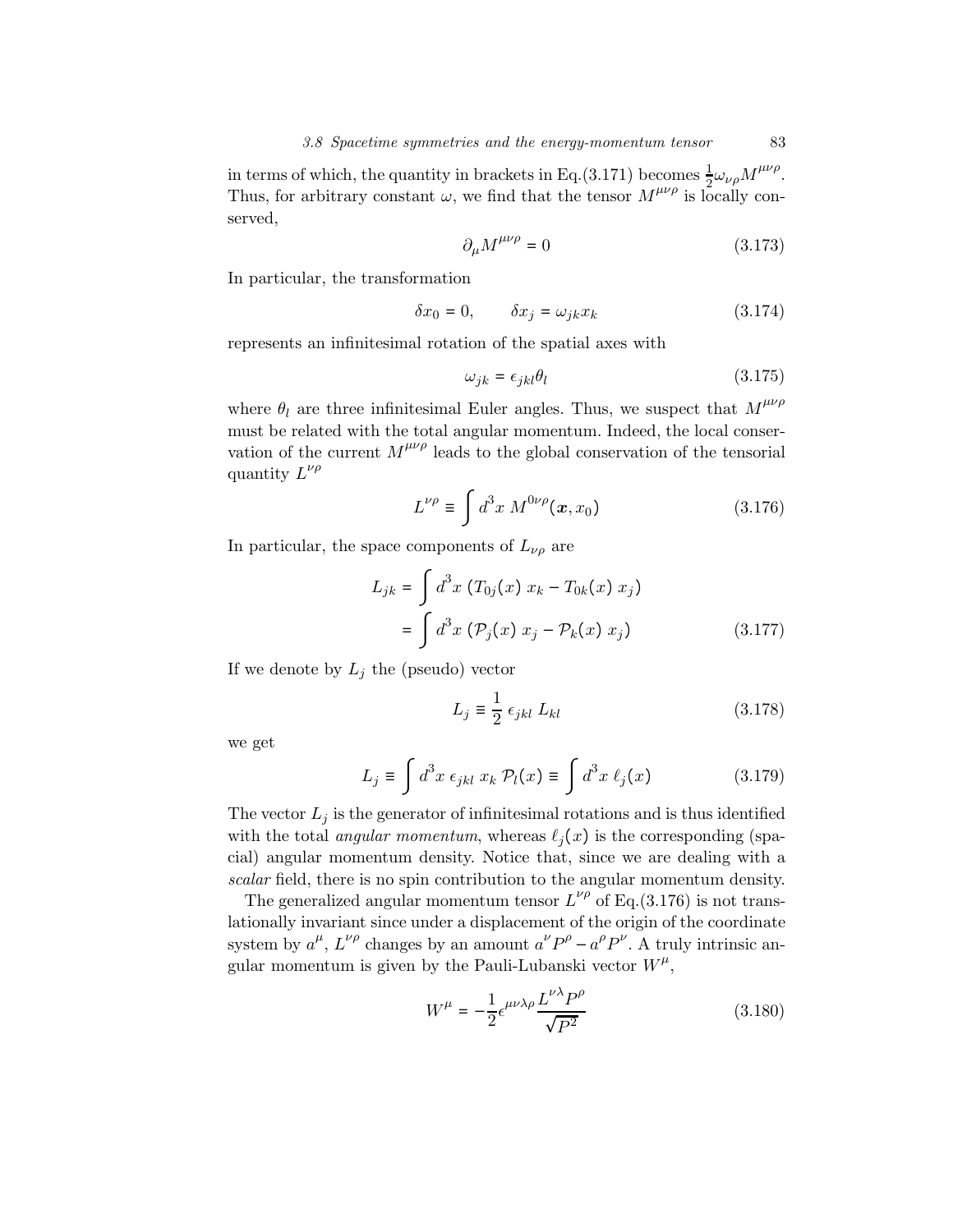in terms of which, the quantity in brackets in Eq.(3.171) becomes  $\frac{1}{2}\omega_{\nu\rho}M^{\mu\nu\rho}$ . Thus, for arbitrary constant  $\omega$ , we find that the tensor  $M^{\mu\nu\rho}$  is locally conserved,

$$
\partial_{\mu}M^{\mu\nu\rho} = 0 \tag{3.173}
$$

In particular, the transformation

$$
\delta x_0 = 0, \qquad \delta x_j = \omega_{jk} x_k \tag{3.174}
$$

represents an infinitesimal rotation of the spatial axes with

$$
\omega_{jk} = \epsilon_{jkl}\theta_l \tag{3.175}
$$

where  $\theta_l$  are three infinitesimal Euler angles. Thus, we suspect that  $M^{\mu\nu\rho}$ must be related with the total angular momentum. Indeed, the local conservation of the current  $M^{\mu\nu\rho}$  leads to the global conservation of the tensorial quantity  $L^{\nu\rho}$ 

$$
L^{\nu\rho} \equiv \int d^3x \; M^{0\nu\rho}(\mathbf{x}, x_0) \tag{3.176}
$$

In particular, the space components of  $L_{\nu\rho}$  are

$$
L_{jk} = \int d^3x \left( T_{0j}(x) \ x_k - T_{0k}(x) \ x_j \right)
$$
  
= 
$$
\int d^3x \left( \mathcal{P}_j(x) \ x_j - \mathcal{P}_k(x) \ x_j \right)
$$
 (3.177)

If we denote by  $L_j$  the (pseudo) vector

$$
L_j \equiv \frac{1}{2} \epsilon_{jkl} L_{kl} \tag{3.178}
$$

we get

$$
L_j \equiv \int d^3x \ \epsilon_{jkl} \ x_k \ \mathcal{P}_l(x) \equiv \int d^3x \ \ell_j(x) \tag{3.179}
$$

The vector  $L_i$  is the generator of infinitesimal rotations and is thus identified with the total *angular momentum*, whereas  $\ell_i(x)$  is the corresponding (spacial) angular momentum density. Notice that, since we are dealing with a scalar field, there is no spin contribution to the angular momentum density.

The generalized angular momentum tensor  $L^{\nu\rho}$  of Eq.(3.176) is not translationally invariant since under a displacement of the origin of the coordinate system by  $a^{\mu}$ ,  $L^{\nu\rho}$  changes by an amount  $a^{\nu}P^{\rho} - a^{\rho}P^{\nu}$ . A truly intrinsic angular momentum is given by the Pauli-Lubanski vector  $W^{\mu}$ ,

$$
W^{\mu} = -\frac{1}{2} \epsilon^{\mu\nu\lambda\rho} \frac{L^{\nu\lambda} P^{\rho}}{\sqrt{P^2}}
$$
 (3.180)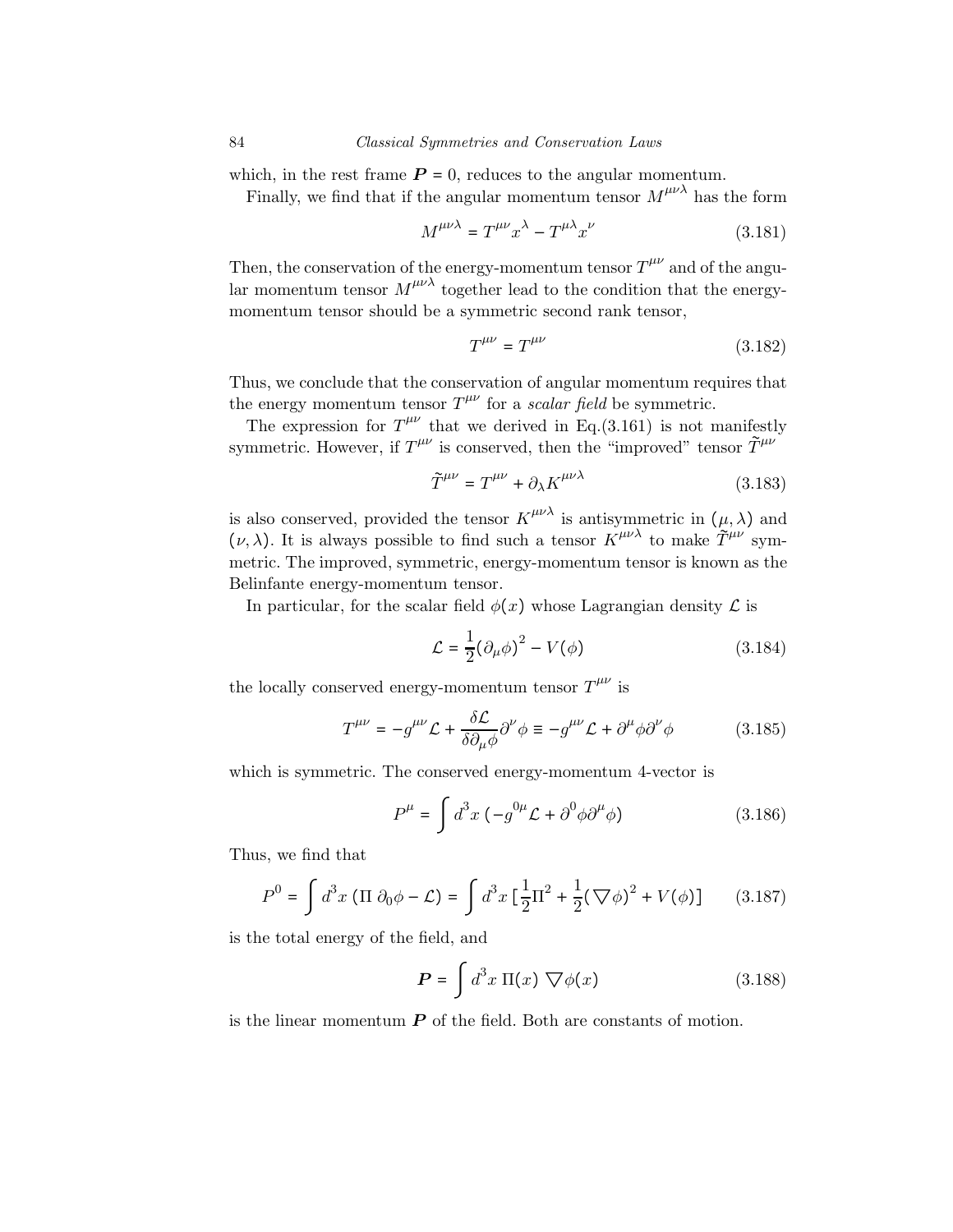which, in the rest frame  $P = 0$ , reduces to the angular momentum.

Finally, we find that if the angular momentum tensor  $M^{\mu\nu\lambda}$  has the form

$$
M^{\mu\nu\lambda} = T^{\mu\nu} x^{\lambda} - T^{\mu\lambda} x^{\nu}
$$
 (3.181)

Then, the conservation of the energy-momentum tensor  $T^{\mu\nu}$  and of the angular momentum tensor  $M^{\mu\nu\lambda}$  together lead to the condition that the energymomentum tensor should be a symmetric second rank tensor,

$$
T^{\mu\nu} = T^{\mu\nu} \tag{3.182}
$$

Thus, we conclude that the conservation of angular momentum requires that the energy momentum tensor  $T^{\mu\nu}$  for a *scalar field* be symmetric.

The expression for  $T^{\mu\nu}$  that we derived in Eq.(3.161) is not manifestly symmetric. However, if  $T^{\mu\nu}$  is conserved, then the "improved" tensor  $\tilde{T}^{\mu\nu}$ 

$$
\tilde{T}^{\mu\nu} = T^{\mu\nu} + \partial_{\lambda} K^{\mu\nu\lambda} \tag{3.183}
$$

is also conserved, provided the tensor  $K^{\mu\nu\lambda}$  is antisymmetric in  $(\mu, \lambda)$  and  $(\nu, \lambda)$ . It is always possible to find such a tensor  $K^{\mu\nu\lambda}$  to make  $\tilde{T}^{\mu\nu}$  symmetric. The improved, symmetric, energy-momentum tensor is known as the Belinfante energy-momentum tensor.

In particular, for the scalar field  $\phi(x)$  whose Lagrangian density  $\mathcal L$  is

$$
\mathcal{L} = \frac{1}{2} (\partial_{\mu} \phi)^2 - V(\phi) \tag{3.184}
$$

the locally conserved energy-momentum tensor  $T^{\mu\nu}$  is

$$
T^{\mu\nu} = -g^{\mu\nu}\mathcal{L} + \frac{\delta\mathcal{L}}{\delta\partial_{\mu}\phi}\partial^{\nu}\phi \equiv -g^{\mu\nu}\mathcal{L} + \partial^{\mu}\phi\partial^{\nu}\phi \qquad (3.185)
$$

which is symmetric. The conserved energy-momentum 4-vector is

$$
P^{\mu} = \int d^{3}x \left( -g^{0\mu} \mathcal{L} + \partial^{0} \phi \partial^{\mu} \phi \right) \tag{3.186}
$$

Thus, we find that

$$
P^{0} = \int d^{3}x \left( \Pi \partial_{0} \phi - \mathcal{L} \right) = \int d^{3}x \left[ \frac{1}{2} \Pi^{2} + \frac{1}{2} (\nabla \phi)^{2} + V(\phi) \right] \tag{3.187}
$$

is the total energy of the field, and

$$
\boldsymbol{P} = \int d^3x \, \Pi(x) \, \nabla \phi(x) \tag{3.188}
$$

is the linear momentum  $P$  of the field. Both are constants of motion.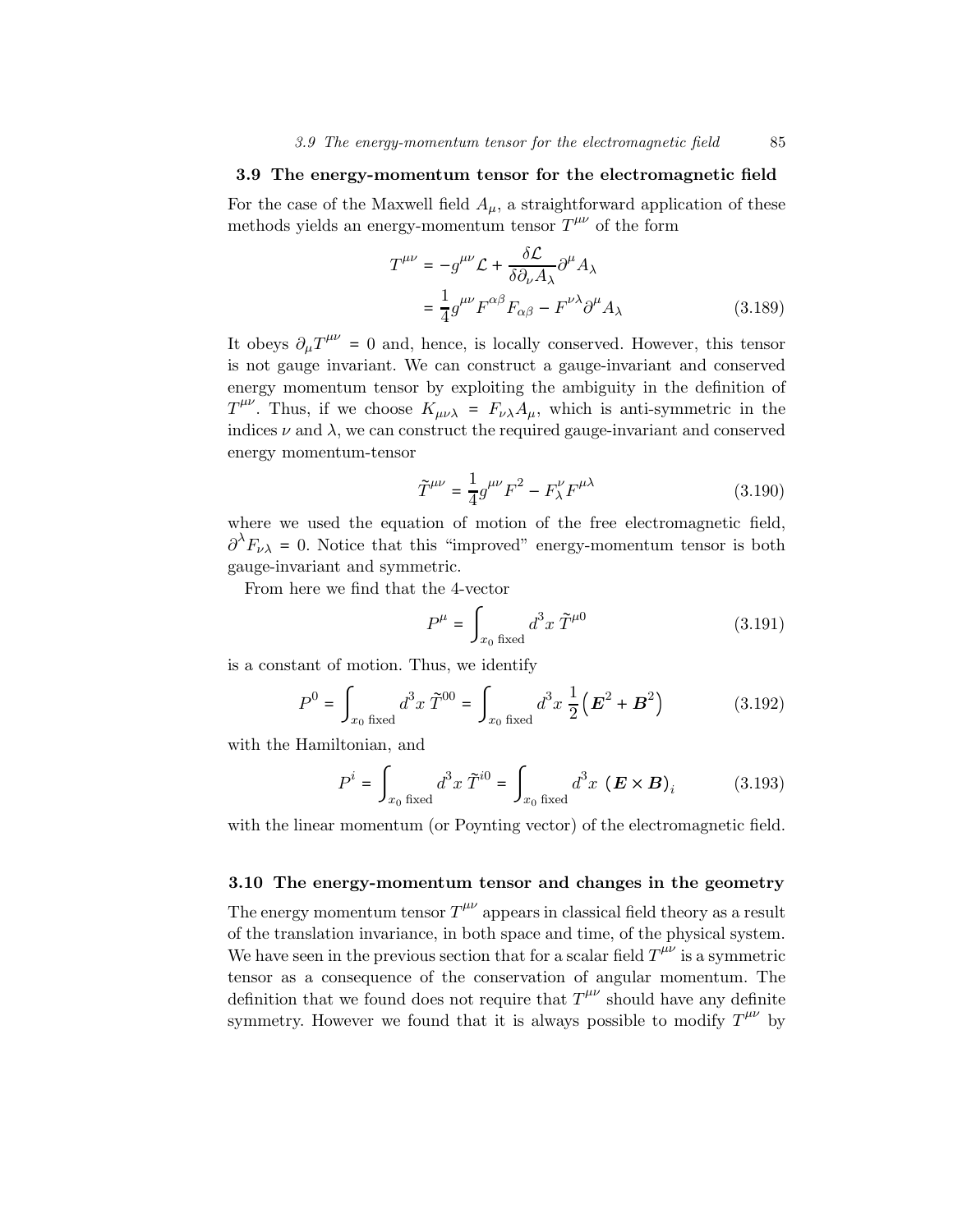## 3.9 The energy-momentum tensor for the electromagnetic field

For the case of the Maxwell field  $A_\mu$ , a straightforward application of these methods yields an energy-momentum tensor  $T^{\mu\nu}$  of the form

$$
T^{\mu\nu} = -g^{\mu\nu} \mathcal{L} + \frac{\delta \mathcal{L}}{\delta \partial_{\nu} A_{\lambda}} \partial^{\mu} A_{\lambda}
$$
  

$$
= \frac{1}{4} g^{\mu\nu} F^{\alpha\beta} F_{\alpha\beta} - F^{\nu\lambda} \partial^{\mu} A_{\lambda}
$$
 (3.189)

It obeys  $\partial_{\mu}T^{\mu\nu} = 0$  and, hence, is locally conserved. However, this tensor is not gauge invariant. We can construct a gauge-invariant and conserved energy momentum tensor by exploiting the ambiguity in the definition of  $T^{\mu\nu}$ . Thus, if we choose  $K_{\mu\nu\lambda} = F_{\nu\lambda}A_{\mu}$ , which is anti-symmetric in the indices  $\nu$  and  $\lambda$ , we can construct the required gauge-invariant and conserved energy momentum-tensor

$$
\tilde{T}^{\mu\nu} = \frac{1}{4}g^{\mu\nu}F^2 - F^{\nu}_\lambda F^{\mu\lambda} \tag{3.190}
$$

where we used the equation of motion of the free electromagnetic field,  $\partial^{\lambda} F_{\nu\lambda} = 0$ . Notice that this "improved" energy-momentum tensor is both gauge-invariant and symmetric.

From here we find that the 4-vector

$$
P^{\mu} = \int_{x_0 \text{ fixed}} d^3x \, \tilde{T}^{\mu 0} \tag{3.191}
$$

is a constant of motion. Thus, we identify

$$
P^{0} = \int_{x_{0} \text{ fixed}} d^{3}x \, \tilde{T}^{00} = \int_{x_{0} \text{ fixed}} d^{3}x \, \frac{1}{2} (\mathbf{E}^{2} + \mathbf{B}^{2}) \tag{3.192}
$$

with the Hamiltonian, and

$$
P^{i} = \int_{x_0 \text{ fixed}} d^{3}x \ \tilde{T}^{i0} = \int_{x_0 \text{ fixed}} d^{3}x \ (\boldsymbol{E} \times \boldsymbol{B})_{i}
$$
 (3.193)

with the linear momentum (or Poynting vector) of the electromagnetic field.

## 3.10 The energy-momentum tensor and changes in the geometry

The energy momentum tensor  $T^{\mu\nu}$  appears in classical field theory as a result of the translation invariance, in both space and time, of the physical system. We have seen in the previous section that for a scalar field  $T^{\mu\nu}$  is a symmetric tensor as a consequence of the conservation of angular momentum. The definition that we found does not require that  $T^{\mu\nu}$  should have any definite symmetry. However we found that it is always possible to modify  $T^{\mu\nu}$  by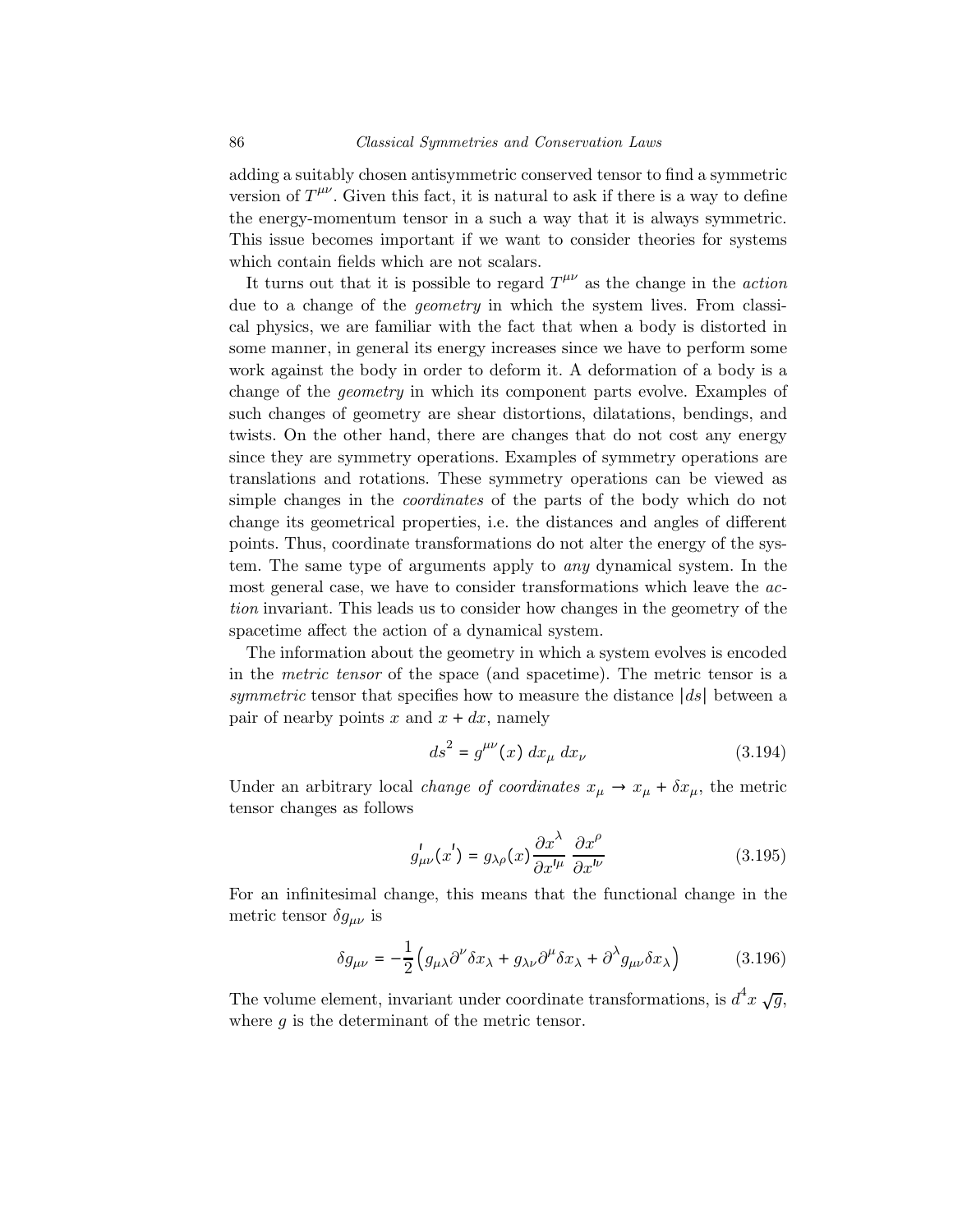adding a suitably chosen antisymmetric conserved tensor to find a symmetric version of  $T^{\mu\nu}$ . Given this fact, it is natural to ask if there is a way to define the energy-momentum tensor in a such a way that it is always symmetric. This issue becomes important if we want to consider theories for systems which contain fields which are not scalars.

It turns out that it is possible to regard  $T^{\mu\nu}$  as the change in the *action* due to a change of the geometry in which the system lives. From classical physics, we are familiar with the fact that when a body is distorted in some manner, in general its energy increases since we have to perform some work against the body in order to deform it. A deformation of a body is a change of the geometry in which its component parts evolve. Examples of such changes of geometry are shear distortions, dilatations, bendings, and twists. On the other hand, there are changes that do not cost any energy since they are symmetry operations. Examples of symmetry operations are translations and rotations. These symmetry operations can be viewed as simple changes in the coordinates of the parts of the body which do not change its geometrical properties, i.e. the distances and angles of different points. Thus, coordinate transformations do not alter the energy of the system. The same type of arguments apply to any dynamical system. In the most general case, we have to consider transformations which leave the action invariant. This leads us to consider how changes in the geometry of the spacetime affect the action of a dynamical system.

The information about the geometry in which a system evolves is encoded in the metric tensor of the space (and spacetime). The metric tensor is a symmetric tensor that specifies how to measure the distance |ds| between a pair of nearby points x and  $x + dx$ , namely

$$
ds^{2} = g^{\mu\nu}(x) dx_{\mu} dx_{\nu}
$$
 (3.194)

Under an arbitrary local *change of coordinates*  $x_{\mu} \rightarrow x_{\mu} + \delta x_{\mu}$ , the metric tensor changes as follows

$$
g_{\mu\nu}^{\prime}(x^{\prime}) = g_{\lambda\rho}(x) \frac{\partial x^{\lambda}}{\partial x^{\prime\mu}} \frac{\partial x^{\rho}}{\partial x^{\prime\nu}}
$$
(3.195)

For an infinitesimal change, this means that the functional change in the metric tensor  $\delta g_{\mu\nu}$  is

$$
\delta g_{\mu\nu} = -\frac{1}{2} \left( g_{\mu\lambda} \partial^{\nu} \delta x_{\lambda} + g_{\lambda\nu} \partial^{\mu} \delta x_{\lambda} + \partial^{\lambda} g_{\mu\nu} \delta x_{\lambda} \right) \tag{3.196}
$$

The volume element, invariant under coordinate transformations, is  $d^4x \sqrt{g}$ , where  $q$  is the determinant of the metric tensor.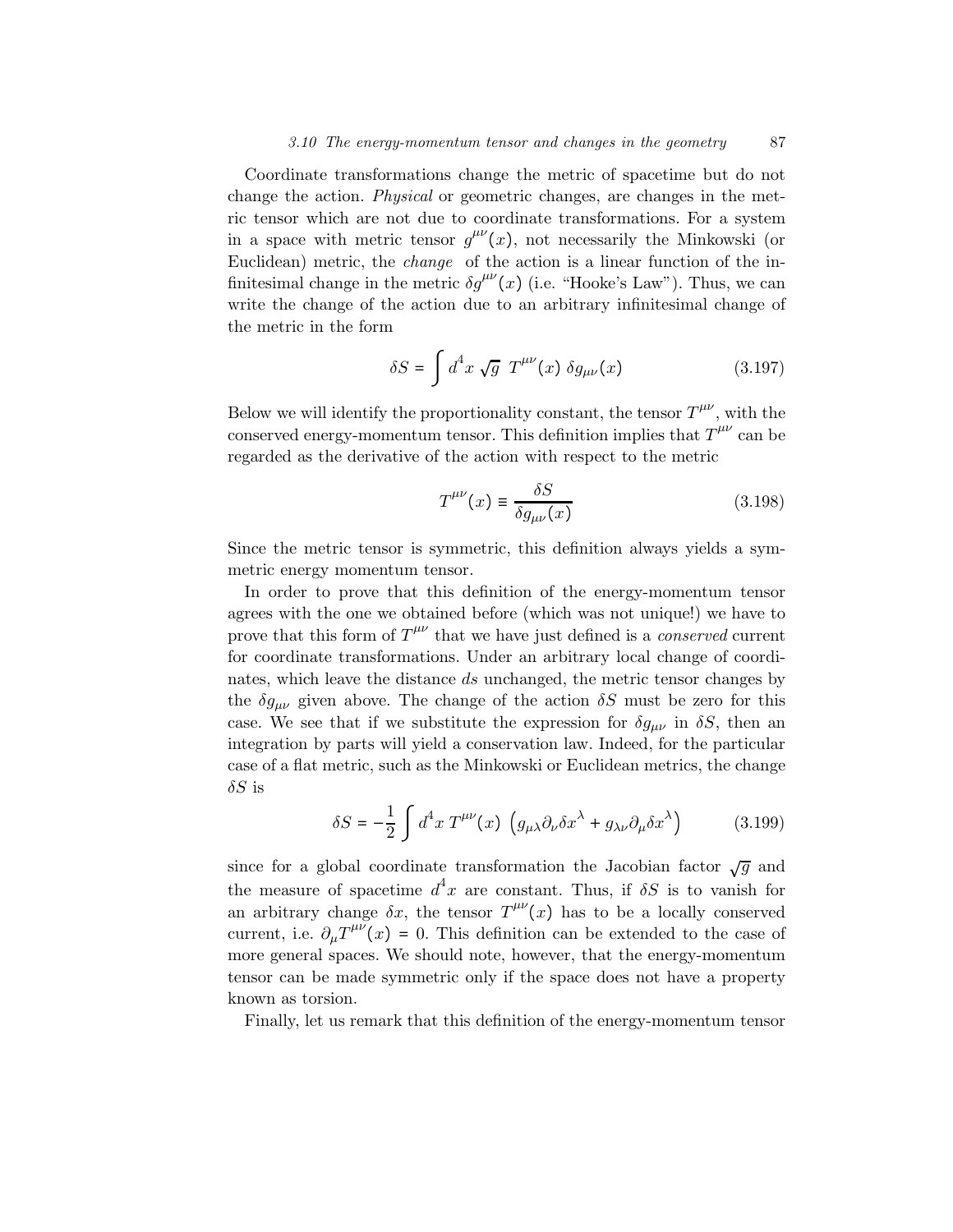Coordinate transformations change the metric of spacetime but do not change the action. Physical or geometric changes, are changes in the metric tensor which are not due to coordinate transformations. For a system in a space with metric tensor  $g^{\mu\nu}(x)$ , not necessarily the Minkowski (or Euclidean) metric, the change of the action is a linear function of the infinitesimal change in the metric  $\delta g^{\mu\nu}(x)$  (i.e. "Hooke's Law"). Thus, we can write the change of the action due to an arbitrary infinitesimal change of the metric in the form

$$
\delta S = \int d^4x \sqrt{g} T^{\mu\nu}(x) \delta g_{\mu\nu}(x) \qquad (3.197)
$$

Below we will identify the proportionality constant, the tensor  $T^{\mu\nu}$ , with the conserved energy-momentum tensor. This definition implies that  $T^{\mu\nu}$  can be regarded as the derivative of the action with respect to the metric

$$
T^{\mu\nu}(x) \equiv \frac{\delta S}{\delta g_{\mu\nu}(x)}\tag{3.198}
$$

Since the metric tensor is symmetric, this definition always yields a symmetric energy momentum tensor.

In order to prove that this definition of the energy-momentum tensor agrees with the one we obtained before (which was not unique!) we have to prove that this form of  $T^{\mu\nu}$  that we have just defined is a *conserved* current for coordinate transformations. Under an arbitrary local change of coordinates, which leave the distance ds unchanged, the metric tensor changes by the  $\delta g_{\mu\nu}$  given above. The change of the action  $\delta S$  must be zero for this case. We see that if we substitute the expression for  $\delta g_{\mu\nu}$  in  $\delta S$ , then an integration by parts will yield a conservation law. Indeed, for the particular case of a flat metric, such as the Minkowski or Euclidean metrics, the change  $\delta S$  is

$$
\delta S = -\frac{1}{2} \int d^4 x \ T^{\mu\nu}(x) \left( g_{\mu\lambda} \partial_{\nu} \delta x^{\lambda} + g_{\lambda\nu} \partial_{\mu} \delta x^{\lambda} \right) \tag{3.199}
$$

since for a global coordinate transformation the Jacobian factor  $\sqrt{g}$  and the measure of spacetime  $d^4x$  are constant. Thus, if  $\delta S$  is to vanish for an arbitrary change  $\delta x$ , the tensor  $T^{\mu\nu}(x)$  has to be a locally conserved current, i.e.  $\partial_{\mu}T^{\mu\nu}(x) = 0$ . This definition can be extended to the case of more general spaces. We should note, however, that the energy-momentum tensor can be made symmetric only if the space does not have a property known as torsion.

Finally, let us remark that this definition of the energy-momentum tensor